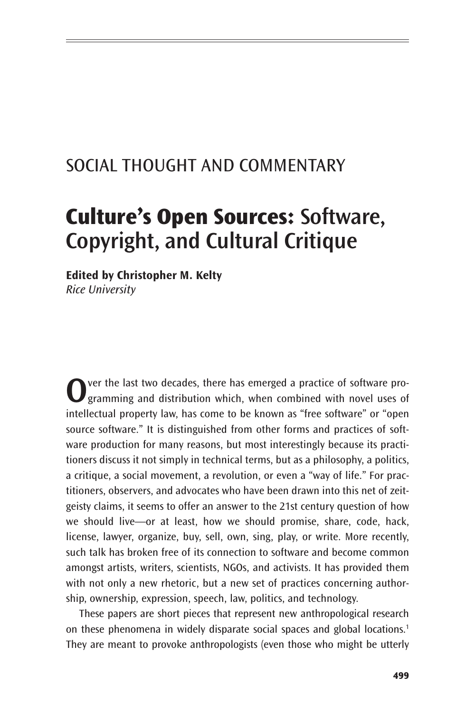## SOCIAL THOUGHT AND COMMENTARY

# **Culture's Open Sources: Software, Copyright, and Cultural Critique**

**Edited by Christopher M. Kelty** Rice University

ver the last two decades, there has emerged a practice of software programming and distribution which, when combined with novel uses of intellectual property law, has come to be known as "free software" or "open source software." It is distinguished from other forms and practices of software production for many reasons, but most interestingly because its practitioners discuss it not simply in technical terms, but as a philosophy, a politics, a critique, a social movement, a revolution, or even a "way of life." For practitioners, observers, and advocates who have been drawn into this net of zeitgeisty claims, it seems to offer an answer to the 21st century question of how we should live—or at least, how we should promise, share, code, hack, license, lawyer, organize, buy, sell, own, sing, play, or write. More recently, such talk has broken free of its connection to software and become common amongst artists, writers, scientists, NGOs, and activists. It has provided them with not only a new rhetoric, but a new set of practices concerning authorship, ownership, expression, speech, law, politics, and technology.

These papers are short pieces that represent new anthropological research on these phenomena in widely disparate social spaces and global locations.1 They are meant to provoke anthropologists (even those who might be utterly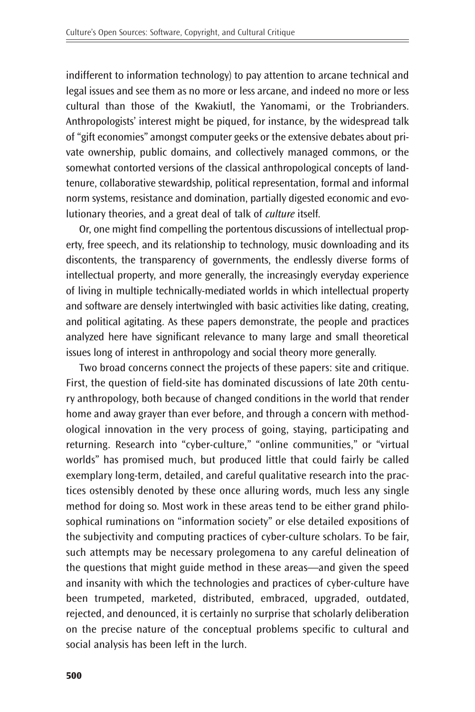indifferent to information technology) to pay attention to arcane technical and legal issues and see them as no more or less arcane, and indeed no more or less cultural than those of the Kwakiutl, the Yanomami, or the Trobrianders. Anthropologists' interest might be piqued, for instance, by the widespread talk of "gift economies" amongst computer geeks or the extensive debates about private ownership, public domains, and collectively managed commons, or the somewhat contorted versions of the classical anthropological concepts of landtenure, collaborative stewardship, political representation, formal and informal norm systems, resistance and domination, partially digested economic and evolutionary theories, and a great deal of talk of culture itself.

Or, one might find compelling the portentous discussions of intellectual property, free speech, and its relationship to technology, music downloading and its discontents, the transparency of governments, the endlessly diverse forms of intellectual property, and more generally, the increasingly everyday experience of living in multiple technically-mediated worlds in which intellectual property and software are densely intertwingled with basic activities like dating, creating, and political agitating. As these papers demonstrate, the people and practices analyzed here have significant relevance to many large and small theoretical issues long of interest in anthropology and social theory more generally.

Two broad concerns connect the projects of these papers: site and critique. First, the question of field-site has dominated discussions of late 20th century anthropology, both because of changed conditions in the world that render home and away grayer than ever before, and through a concern with methodological innovation in the very process of going, staying, participating and returning. Research into "cyber-culture," "online communities," or "virtual worlds" has promised much, but produced little that could fairly be called exemplary long-term, detailed, and careful qualitative research into the practices ostensibly denoted by these once alluring words, much less any single method for doing so. Most work in these areas tend to be either grand philosophical ruminations on "information society" or else detailed expositions of the subjectivity and computing practices of cyber-culture scholars. To be fair, such attempts may be necessary prolegomena to any careful delineation of the questions that might guide method in these areas—and given the speed and insanity with which the technologies and practices of cyber-culture have been trumpeted, marketed, distributed, embraced, upgraded, outdated, rejected, and denounced, it is certainly no surprise that scholarly deliberation on the precise nature of the conceptual problems specific to cultural and social analysis has been left in the lurch.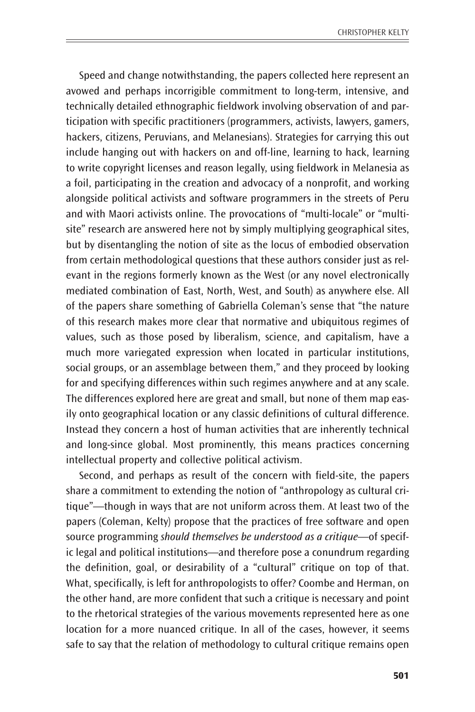Speed and change notwithstanding, the papers collected here represent an avowed and perhaps incorrigible commitment to long-term, intensive, and technically detailed ethnographic fieldwork involving observation of and participation with specific practitioners (programmers, activists, lawyers, gamers, hackers, citizens, Peruvians, and Melanesians). Strategies for carrying this out include hanging out with hackers on and off-line, learning to hack, learning to write copyright licenses and reason legally, using fieldwork in Melanesia as a foil, participating in the creation and advocacy of a nonprofit, and working alongside political activists and software programmers in the streets of Peru and with Maori activists online. The provocations of "multi-locale" or "multisite" research are answered here not by simply multiplying geographical sites, but by disentangling the notion of site as the locus of embodied observation from certain methodological questions that these authors consider just as relevant in the regions formerly known as the West (or any novel electronically mediated combination of East, North, West, and South) as anywhere else. All of the papers share something of Gabriella Coleman's sense that "the nature of this research makes more clear that normative and ubiquitous regimes of values, such as those posed by liberalism, science, and capitalism, have a much more variegated expression when located in particular institutions, social groups, or an assemblage between them," and they proceed by looking for and specifying differences within such regimes anywhere and at any scale. The differences explored here are great and small, but none of them map easily onto geographical location or any classic definitions of cultural difference. Instead they concern a host of human activities that are inherently technical and long-since global. Most prominently, this means practices concerning intellectual property and collective political activism.

Second, and perhaps as result of the concern with field-site, the papers share a commitment to extending the notion of "anthropology as cultural critique"—though in ways that are not uniform across them. At least two of the papers (Coleman, Kelty) propose that the practices of free software and open source programming should themselves be understood as a critique-of specific legal and political institutions—and therefore pose a conundrum regarding the definition, goal, or desirability of a "cultural" critique on top of that. What, specifically, is left for anthropologists to offer? Coombe and Herman, on the other hand, are more confident that such a critique is necessary and point to the rhetorical strategies of the various movements represented here as one location for a more nuanced critique. In all of the cases, however, it seems safe to say that the relation of methodology to cultural critique remains open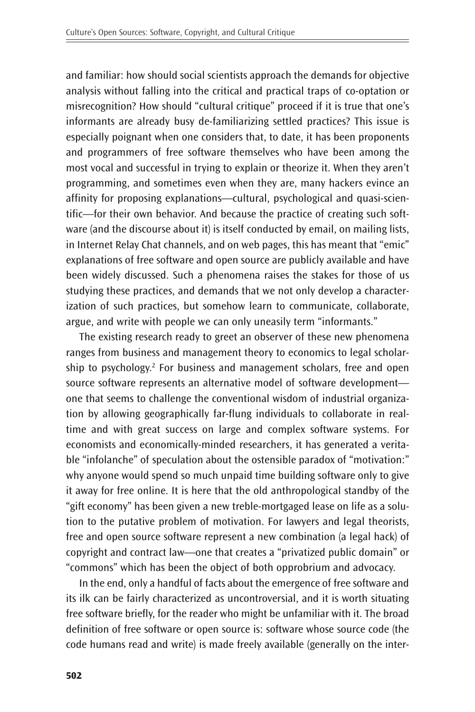and familiar: how should social scientists approach the demands for objective analysis without falling into the critical and practical traps of co-optation or misrecognition? How should "cultural critique" proceed if it is true that one's informants are already busy de-familiarizing settled practices? This issue is especially poignant when one considers that, to date, it has been proponents and programmers of free software themselves who have been among the most vocal and successful in trying to explain or theorize it. When they aren't programming, and sometimes even when they are, many hackers evince an affinity for proposing explanations—cultural, psychological and quasi-scientific—for their own behavior. And because the practice of creating such software (and the discourse about it) is itself conducted by email, on mailing lists, in Internet Relay Chat channels, and on web pages, this has meant that "emic" explanations of free software and open source are publicly available and have been widely discussed. Such a phenomena raises the stakes for those of us studying these practices, and demands that we not only develop a characterization of such practices, but somehow learn to communicate, collaborate, argue, and write with people we can only uneasily term "informants."

The existing research ready to greet an observer of these new phenomena ranges from business and management theory to economics to legal scholarship to psychology.2 For business and management scholars, free and open source software represents an alternative model of software development one that seems to challenge the conventional wisdom of industrial organization by allowing geographically far-flung individuals to collaborate in realtime and with great success on large and complex software systems. For economists and economically-minded researchers, it has generated a veritable "infolanche" of speculation about the ostensible paradox of "motivation:" why anyone would spend so much unpaid time building software only to give it away for free online. It is here that the old anthropological standby of the "gift economy" has been given a new treble-mortgaged lease on life as a solution to the putative problem of motivation. For lawyers and legal theorists, free and open source software represent a new combination (a legal hack) of copyright and contract law—one that creates a "privatized public domain" or "commons" which has been the object of both opprobrium and advocacy.

In the end, only a handful of facts about the emergence of free software and its ilk can be fairly characterized as uncontroversial, and it is worth situating free software briefly, for the reader who might be unfamiliar with it. The broad definition of free software or open source is: software whose source code (the code humans read and write) is made freely available (generally on the inter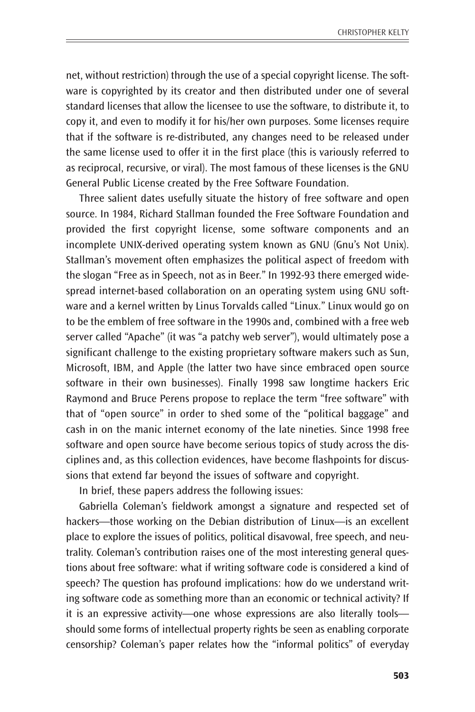net, without restriction) through the use of a special copyright license. The software is copyrighted by its creator and then distributed under one of several standard licenses that allow the licensee to use the software, to distribute it, to copy it, and even to modify it for his/her own purposes. Some licenses require that if the software is re-distributed, any changes need to be released under the same license used to offer it in the first place (this is variously referred to as reciprocal, recursive, or viral). The most famous of these licenses is the GNU General Public License created by the Free Software Foundation.

Three salient dates usefully situate the history of free software and open source. In 1984, Richard Stallman founded the Free Software Foundation and provided the first copyright license, some software components and an incomplete UNIX-derived operating system known as GNU (Gnu's Not Unix). Stallman's movement often emphasizes the political aspect of freedom with the slogan "Free as in Speech, not as in Beer." In 1992-93 there emerged widespread internet-based collaboration on an operating system using GNU software and a kernel written by Linus Torvalds called "Linux." Linux would go on to be the emblem of free software in the 1990s and, combined with a free web server called "Apache" (it was "a patchy web server"), would ultimately pose a significant challenge to the existing proprietary software makers such as Sun, Microsoft, IBM, and Apple (the latter two have since embraced open source software in their own businesses). Finally 1998 saw longtime hackers Eric Raymond and Bruce Perens propose to replace the term "free software" with that of "open source" in order to shed some of the "political baggage" and cash in on the manic internet economy of the late nineties. Since 1998 free software and open source have become serious topics of study across the disciplines and, as this collection evidences, have become flashpoints for discussions that extend far beyond the issues of software and copyright.

In brief, these papers address the following issues:

Gabriella Coleman's fieldwork amongst a signature and respected set of hackers—those working on the Debian distribution of Linux—is an excellent place to explore the issues of politics, political disavowal, free speech, and neutrality. Coleman's contribution raises one of the most interesting general questions about free software: what if writing software code is considered a kind of speech? The question has profound implications: how do we understand writing software code as something more than an economic or technical activity? If it is an expressive activity—one whose expressions are also literally tools should some forms of intellectual property rights be seen as enabling corporate censorship? Coleman's paper relates how the "informal politics" of everyday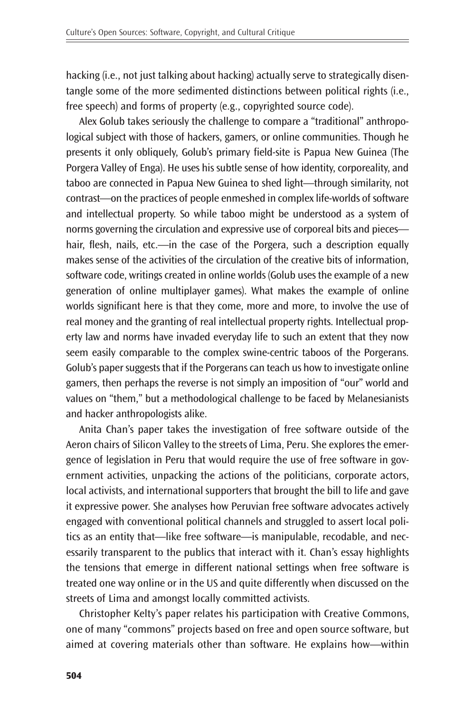hacking (i.e., not just talking about hacking) actually serve to strategically disentangle some of the more sedimented distinctions between political rights (i.e., free speech) and forms of property (e.g., copyrighted source code).

Alex Golub takes seriously the challenge to compare a "traditional" anthropological subject with those of hackers, gamers, or online communities. Though he presents it only obliquely, Golub's primary field-site is Papua New Guinea (The Porgera Valley of Enga). He uses his subtle sense of how identity, corporeality, and taboo are connected in Papua New Guinea to shed light—through similarity, not contrast—on the practices of people enmeshed in complex life-worlds of software and intellectual property. So while taboo might be understood as a system of norms governing the circulation and expressive use of corporeal bits and pieces hair, flesh, nails, etc.—in the case of the Porgera, such a description equally makes sense of the activities of the circulation of the creative bits of information, software code, writings created in online worlds (Golub uses the example of a new generation of online multiplayer games). What makes the example of online worlds significant here is that they come, more and more, to involve the use of real money and the granting of real intellectual property rights. Intellectual property law and norms have invaded everyday life to such an extent that they now seem easily comparable to the complex swine-centric taboos of the Porgerans. Golub's paper suggests that if the Porgerans can teach us how to investigate online gamers, then perhaps the reverse is not simply an imposition of "our" world and values on "them," but a methodological challenge to be faced by Melanesianists and hacker anthropologists alike.

Anita Chan's paper takes the investigation of free software outside of the Aeron chairs of Silicon Valley to the streets of Lima, Peru. She explores the emergence of legislation in Peru that would require the use of free software in government activities, unpacking the actions of the politicians, corporate actors, local activists, and international supporters that brought the bill to life and gave it expressive power. She analyses how Peruvian free software advocates actively engaged with conventional political channels and struggled to assert local politics as an entity that—like free software—is manipulable, recodable, and necessarily transparent to the publics that interact with it. Chan's essay highlights the tensions that emerge in different national settings when free software is treated one way online or in the US and quite differently when discussed on the streets of Lima and amongst locally committed activists.

Christopher Kelty's paper relates his participation with Creative Commons, one of many "commons" projects based on free and open source software, but aimed at covering materials other than software. He explains how—within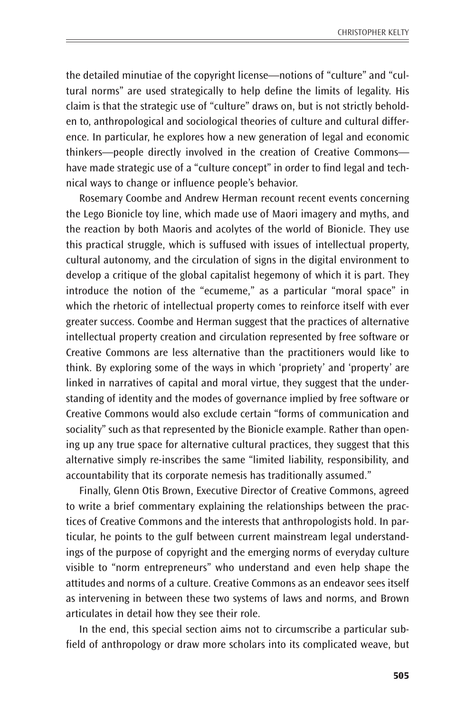the detailed minutiae of the copyright license—notions of "culture" and "cultural norms" are used strategically to help define the limits of legality. His claim is that the strategic use of "culture" draws on, but is not strictly beholden to, anthropological and sociological theories of culture and cultural difference. In particular, he explores how a new generation of legal and economic thinkers—people directly involved in the creation of Creative Commons have made strategic use of a "culture concept" in order to find legal and technical ways to change or influence people's behavior.

Rosemary Coombe and Andrew Herman recount recent events concerning the Lego Bionicle toy line, which made use of Maori imagery and myths, and the reaction by both Maoris and acolytes of the world of Bionicle. They use this practical struggle, which is suffused with issues of intellectual property, cultural autonomy, and the circulation of signs in the digital environment to develop a critique of the global capitalist hegemony of which it is part. They introduce the notion of the "ecumeme," as a particular "moral space" in which the rhetoric of intellectual property comes to reinforce itself with ever greater success. Coombe and Herman suggest that the practices of alternative intellectual property creation and circulation represented by free software or Creative Commons are less alternative than the practitioners would like to think. By exploring some of the ways in which 'propriety' and 'property' are linked in narratives of capital and moral virtue, they suggest that the understanding of identity and the modes of governance implied by free software or Creative Commons would also exclude certain "forms of communication and sociality" such as that represented by the Bionicle example. Rather than opening up any true space for alternative cultural practices, they suggest that this alternative simply re-inscribes the same "limited liability, responsibility, and accountability that its corporate nemesis has traditionally assumed."

Finally, Glenn Otis Brown, Executive Director of Creative Commons, agreed to write a brief commentary explaining the relationships between the practices of Creative Commons and the interests that anthropologists hold. In particular, he points to the gulf between current mainstream legal understandings of the purpose of copyright and the emerging norms of everyday culture visible to "norm entrepreneurs" who understand and even help shape the attitudes and norms of a culture. Creative Commons as an endeavor sees itself as intervening in between these two systems of laws and norms, and Brown articulates in detail how they see their role.

In the end, this special section aims not to circumscribe a particular subfield of anthropology or draw more scholars into its complicated weave, but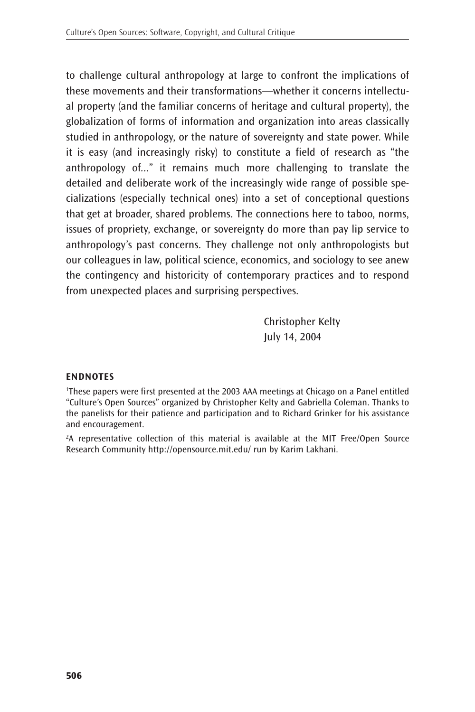to challenge cultural anthropology at large to confront the implications of these movements and their transformations—whether it concerns intellectual property (and the familiar concerns of heritage and cultural property), the globalization of forms of information and organization into areas classically studied in anthropology, or the nature of sovereignty and state power. While it is easy (and increasingly risky) to constitute a field of research as "the anthropology of..." it remains much more challenging to translate the detailed and deliberate work of the increasingly wide range of possible specializations (especially technical ones) into a set of conceptional questions that get at broader, shared problems. The connections here to taboo, norms, issues of propriety, exchange, or sovereignty do more than pay lip service to anthropology's past concerns. They challenge not only anthropologists but our colleagues in law, political science, economics, and sociology to see anew the contingency and historicity of contemporary practices and to respond from unexpected places and surprising perspectives.

> Christopher Kelty July 14, 2004

### **ENDNOTES**

1 These papers were first presented at the 2003 AAA meetings at Chicago on a Panel entitled "Culture's Open Sources" organized by Christopher Kelty and Gabriella Coleman. Thanks to the panelists for their patience and participation and to Richard Grinker for his assistance and encouragement.

2 A representative collection of this material is available at the MIT Free/Open Source Research Community http://opensource.mit.edu/ run by Karim Lakhani.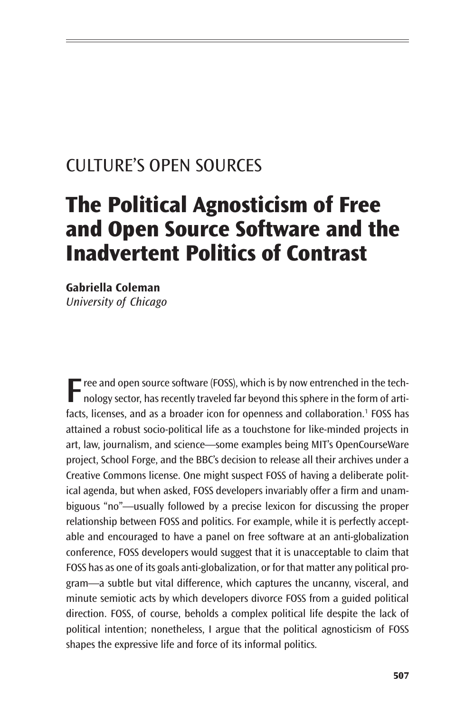## CULTURE'S OPEN SOURCES

# **The Political Agnosticism of Free and Open Source Software and the Inadvertent Politics of Contrast**

**Gabriella Coleman** University of Chicago

**F**ree and open source software (FOSS), which is by now entrenched in the tech-<br>nology sector, has recently traveled far beyond this sphere in the form of artifacts, licenses, and as a broader icon for openness and collaboration.<sup>1</sup> FOSS has attained a robust socio-political life as a touchstone for like-minded projects in art, law, journalism, and science—some examples being MIT's OpenCourseWare project, School Forge, and the BBC's decision to release all their archives under a Creative Commons license. One might suspect FOSS of having a deliberate political agenda, but when asked, FOSS developers invariably offer a firm and unambiguous "no"—usually followed by a precise lexicon for discussing the proper relationship between FOSS and politics. For example, while it is perfectly acceptable and encouraged to have a panel on free software at an anti-globalization conference, FOSS developers would suggest that it is unacceptable to claim that FOSS has as one of its goals anti-globalization, or for that matter any political program—a subtle but vital difference, which captures the uncanny, visceral, and minute semiotic acts by which developers divorce FOSS from a guided political direction. FOSS, of course, beholds a complex political life despite the lack of political intention; nonetheless, I argue that the political agnosticism of FOSS shapes the expressive life and force of its informal politics.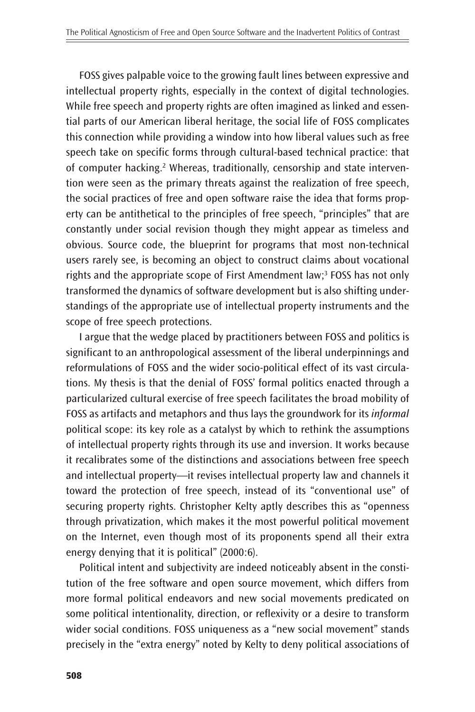FOSS gives palpable voice to the growing fault lines between expressive and intellectual property rights, especially in the context of digital technologies. While free speech and property rights are often imagined as linked and essential parts of our American liberal heritage, the social life of FOSS complicates this connection while providing a window into how liberal values such as free speech take on specific forms through cultural-based technical practice: that of computer hacking.<sup>2</sup> Whereas, traditionally, censorship and state intervention were seen as the primary threats against the realization of free speech, the social practices of free and open software raise the idea that forms property can be antithetical to the principles of free speech, "principles" that are constantly under social revision though they might appear as timeless and obvious. Source code, the blueprint for programs that most non-technical users rarely see, is becoming an object to construct claims about vocational rights and the appropriate scope of First Amendment law;<sup>3</sup> FOSS has not only transformed the dynamics of software development but is also shifting understandings of the appropriate use of intellectual property instruments and the scope of free speech protections.

I argue that the wedge placed by practitioners between FOSS and politics is significant to an anthropological assessment of the liberal underpinnings and reformulations of FOSS and the wider socio-political effect of its vast circulations. My thesis is that the denial of FOSS' formal politics enacted through a particularized cultural exercise of free speech facilitates the broad mobility of FOSS as artifacts and metaphors and thus lays the groundwork for its *informal* political scope: its key role as a catalyst by which to rethink the assumptions of intellectual property rights through its use and inversion. It works because it recalibrates some of the distinctions and associations between free speech and intellectual property—it revises intellectual property law and channels it toward the protection of free speech, instead of its "conventional use" of securing property rights. Christopher Kelty aptly describes this as "openness through privatization, which makes it the most powerful political movement on the Internet, even though most of its proponents spend all their extra energy denying that it is political" (2000:6).

Political intent and subjectivity are indeed noticeably absent in the constitution of the free software and open source movement, which differs from more formal political endeavors and new social movements predicated on some political intentionality, direction, or reflexivity or a desire to transform wider social conditions. FOSS uniqueness as a "new social movement" stands precisely in the "extra energy" noted by Kelty to deny political associations of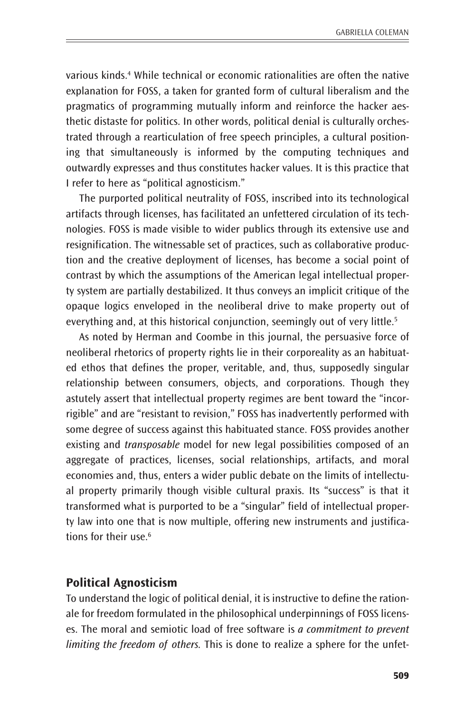various kinds.4 While technical or economic rationalities are often the native explanation for FOSS, a taken for granted form of cultural liberalism and the pragmatics of programming mutually inform and reinforce the hacker aesthetic distaste for politics. In other words, political denial is culturally orchestrated through a rearticulation of free speech principles, a cultural positioning that simultaneously is informed by the computing techniques and outwardly expresses and thus constitutes hacker values. It is this practice that I refer to here as "political agnosticism."

The purported political neutrality of FOSS, inscribed into its technological artifacts through licenses, has facilitated an unfettered circulation of its technologies. FOSS is made visible to wider publics through its extensive use and resignification. The witnessable set of practices, such as collaborative production and the creative deployment of licenses, has become a social point of contrast by which the assumptions of the American legal intellectual property system are partially destabilized. It thus conveys an implicit critique of the opaque logics enveloped in the neoliberal drive to make property out of everything and, at this historical conjunction, seemingly out of very little.<sup>5</sup>

As noted by Herman and Coombe in this journal, the persuasive force of neoliberal rhetorics of property rights lie in their corporeality as an habituated ethos that defines the proper, veritable, and, thus, supposedly singular relationship between consumers, objects, and corporations. Though they astutely assert that intellectual property regimes are bent toward the "incorrigible" and are "resistant to revision," FOSS has inadvertently performed with some degree of success against this habituated stance. FOSS provides another existing and transposable model for new legal possibilities composed of an aggregate of practices, licenses, social relationships, artifacts, and moral economies and, thus, enters a wider public debate on the limits of intellectual property primarily though visible cultural praxis. Its "success" is that it transformed what is purported to be a "singular" field of intellectual property law into one that is now multiple, offering new instruments and justifications for their use.<sup>6</sup>

### **Political Agnosticism**

To understand the logic of political denial, it is instructive to define the rationale for freedom formulated in the philosophical underpinnings of FOSS licenses. The moral and semiotic load of free software is a commitment to prevent limiting the freedom of others. This is done to realize a sphere for the unfet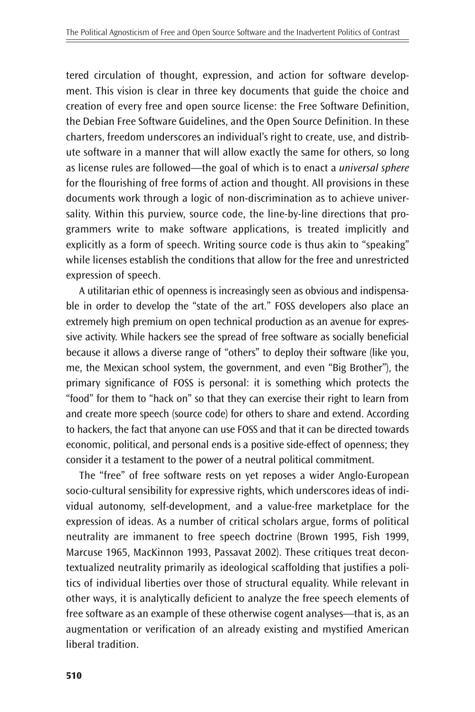tered circulation of thought, expression, and action for software development. This vision is clear in three key documents that guide the choice and creation of every free and open source license: the Free Software Definition, the Debian Free Software Guidelines, and the Open Source Definition. In these charters, freedom underscores an individual's right to create, use, and distribute software in a manner that will allow exactly the same for others, so long as license rules are followed—the goal of which is to enact a universal sphere for the flourishing of free forms of action and thought. All provisions in these documents work through a logic of non-discrimination as to achieve universality. Within this purview, source code, the line-by-line directions that programmers write to make software applications, is treated implicitly and explicitly as a form of speech. Writing source code is thus akin to "speaking" while licenses establish the conditions that allow for the free and unrestricted expression of speech.

A utilitarian ethic of openness is increasingly seen as obvious and indispensable in order to develop the "state of the art." FOSS developers also place an extremely high premium on open technical production as an avenue for expressive activity. While hackers see the spread of free software as socially beneficial because it allows a diverse range of "others" to deploy their software (like you, me, the Mexican school system, the government, and even "Big Brother"), the primary significance of FOSS is personal: it is something which protects the "food" for them to "hack on" so that they can exercise their right to learn from and create more speech (source code) for others to share and extend. According to hackers, the fact that anyone can use FOSS and that it can be directed towards economic, political, and personal ends is a positive side-effect of openness; they consider it a testament to the power of a neutral political commitment.

The "free" of free software rests on yet reposes a wider Anglo-European socio-cultural sensibility for expressive rights, which underscores ideas of individual autonomy, self-development, and a value-free marketplace for the expression of ideas. As a number of critical scholars argue, forms of political neutrality are immanent to free speech doctrine (Brown 1995, Fish 1999, Marcuse 1965, MacKinnon 1993, Passavat 2002). These critiques treat decontextualized neutrality primarily as ideological scaffolding that justifies a politics of individual liberties over those of structural equality. While relevant in other ways, it is analytically deficient to analyze the free speech elements of free software as an example of these otherwise cogent analyses—that is, as an augmentation or verification of an already existing and mystified American liberal tradition.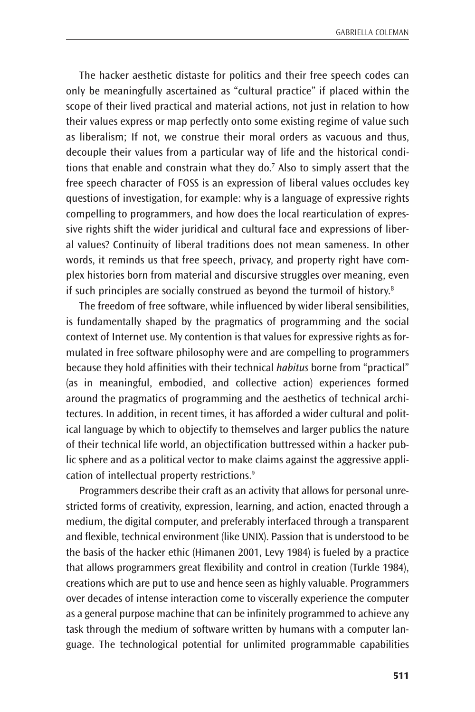The hacker aesthetic distaste for politics and their free speech codes can only be meaningfully ascertained as "cultural practice" if placed within the scope of their lived practical and material actions, not just in relation to how their values express or map perfectly onto some existing regime of value such as liberalism; If not, we construe their moral orders as vacuous and thus, decouple their values from a particular way of life and the historical conditions that enable and constrain what they do.7 Also to simply assert that the free speech character of FOSS is an expression of liberal values occludes key questions of investigation, for example: why is a language of expressive rights compelling to programmers, and how does the local rearticulation of expressive rights shift the wider juridical and cultural face and expressions of liberal values? Continuity of liberal traditions does not mean sameness. In other words, it reminds us that free speech, privacy, and property right have complex histories born from material and discursive struggles over meaning, even if such principles are socially construed as beyond the turmoil of history.8

The freedom of free software, while influenced by wider liberal sensibilities, is fundamentally shaped by the pragmatics of programming and the social context of Internet use. My contention is that values for expressive rights as formulated in free software philosophy were and are compelling to programmers because they hold affinities with their technical *habitus* borne from "practical" (as in meaningful, embodied, and collective action) experiences formed around the pragmatics of programming and the aesthetics of technical architectures. In addition, in recent times, it has afforded a wider cultural and political language by which to objectify to themselves and larger publics the nature of their technical life world, an objectification buttressed within a hacker public sphere and as a political vector to make claims against the aggressive application of intellectual property restrictions.9

Programmers describe their craft as an activity that allows for personal unrestricted forms of creativity, expression, learning, and action, enacted through a medium, the digital computer, and preferably interfaced through a transparent and flexible, technical environment (like UNIX). Passion that is understood to be the basis of the hacker ethic (Himanen 2001, Levy 1984) is fueled by a practice that allows programmers great flexibility and control in creation (Turkle 1984), creations which are put to use and hence seen as highly valuable. Programmers over decades of intense interaction come to viscerally experience the computer as a general purpose machine that can be infinitely programmed to achieve any task through the medium of software written by humans with a computer language. The technological potential for unlimited programmable capabilities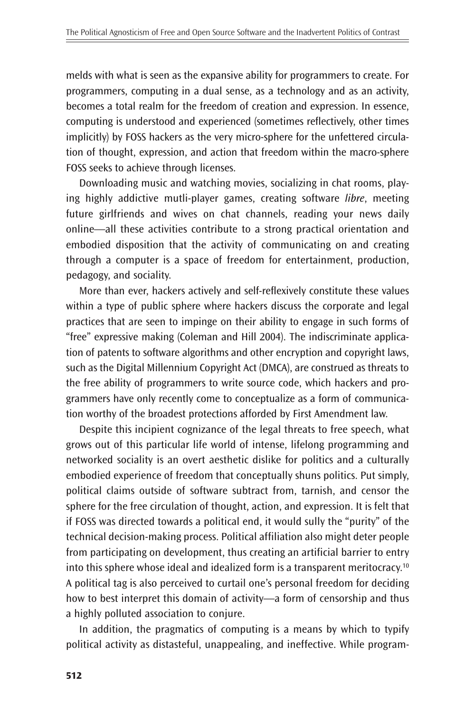melds with what is seen as the expansive ability for programmers to create. For programmers, computing in a dual sense, as a technology and as an activity, becomes a total realm for the freedom of creation and expression. In essence, computing is understood and experienced (sometimes reflectively, other times implicitly) by FOSS hackers as the very micro-sphere for the unfettered circulation of thought, expression, and action that freedom within the macro-sphere FOSS seeks to achieve through licenses.

Downloading music and watching movies, socializing in chat rooms, playing highly addictive mutli-player games, creating software *libre*, meeting future girlfriends and wives on chat channels, reading your news daily online—all these activities contribute to a strong practical orientation and embodied disposition that the activity of communicating on and creating through a computer is a space of freedom for entertainment, production, pedagogy, and sociality.

More than ever, hackers actively and self-reflexively constitute these values within a type of public sphere where hackers discuss the corporate and legal practices that are seen to impinge on their ability to engage in such forms of "free" expressive making (Coleman and Hill 2004). The indiscriminate application of patents to software algorithms and other encryption and copyright laws, such as the Digital Millennium Copyright Act (DMCA), are construed as threats to the free ability of programmers to write source code, which hackers and programmers have only recently come to conceptualize as a form of communication worthy of the broadest protections afforded by First Amendment law.

Despite this incipient cognizance of the legal threats to free speech, what grows out of this particular life world of intense, lifelong programming and networked sociality is an overt aesthetic dislike for politics and a culturally embodied experience of freedom that conceptually shuns politics. Put simply, political claims outside of software subtract from, tarnish, and censor the sphere for the free circulation of thought, action, and expression. It is felt that if FOSS was directed towards a political end, it would sully the "purity" of the technical decision-making process. Political affiliation also might deter people from participating on development, thus creating an artificial barrier to entry into this sphere whose ideal and idealized form is a transparent meritocracy.10 A political tag is also perceived to curtail one's personal freedom for deciding how to best interpret this domain of activity—a form of censorship and thus a highly polluted association to conjure.

In addition, the pragmatics of computing is a means by which to typify political activity as distasteful, unappealing, and ineffective. While program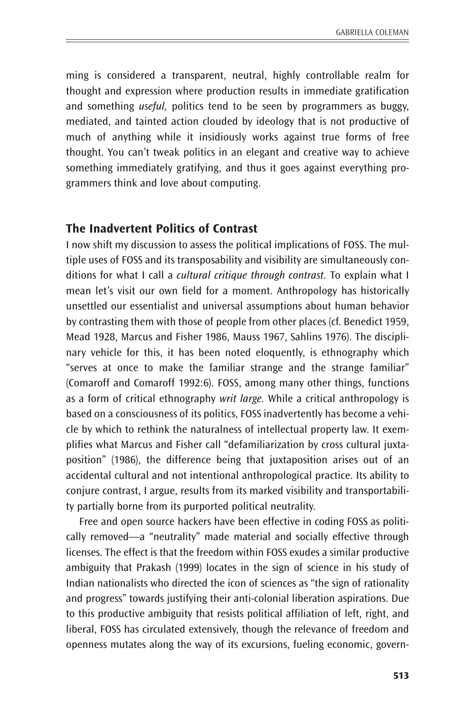ming is considered a transparent, neutral, highly controllable realm for thought and expression where production results in immediate gratification and something useful, politics tend to be seen by programmers as buggy, mediated, and tainted action clouded by ideology that is not productive of much of anything while it insidiously works against true forms of free thought. You can't tweak politics in an elegant and creative way to achieve something immediately gratifying, and thus it goes against everything programmers think and love about computing.

### **The Inadvertent Politics of Contrast**

I now shift my discussion to assess the political implications of FOSS. The multiple uses of FOSS and its transposability and visibility are simultaneously conditions for what I call a *cultural critique through contrast*. To explain what I mean let's visit our own field for a moment. Anthropology has historically unsettled our essentialist and universal assumptions about human behavior by contrasting them with those of people from other places (cf. Benedict 1959, Mead 1928, Marcus and Fisher 1986, Mauss 1967, Sahlins 1976). The disciplinary vehicle for this, it has been noted eloquently, is ethnography which "serves at once to make the familiar strange and the strange familiar" (Comaroff and Comaroff 1992:6). FOSS, among many other things, functions as a form of critical ethnography writ large. While a critical anthropology is based on a consciousness of its politics, FOSS inadvertently has become a vehicle by which to rethink the naturalness of intellectual property law. It exemplifies what Marcus and Fisher call "defamiliarization by cross cultural juxtaposition" (1986), the difference being that juxtaposition arises out of an accidental cultural and not intentional anthropological practice. Its ability to conjure contrast, I argue, results from its marked visibility and transportability partially borne from its purported political neutrality.

Free and open source hackers have been effective in coding FOSS as politically removed—a "neutrality" made material and socially effective through licenses. The effect is that the freedom within FOSS exudes a similar productive ambiguity that Prakash (1999) locates in the sign of science in his study of Indian nationalists who directed the icon of sciences as "the sign of rationality and progress" towards justifying their anti-colonial liberation aspirations. Due to this productive ambiguity that resists political affiliation of left, right, and liberal, FOSS has circulated extensively, though the relevance of freedom and openness mutates along the way of its excursions, fueling economic, govern-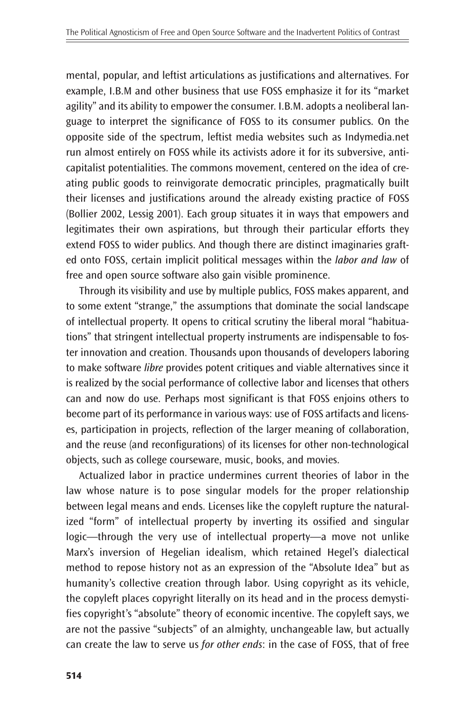mental, popular, and leftist articulations as justifications and alternatives. For example, I.B.M and other business that use FOSS emphasize it for its "market agility" and its ability to empower the consumer. I.B.M. adopts a neoliberal language to interpret the significance of FOSS to its consumer publics. On the opposite side of the spectrum, leftist media websites such as Indymedia.net run almost entirely on FOSS while its activists adore it for its subversive, anticapitalist potentialities. The commons movement, centered on the idea of creating public goods to reinvigorate democratic principles, pragmatically built their licenses and justifications around the already existing practice of FOSS (Bollier 2002, Lessig 2001). Each group situates it in ways that empowers and legitimates their own aspirations, but through their particular efforts they extend FOSS to wider publics. And though there are distinct imaginaries grafted onto FOSS, certain implicit political messages within the labor and law of free and open source software also gain visible prominence.

Through its visibility and use by multiple publics, FOSS makes apparent, and to some extent "strange," the assumptions that dominate the social landscape of intellectual property. It opens to critical scrutiny the liberal moral "habituations" that stringent intellectual property instruments are indispensable to foster innovation and creation. Thousands upon thousands of developers laboring to make software libre provides potent critiques and viable alternatives since it is realized by the social performance of collective labor and licenses that others can and now do use. Perhaps most significant is that FOSS enjoins others to become part of its performance in various ways: use of FOSS artifacts and licenses, participation in projects, reflection of the larger meaning of collaboration, and the reuse (and reconfigurations) of its licenses for other non-technological objects, such as college courseware, music, books, and movies.

Actualized labor in practice undermines current theories of labor in the law whose nature is to pose singular models for the proper relationship between legal means and ends. Licenses like the copyleft rupture the naturalized "form" of intellectual property by inverting its ossified and singular logic—through the very use of intellectual property—a move not unlike Marx's inversion of Hegelian idealism, which retained Hegel's dialectical method to repose history not as an expression of the "Absolute Idea" but as humanity's collective creation through labor. Using copyright as its vehicle, the copyleft places copyright literally on its head and in the process demystifies copyright's "absolute" theory of economic incentive. The copyleft says, we are not the passive "subjects" of an almighty, unchangeable law, but actually can create the law to serve us for other ends: in the case of FOSS, that of free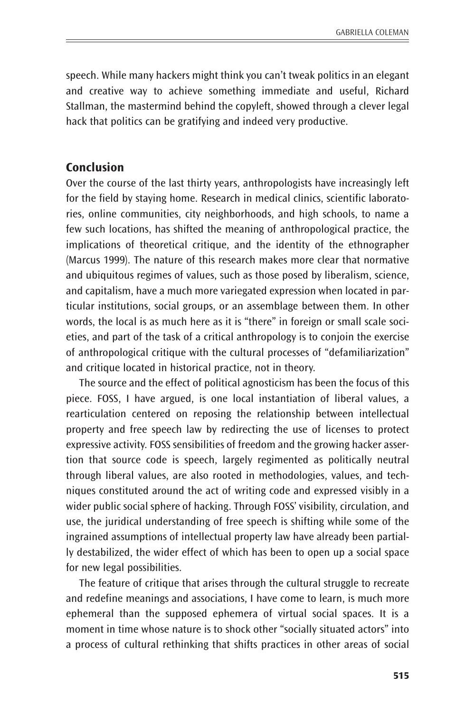speech. While many hackers might think you can't tweak politics in an elegant and creative way to achieve something immediate and useful, Richard Stallman, the mastermind behind the copyleft, showed through a clever legal hack that politics can be gratifying and indeed very productive.

### **Conclusion**

Over the course of the last thirty years, anthropologists have increasingly left for the field by staying home. Research in medical clinics, scientific laboratories, online communities, city neighborhoods, and high schools, to name a few such locations, has shifted the meaning of anthropological practice, the implications of theoretical critique, and the identity of the ethnographer (Marcus 1999). The nature of this research makes more clear that normative and ubiquitous regimes of values, such as those posed by liberalism, science, and capitalism, have a much more variegated expression when located in particular institutions, social groups, or an assemblage between them. In other words, the local is as much here as it is "there" in foreign or small scale societies, and part of the task of a critical anthropology is to conjoin the exercise of anthropological critique with the cultural processes of "defamiliarization" and critique located in historical practice, not in theory.

The source and the effect of political agnosticism has been the focus of this piece. FOSS, I have argued, is one local instantiation of liberal values, a rearticulation centered on reposing the relationship between intellectual property and free speech law by redirecting the use of licenses to protect expressive activity. FOSS sensibilities of freedom and the growing hacker assertion that source code is speech, largely regimented as politically neutral through liberal values, are also rooted in methodologies, values, and techniques constituted around the act of writing code and expressed visibly in a wider public social sphere of hacking. Through FOSS' visibility, circulation, and use, the juridical understanding of free speech is shifting while some of the ingrained assumptions of intellectual property law have already been partially destabilized, the wider effect of which has been to open up a social space for new legal possibilities.

The feature of critique that arises through the cultural struggle to recreate and redefine meanings and associations, I have come to learn, is much more ephemeral than the supposed ephemera of virtual social spaces. It is a moment in time whose nature is to shock other "socially situated actors" into a process of cultural rethinking that shifts practices in other areas of social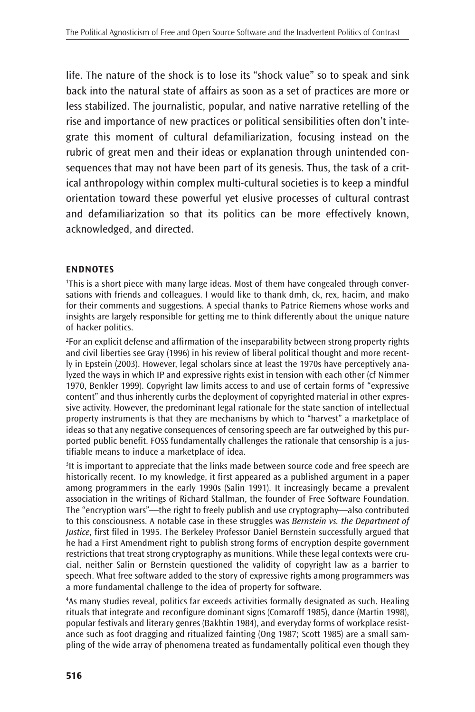life. The nature of the shock is to lose its "shock value" so to speak and sink back into the natural state of affairs as soon as a set of practices are more or less stabilized. The journalistic, popular, and native narrative retelling of the rise and importance of new practices or political sensibilities often don't integrate this moment of cultural defamiliarization, focusing instead on the rubric of great men and their ideas or explanation through unintended consequences that may not have been part of its genesis. Thus, the task of a critical anthropology within complex multi-cultural societies is to keep a mindful orientation toward these powerful yet elusive processes of cultural contrast and defamiliarization so that its politics can be more effectively known, acknowledged, and directed.

### **ENDNOTES**

1 This is a short piece with many large ideas. Most of them have congealed through conversations with friends and colleagues. I would like to thank dmh, ck, rex, hacim, and mako for their comments and suggestions. A special thanks to Patrice Riemens whose works and insights are largely responsible for getting me to think differently about the unique nature of hacker politics.

2 For an explicit defense and affirmation of the inseparability between strong property rights and civil liberties see Gray (1996) in his review of liberal political thought and more recently in Epstein (2003). However, legal scholars since at least the 1970s have perceptively analyzed the ways in which IP and expressive rights exist in tension with each other (cf Nimmer 1970, Benkler 1999). Copyright law limits access to and use of certain forms of "expressive content" and thus inherently curbs the deployment of copyrighted material in other expressive activity. However, the predominant legal rationale for the state sanction of intellectual property instruments is that they are mechanisms by which to "harvest" a marketplace of ideas so that any negative consequences of censoring speech are far outweighed by this purported public benefit. FOSS fundamentally challenges the rationale that censorship is a justifiable means to induce a marketplace of idea.

3 It is important to appreciate that the links made between source code and free speech are historically recent. To my knowledge, it first appeared as a published argument in a paper among programmers in the early 1990s (Salin 1991). It increasingly became a prevalent association in the writings of Richard Stallman, the founder of Free Software Foundation. The "encryption wars"—the right to freely publish and use cryptography—also contributed to this consciousness. A notable case in these struggles was Bernstein vs. the Department of Justice, first filed in 1995. The Berkeley Professor Daniel Bernstein successfully argued that he had a First Amendment right to publish strong forms of encryption despite government restrictions that treat strong cryptography as munitions. While these legal contexts were crucial, neither Salin or Bernstein questioned the validity of copyright law as a barrier to speech. What free software added to the story of expressive rights among programmers was a more fundamental challenge to the idea of property for software.

4 As many studies reveal, politics far exceeds activities formally designated as such. Healing rituals that integrate and reconfigure dominant signs (Comaroff 1985), dance (Martin 1998), popular festivals and literary genres (Bakhtin 1984), and everyday forms of workplace resistance such as foot dragging and ritualized fainting (Ong 1987; Scott 1985) are a small sampling of the wide array of phenomena treated as fundamentally political even though they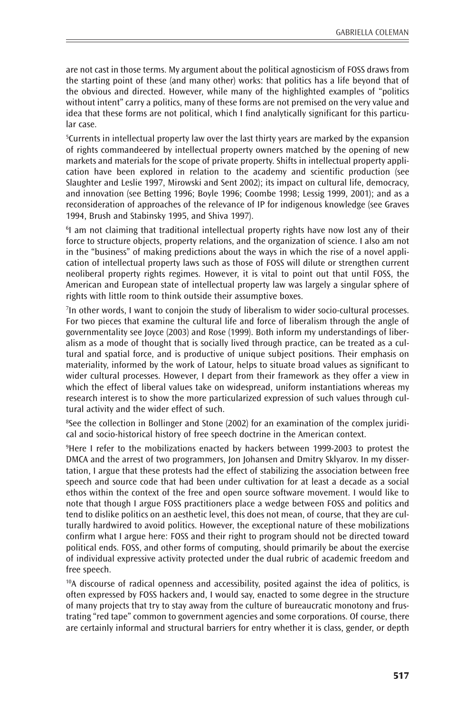are not cast in those terms. My argument about the political agnosticism of FOSS draws from the starting point of these (and many other) works: that politics has a life beyond that of the obvious and directed. However, while many of the highlighted examples of "politics without intent" carry a politics, many of these forms are not premised on the very value and idea that these forms are not political, which I find analytically significant for this particular case.

5 Currents in intellectual property law over the last thirty years are marked by the expansion of rights commandeered by intellectual property owners matched by the opening of new markets and materials for the scope of private property. Shifts in intellectual property application have been explored in relation to the academy and scientific production (see Slaughter and Leslie 1997, Mirowski and Sent 2002); its impact on cultural life, democracy, and innovation (see Betting 1996; Boyle 1996; Coombe 1998; Lessig 1999, 2001); and as a reconsideration of approaches of the relevance of IP for indigenous knowledge (see Graves 1994, Brush and Stabinsky 1995, and Shiva 1997).

<sup>6</sup>I am not claiming that traditional intellectual property rights have now lost any of their force to structure objects, property relations, and the organization of science. I also am not in the "business" of making predictions about the ways in which the rise of a novel application of intellectual property laws such as those of FOSS will dilute or strengthen current neoliberal property rights regimes. However, it is vital to point out that until FOSS, the American and European state of intellectual property law was largely a singular sphere of rights with little room to think outside their assumptive boxes.

7 In other words, I want to conjoin the study of liberalism to wider socio-cultural processes. For two pieces that examine the cultural life and force of liberalism through the angle of governmentality see Joyce (2003) and Rose (1999). Both inform my understandings of liberalism as a mode of thought that is socially lived through practice, can be treated as a cultural and spatial force, and is productive of unique subject positions. Their emphasis on materiality, informed by the work of Latour, helps to situate broad values as significant to wider cultural processes. However, I depart from their framework as they offer a view in which the effect of liberal values take on widespread, uniform instantiations whereas my research interest is to show the more particularized expression of such values through cultural activity and the wider effect of such.

8 See the collection in Bollinger and Stone (2002) for an examination of the complex juridical and socio-historical history of free speech doctrine in the American context.

9 Here I refer to the mobilizations enacted by hackers between 1999-2003 to protest the DMCA and the arrest of two programmers, Jon Johansen and Dmitry Sklyarov. In my dissertation, I argue that these protests had the effect of stabilizing the association between free speech and source code that had been under cultivation for at least a decade as a social ethos within the context of the free and open source software movement. I would like to note that though I argue FOSS practitioners place a wedge between FOSS and politics and tend to dislike politics on an aesthetic level, this does not mean, of course, that they are culturally hardwired to avoid politics. However, the exceptional nature of these mobilizations confirm what I argue here: FOSS and their right to program should not be directed toward political ends. FOSS, and other forms of computing, should primarily be about the exercise of individual expressive activity protected under the dual rubric of academic freedom and free speech.

10A discourse of radical openness and accessibility, posited against the idea of politics, is often expressed by FOSS hackers and, I would say, enacted to some degree in the structure of many projects that try to stay away from the culture of bureaucratic monotony and frustrating "red tape" common to government agencies and some corporations. Of course, there are certainly informal and structural barriers for entry whether it is class, gender, or depth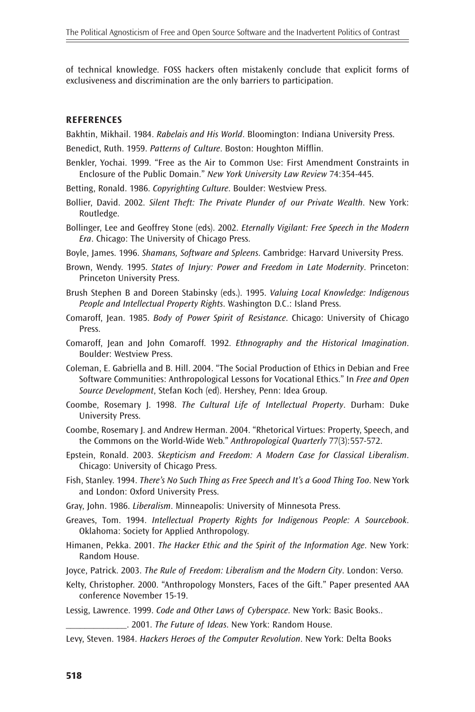of technical knowledge. FOSS hackers often mistakenly conclude that explicit forms of exclusiveness and discrimination are the only barriers to participation.

#### **REFERENCES**

Bakhtin, Mikhail. 1984. Rabelais and His World. Bloomington: Indiana University Press.

Benedict, Ruth. 1959. Patterns of Culture. Boston: Houghton Mifflin.

- Benkler, Yochai. 1999. "Free as the Air to Common Use: First Amendment Constraints in Enclosure of the Public Domain." New York University Law Review 74:354-445.
- Betting, Ronald. 1986. Copyrighting Culture. Boulder: Westview Press.
- Bollier, David. 2002. Silent Theft: The Private Plunder of our Private Wealth. New York: Routledge.
- Bollinger, Lee and Geoffrey Stone (eds). 2002. Eternally Vigilant: Free Speech in the Modern Era. Chicago: The University of Chicago Press.

Boyle, James. 1996. Shamans, Software and Spleens. Cambridge: Harvard University Press.

- Brown, Wendy. 1995. States of Injury: Power and Freedom in Late Modernity. Princeton: Princeton University Press.
- Brush Stephen B and Doreen Stabinsky (eds.). 1995. Valuing Local Knowledge: Indigenous People and Intellectual Property Rights. Washington D.C.: Island Press.
- Comaroff, Jean. 1985. Body of Power Spirit of Resistance. Chicago: University of Chicago Press.
- Comaroff, Jean and John Comaroff. 1992. Ethnography and the Historical Imagination. Boulder: Westview Press.
- Coleman, E. Gabriella and B. Hill. 2004. "The Social Production of Ethics in Debian and Free Software Communities: Anthropological Lessons for Vocational Ethics." In Free and Open Source Development, Stefan Koch (ed). Hershey, Penn: Idea Group.
- Coombe, Rosemary J. 1998. The Cultural Life of Intellectual Property. Durham: Duke University Press.
- Coombe, Rosemary J. and Andrew Herman. 2004. "Rhetorical Virtues: Property, Speech, and the Commons on the World-Wide Web." Anthropological Quarterly 77(3):557-572.
- Epstein, Ronald. 2003. Skepticism and Freedom: A Modern Case for Classical Liberalism. Chicago: University of Chicago Press.
- Fish, Stanley. 1994. There's No Such Thing as Free Speech and It's a Good Thing Too. New York and London: Oxford University Press.
- Gray, John. 1986. Liberalism. Minneapolis: University of Minnesota Press.
- Greaves, Tom. 1994. Intellectual Property Rights for Indigenous People: A Sourcebook. Oklahoma: Society for Applied Anthropology.
- Himanen, Pekka. 2001. The Hacker Ethic and the Spirit of the Information Age. New York: Random House.
- Joyce, Patrick. 2003. The Rule of Freedom: Liberalism and the Modern City. London: Verso.
- Kelty, Christopher. 2000. "Anthropology Monsters, Faces of the Gift." Paper presented AAA conference November 15-19.

Lessig, Lawrence. 1999. Code and Other Laws of Cyberspace. New York: Basic Books..

. 2001. The Future of Ideas. New York: Random House.

Levy, Steven. 1984. Hackers Heroes of the Computer Revolution. New York: Delta Books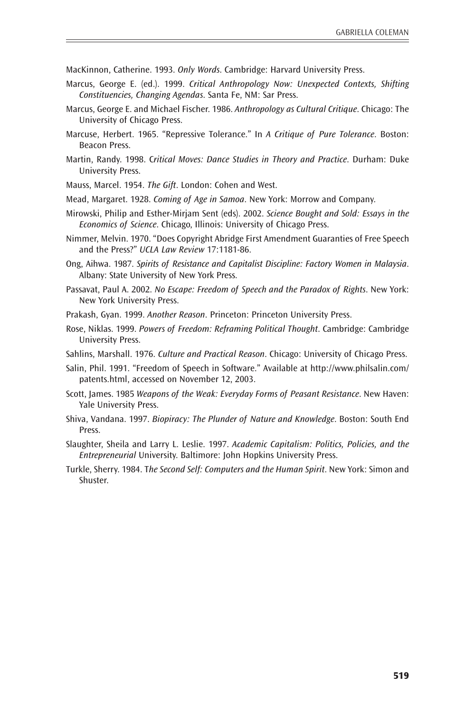MacKinnon, Catherine. 1993. Only Words. Cambridge: Harvard University Press.

- Marcus, George E. (ed.). 1999. Critical Anthropology Now: Unexpected Contexts, Shifting Constituencies, Changing Agendas. Santa Fe, NM: Sar Press.
- Marcus, George E. and Michael Fischer. 1986. Anthropology as Cultural Critique. Chicago: The University of Chicago Press.
- Marcuse, Herbert. 1965. "Repressive Tolerance." In A Critique of Pure Tolerance. Boston: Beacon Press.
- Martin, Randy. 1998. Critical Moves: Dance Studies in Theory and Practice. Durham: Duke University Press.
- Mauss, Marcel. 1954. The Gift. London: Cohen and West.
- Mead, Margaret. 1928. Coming of Age in Samoa. New York: Morrow and Company.
- Mirowski, Philip and Esther-Mirjam Sent (eds). 2002. Science Bought and Sold: Essays in the Economics of Science. Chicago, Illinois: University of Chicago Press.
- Nimmer, Melvin. 1970. "Does Copyright Abridge First Amendment Guaranties of Free Speech and the Press?" UCLA Law Review 17:1181-86.
- Ong, Aihwa. 1987. Spirits of Resistance and Capitalist Discipline: Factory Women in Malaysia. Albany: State University of New York Press.
- Passavat, Paul A. 2002. No Escape: Freedom of Speech and the Paradox of Rights. New York: New York University Press.
- Prakash, Gyan. 1999. Another Reason. Princeton: Princeton University Press.
- Rose, Niklas. 1999. Powers of Freedom: Reframing Political Thought. Cambridge: Cambridge University Press.
- Sahlins, Marshall. 1976. Culture and Practical Reason. Chicago: University of Chicago Press.
- Salin, Phil. 1991. "Freedom of Speech in Software." Available at http://www.philsalin.com/ patents.html, accessed on November 12, 2003.
- Scott, James. 1985 Weapons of the Weak: Everyday Forms of Peasant Resistance. New Haven: Yale University Press.
- Shiva, Vandana. 1997. Biopiracy: The Plunder of Nature and Knowledge. Boston: South End Press.
- Slaughter, Sheila and Larry L. Leslie. 1997. Academic Capitalism: Politics, Policies, and the Entrepreneurial University. Baltimore: John Hopkins University Press.
- Turkle, Sherry. 1984. The Second Self: Computers and the Human Spirit. New York: Simon and Shuster.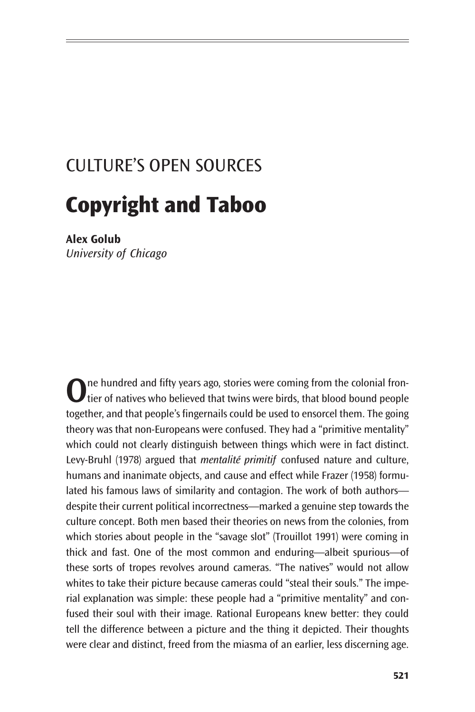# CULTURE'S OPEN SOURCES **Copyright and Taboo**

### **Alex Golub**

University of Chicago

**O**ne hundred and fifty years ago, stories were coming from the colonial frontier of natives who believed that twins were birds, that blood bound people together, and that people's fingernails could be used to ensorcel them. The going theory was that non-Europeans were confused. They had a "primitive mentality" which could not clearly distinguish between things which were in fact distinct. Levy-Bruhl (1978) argued that *mentalité primitif* confused nature and culture, humans and inanimate objects, and cause and effect while Frazer (1958) formulated his famous laws of similarity and contagion. The work of both authors despite their current political incorrectness—marked a genuine step towards the culture concept. Both men based their theories on news from the colonies, from which stories about people in the "savage slot" (Trouillot 1991) were coming in thick and fast. One of the most common and enduring—albeit spurious—of these sorts of tropes revolves around cameras. "The natives" would not allow whites to take their picture because cameras could "steal their souls." The imperial explanation was simple: these people had a "primitive mentality" and confused their soul with their image. Rational Europeans knew better: they could tell the difference between a picture and the thing it depicted. Their thoughts were clear and distinct, freed from the miasma of an earlier, less discerning age.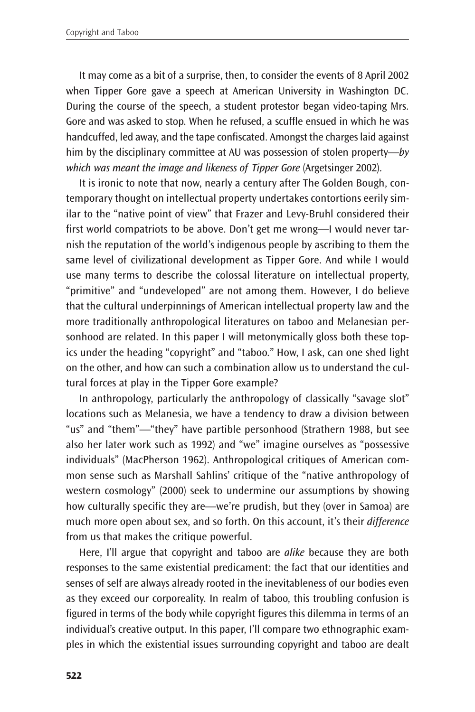It may come as a bit of a surprise, then, to consider the events of 8 April 2002 when Tipper Gore gave a speech at American University in Washington DC. During the course of the speech, a student protestor began video-taping Mrs. Gore and was asked to stop. When he refused, a scuffle ensued in which he was handcuffed, led away, and the tape confiscated. Amongst the charges laid against him by the disciplinary committee at AU was possession of stolen property—by which was meant the image and likeness of Tipper Gore (Argetsinger 2002).

It is ironic to note that now, nearly a century after The Golden Bough, contemporary thought on intellectual property undertakes contortions eerily similar to the "native point of view" that Frazer and Levy-Bruhl considered their first world compatriots to be above. Don't get me wrong—I would never tarnish the reputation of the world's indigenous people by ascribing to them the same level of civilizational development as Tipper Gore. And while I would use many terms to describe the colossal literature on intellectual property, "primitive" and "undeveloped" are not among them. However, I do believe that the cultural underpinnings of American intellectual property law and the more traditionally anthropological literatures on taboo and Melanesian personhood are related. In this paper I will metonymically gloss both these topics under the heading "copyright" and "taboo." How, I ask, can one shed light on the other, and how can such a combination allow us to understand the cultural forces at play in the Tipper Gore example?

In anthropology, particularly the anthropology of classically "savage slot" locations such as Melanesia, we have a tendency to draw a division between "us" and "them"—"they" have partible personhood (Strathern 1988, but see also her later work such as 1992) and "we" imagine ourselves as "possessive individuals" (MacPherson 1962). Anthropological critiques of American common sense such as Marshall Sahlins' critique of the "native anthropology of western cosmology" (2000) seek to undermine our assumptions by showing how culturally specific they are—we're prudish, but they (over in Samoa) are much more open about sex, and so forth. On this account, it's their *difference* from us that makes the critique powerful.

Here, I'll argue that copyright and taboo are *alike* because they are both responses to the same existential predicament: the fact that our identities and senses of self are always already rooted in the inevitableness of our bodies even as they exceed our corporeality. In realm of taboo, this troubling confusion is figured in terms of the body while copyright figures this dilemma in terms of an individual's creative output. In this paper, I'll compare two ethnographic examples in which the existential issues surrounding copyright and taboo are dealt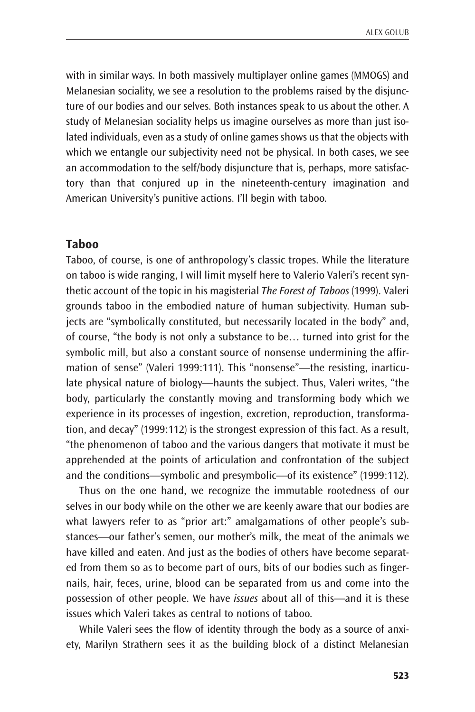with in similar ways. In both massively multiplayer online games (MMOGS) and Melanesian sociality, we see a resolution to the problems raised by the disjuncture of our bodies and our selves. Both instances speak to us about the other. A study of Melanesian sociality helps us imagine ourselves as more than just isolated individuals, even as a study of online games shows us that the objects with which we entangle our subjectivity need not be physical. In both cases, we see an accommodation to the self/body disjuncture that is, perhaps, more satisfactory than that conjured up in the nineteenth-century imagination and American University's punitive actions. I'll begin with taboo.

### **Taboo**

Taboo, of course, is one of anthropology's classic tropes. While the literature on taboo is wide ranging, I will limit myself here to Valerio Valeri's recent synthetic account of the topic in his magisterial The Forest of Taboos (1999). Valeri grounds taboo in the embodied nature of human subjectivity. Human subjects are "symbolically constituted, but necessarily located in the body" and, of course, "the body is not only a substance to be… turned into grist for the symbolic mill, but also a constant source of nonsense undermining the affirmation of sense" (Valeri 1999:111). This "nonsense"—the resisting, inarticulate physical nature of biology—haunts the subject. Thus, Valeri writes, "the body, particularly the constantly moving and transforming body which we experience in its processes of ingestion, excretion, reproduction, transformation, and decay" (1999:112) is the strongest expression of this fact. As a result, "the phenomenon of taboo and the various dangers that motivate it must be apprehended at the points of articulation and confrontation of the subject and the conditions—symbolic and presymbolic—of its existence" (1999:112).

Thus on the one hand, we recognize the immutable rootedness of our selves in our body while on the other we are keenly aware that our bodies are what lawyers refer to as "prior art:" amalgamations of other people's substances—our father's semen, our mother's milk, the meat of the animals we have killed and eaten. And just as the bodies of others have become separated from them so as to become part of ours, bits of our bodies such as fingernails, hair, feces, urine, blood can be separated from us and come into the possession of other people. We have issues about all of this—and it is these issues which Valeri takes as central to notions of taboo.

While Valeri sees the flow of identity through the body as a source of anxiety, Marilyn Strathern sees it as the building block of a distinct Melanesian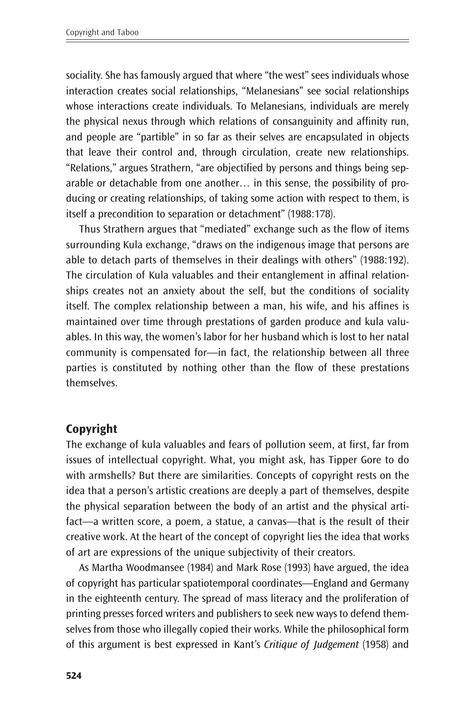sociality. She has famously argued that where "the west" sees individuals whose interaction creates social relationships, "Melanesians" see social relationships whose interactions create individuals. To Melanesians, individuals are merely the physical nexus through which relations of consanguinity and affinity run, and people are "partible" in so far as their selves are encapsulated in objects that leave their control and, through circulation, create new relationships. "Relations," argues Strathern, "are objectified by persons and things being separable or detachable from one another… in this sense, the possibility of producing or creating relationships, of taking some action with respect to them, is itself a precondition to separation or detachment" (1988:178).

Thus Strathern argues that "mediated" exchange such as the flow of items surrounding Kula exchange, "draws on the indigenous image that persons are able to detach parts of themselves in their dealings with others" (1988:192). The circulation of Kula valuables and their entanglement in affinal relationships creates not an anxiety about the self, but the conditions of sociality itself. The complex relationship between a man, his wife, and his affines is maintained over time through prestations of garden produce and kula valuables. In this way, the women's labor for her husband which is lost to her natal community is compensated for—in fact, the relationship between all three parties is constituted by nothing other than the flow of these prestations themselves.

### **Copyright**

The exchange of kula valuables and fears of pollution seem, at first, far from issues of intellectual copyright. What, you might ask, has Tipper Gore to do with armshells? But there are similarities. Concepts of copyright rests on the idea that a person's artistic creations are deeply a part of themselves, despite the physical separation between the body of an artist and the physical artifact—a written score, a poem, a statue, a canvas—that is the result of their creative work. At the heart of the concept of copyright lies the idea that works of art are expressions of the unique subjectivity of their creators.

As Martha Woodmansee (1984) and Mark Rose (1993) have argued, the idea of copyright has particular spatiotemporal coordinates—England and Germany in the eighteenth century. The spread of mass literacy and the proliferation of printing presses forced writers and publishers to seek new ways to defend themselves from those who illegally copied their works. While the philosophical form of this argument is best expressed in Kant's Critique of Judgement (1958) and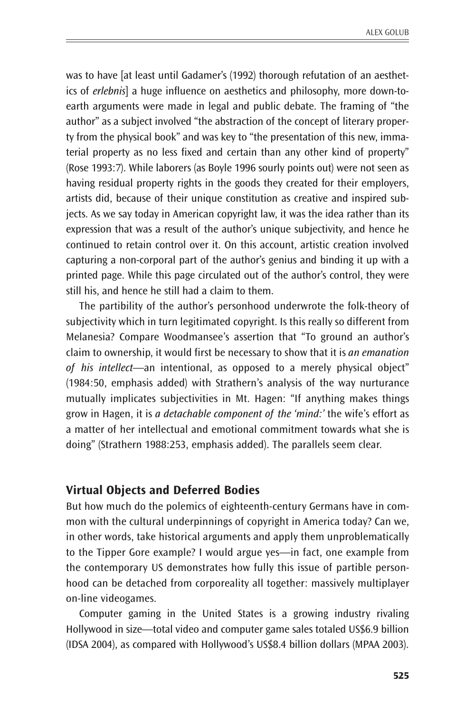was to have [at least until Gadamer's (1992) thorough refutation of an aesthetics of erlebnis] a huge influence on aesthetics and philosophy, more down-toearth arguments were made in legal and public debate. The framing of "the author" as a subject involved "the abstraction of the concept of literary property from the physical book" and was key to "the presentation of this new, immaterial property as no less fixed and certain than any other kind of property" (Rose 1993:7). While laborers (as Boyle 1996 sourly points out) were not seen as having residual property rights in the goods they created for their employers, artists did, because of their unique constitution as creative and inspired subjects. As we say today in American copyright law, it was the idea rather than its expression that was a result of the author's unique subjectivity, and hence he continued to retain control over it. On this account, artistic creation involved capturing a non-corporal part of the author's genius and binding it up with a printed page. While this page circulated out of the author's control, they were still his, and hence he still had a claim to them.

The partibility of the author's personhood underwrote the folk-theory of subjectivity which in turn legitimated copyright. Is this really so different from Melanesia? Compare Woodmansee's assertion that "To ground an author's claim to ownership, it would first be necessary to show that it is an emanation of his intellect—an intentional, as opposed to a merely physical object" (1984:50, emphasis added) with Strathern's analysis of the way nurturance mutually implicates subjectivities in Mt. Hagen: "If anything makes things grow in Hagen, it is a detachable component of the 'mind:' the wife's effort as a matter of her intellectual and emotional commitment towards what she is doing" (Strathern 1988:253, emphasis added). The parallels seem clear.

### **Virtual Objects and Deferred Bodies**

But how much do the polemics of eighteenth-century Germans have in common with the cultural underpinnings of copyright in America today? Can we, in other words, take historical arguments and apply them unproblematically to the Tipper Gore example? I would argue yes—in fact, one example from the contemporary US demonstrates how fully this issue of partible personhood can be detached from corporeality all together: massively multiplayer on-line videogames.

Computer gaming in the United States is a growing industry rivaling Hollywood in size—total video and computer game sales totaled US\$6.9 billion (IDSA 2004), as compared with Hollywood's US\$8.4 billion dollars (MPAA 2003).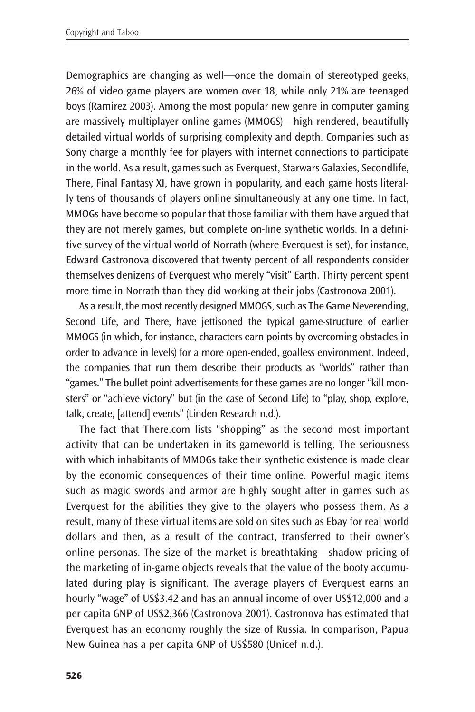Demographics are changing as well—once the domain of stereotyped geeks, 26% of video game players are women over 18, while only 21% are teenaged boys (Ramirez 2003). Among the most popular new genre in computer gaming are massively multiplayer online games (MMOGS)—high rendered, beautifully detailed virtual worlds of surprising complexity and depth. Companies such as Sony charge a monthly fee for players with internet connections to participate in the world. As a result, games such as Everquest, Starwars Galaxies, Secondlife, There, Final Fantasy XI, have grown in popularity, and each game hosts literally tens of thousands of players online simultaneously at any one time. In fact, MMOGs have become so popular that those familiar with them have argued that they are not merely games, but complete on-line synthetic worlds. In a definitive survey of the virtual world of Norrath (where Everquest is set), for instance, Edward Castronova discovered that twenty percent of all respondents consider themselves denizens of Everquest who merely "visit" Earth. Thirty percent spent more time in Norrath than they did working at their jobs (Castronova 2001).

As a result, the most recently designed MMOGS, such as The Game Neverending, Second Life, and There, have jettisoned the typical game-structure of earlier MMOGS (in which, for instance, characters earn points by overcoming obstacles in order to advance in levels) for a more open-ended, goalless environment. Indeed, the companies that run them describe their products as "worlds" rather than "games." The bullet point advertisements for these games are no longer "kill monsters" or "achieve victory" but (in the case of Second Life) to "play, shop, explore, talk, create, [attend] events" (Linden Research n.d.).

The fact that There.com lists "shopping" as the second most important activity that can be undertaken in its gameworld is telling. The seriousness with which inhabitants of MMOGs take their synthetic existence is made clear by the economic consequences of their time online. Powerful magic items such as magic swords and armor are highly sought after in games such as Everquest for the abilities they give to the players who possess them. As a result, many of these virtual items are sold on sites such as Ebay for real world dollars and then, as a result of the contract, transferred to their owner's online personas. The size of the market is breathtaking—shadow pricing of the marketing of in-game objects reveals that the value of the booty accumulated during play is significant. The average players of Everquest earns an hourly "wage" of US\$3.42 and has an annual income of over US\$12,000 and a per capita GNP of US\$2,366 (Castronova 2001). Castronova has estimated that Everquest has an economy roughly the size of Russia. In comparison, Papua New Guinea has a per capita GNP of US\$580 (Unicef n.d.).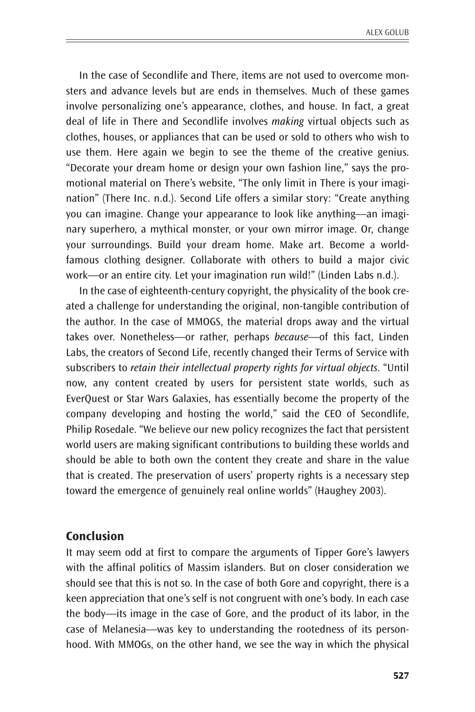In the case of Secondlife and There, items are not used to overcome monsters and advance levels but are ends in themselves. Much of these games involve personalizing one's appearance, clothes, and house. In fact, a great deal of life in There and Secondlife involves making virtual objects such as clothes, houses, or appliances that can be used or sold to others who wish to use them. Here again we begin to see the theme of the creative genius. "Decorate your dream home or design your own fashion line," says the promotional material on There's website, "The only limit in There is your imagination" (There Inc. n.d.). Second Life offers a similar story: "Create anything you can imagine. Change your appearance to look like anything—an imaginary superhero, a mythical monster, or your own mirror image. Or, change your surroundings. Build your dream home. Make art. Become a worldfamous clothing designer. Collaborate with others to build a major civic work—or an entire city. Let your imagination run wild!" (Linden Labs n.d.).

In the case of eighteenth-century copyright, the physicality of the book created a challenge for understanding the original, non-tangible contribution of the author. In the case of MMOGS, the material drops away and the virtual takes over. Nonetheless—or rather, perhaps *because*—of this fact, Linden Labs, the creators of Second Life, recently changed their Terms of Service with subscribers to retain their intellectual property rights for virtual objects. "Until now, any content created by users for persistent state worlds, such as EverQuest or Star Wars Galaxies, has essentially become the property of the company developing and hosting the world," said the CEO of Secondlife, Philip Rosedale. "We believe our new policy recognizes the fact that persistent world users are making significant contributions to building these worlds and should be able to both own the content they create and share in the value that is created. The preservation of users' property rights is a necessary step toward the emergence of genuinely real online worlds" (Haughey 2003).

### **Conclusion**

It may seem odd at first to compare the arguments of Tipper Gore's lawyers with the affinal politics of Massim islanders. But on closer consideration we should see that this is not so. In the case of both Gore and copyright, there is a keen appreciation that one's self is not congruent with one's body. In each case the body—its image in the case of Gore, and the product of its labor, in the case of Melanesia—was key to understanding the rootedness of its personhood. With MMOGs, on the other hand, we see the way in which the physical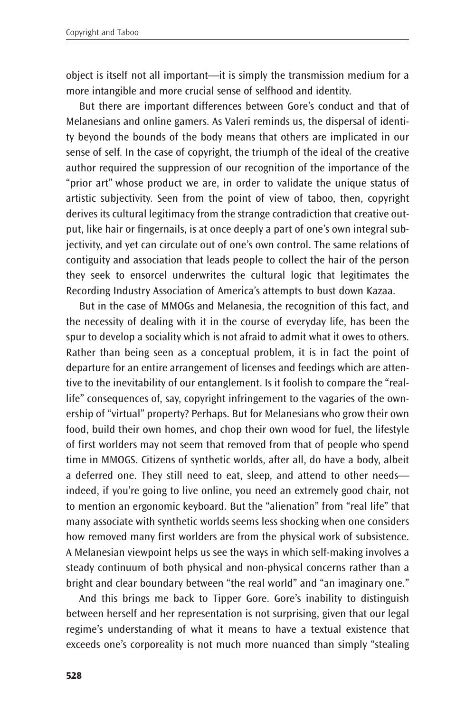object is itself not all important—it is simply the transmission medium for a more intangible and more crucial sense of selfhood and identity.

But there are important differences between Gore's conduct and that of Melanesians and online gamers. As Valeri reminds us, the dispersal of identity beyond the bounds of the body means that others are implicated in our sense of self. In the case of copyright, the triumph of the ideal of the creative author required the suppression of our recognition of the importance of the "prior art" whose product we are, in order to validate the unique status of artistic subjectivity. Seen from the point of view of taboo, then, copyright derives its cultural legitimacy from the strange contradiction that creative output, like hair or fingernails, is at once deeply a part of one's own integral subjectivity, and yet can circulate out of one's own control. The same relations of contiguity and association that leads people to collect the hair of the person they seek to ensorcel underwrites the cultural logic that legitimates the Recording Industry Association of America's attempts to bust down Kazaa.

But in the case of MMOGs and Melanesia, the recognition of this fact, and the necessity of dealing with it in the course of everyday life, has been the spur to develop a sociality which is not afraid to admit what it owes to others. Rather than being seen as a conceptual problem, it is in fact the point of departure for an entire arrangement of licenses and feedings which are attentive to the inevitability of our entanglement. Is it foolish to compare the "reallife" consequences of, say, copyright infringement to the vagaries of the ownership of "virtual" property? Perhaps. But for Melanesians who grow their own food, build their own homes, and chop their own wood for fuel, the lifestyle of first worlders may not seem that removed from that of people who spend time in MMOGS. Citizens of synthetic worlds, after all, do have a body, albeit a deferred one. They still need to eat, sleep, and attend to other needs indeed, if you're going to live online, you need an extremely good chair, not to mention an ergonomic keyboard. But the "alienation" from "real life" that many associate with synthetic worlds seems less shocking when one considers how removed many first worlders are from the physical work of subsistence. A Melanesian viewpoint helps us see the ways in which self-making involves a steady continuum of both physical and non-physical concerns rather than a bright and clear boundary between "the real world" and "an imaginary one."

And this brings me back to Tipper Gore. Gore's inability to distinguish between herself and her representation is not surprising, given that our legal regime's understanding of what it means to have a textual existence that exceeds one's corporeality is not much more nuanced than simply "stealing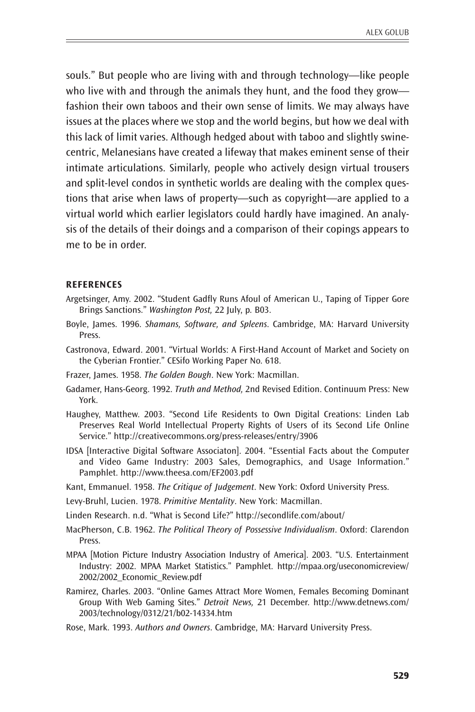souls." But people who are living with and through technology—like people who live with and through the animals they hunt, and the food they grow fashion their own taboos and their own sense of limits. We may always have issues at the places where we stop and the world begins, but how we deal with this lack of limit varies. Although hedged about with taboo and slightly swinecentric, Melanesians have created a lifeway that makes eminent sense of their intimate articulations. Similarly, people who actively design virtual trousers and split-level condos in synthetic worlds are dealing with the complex questions that arise when laws of property—such as copyright—are applied to a virtual world which earlier legislators could hardly have imagined. An analysis of the details of their doings and a comparison of their copings appears to me to be in order.

### **REFERENCES**

- Argetsinger, Amy. 2002. "Student Gadfly Runs Afoul of American U., Taping of Tipper Gore Brings Sanctions." Washington Post, 22 July, p. B03.
- Boyle, James. 1996. Shamans, Software, and Spleens. Cambridge, MA: Harvard University Press.
- Castronova, Edward. 2001. "Virtual Worlds: A First-Hand Account of Market and Society on the Cyberian Frontier." CESifo Working Paper No. 618.
- Frazer, James. 1958. The Golden Bough. New York: Macmillan.
- Gadamer, Hans-Georg. 1992. Truth and Method, 2nd Revised Edition. Continuum Press: New York.
- Haughey, Matthew. 2003. "Second Life Residents to Own Digital Creations: Linden Lab Preserves Real World Intellectual Property Rights of Users of its Second Life Online Service." http://creativecommons.org/press-releases/entry/3906
- IDSA [Interactive Digital Software Associaton]. 2004. "Essential Facts about the Computer and Video Game Industry: 2003 Sales, Demographics, and Usage Information." Pamphlet. http://www.theesa.com/EF2003.pdf
- Kant, Emmanuel. 1958. The Critique of Judgement. New York: Oxford University Press.
- Levy-Bruhl, Lucien. 1978. Primitive Mentality. New York: Macmillan.
- Linden Research. n.d. "What is Second Life?" http://secondlife.com/about/
- MacPherson, C.B. 1962. The Political Theory of Possessive Individualism. Oxford: Clarendon Press.
- MPAA [Motion Picture Industry Association Industry of America]. 2003. "U.S. Entertainment Industry: 2002. MPAA Market Statistics." Pamphlet. http://mpaa.org/useconomicreview/ 2002/2002\_Economic\_Review.pdf
- Ramirez, Charles. 2003. "Online Games Attract More Women, Females Becoming Dominant Group With Web Gaming Sites." Detroit News, 21 December. http://www.detnews.com/ 2003/technology/0312/21/b02-14334.htm
- Rose, Mark. 1993. Authors and Owners. Cambridge, MA: Harvard University Press.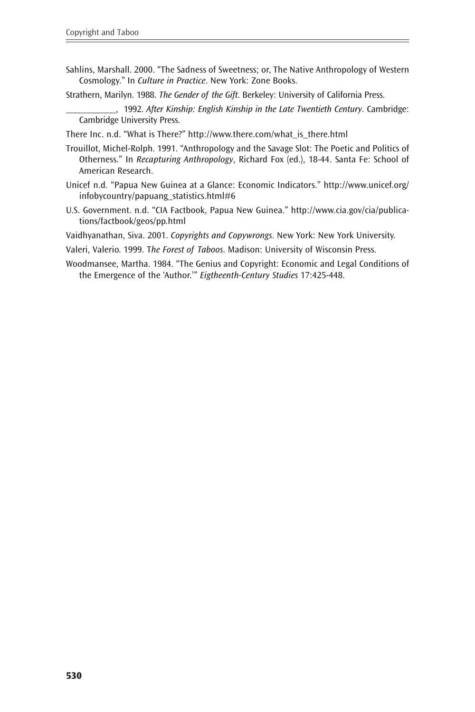- Sahlins, Marshall. 2000. "The Sadness of Sweetness; or, The Native Anthropology of Western Cosmology." In Culture in Practice. New York: Zone Books.
- Strathern, Marilyn. 1988. The Gender of the Gift. Berkeley: University of California Press.
	- \_\_\_\_\_\_\_\_\_\_\_, 1992. After Kinship: English Kinship in the Late Twentieth Century. Cambridge: Cambridge University Press.

There Inc. n.d. "What is There?" http://www.there.com/what\_is\_there.html

- Trouillot, Michel-Rolph. 1991. "Anthropology and the Savage Slot: The Poetic and Politics of Otherness." In Recapturing Anthropology, Richard Fox (ed.), 18-44. Santa Fe: School of American Research.
- Unicef n.d. "Papua New Guinea at a Glance: Economic Indicators." http://www.unicef.org/ infobycountry/papuang\_statistics.html#6
- U.S. Government. n.d. "CIA Factbook, Papua New Guinea." http://www.cia.gov/cia/publications/factbook/geos/pp.html

Vaidhyanathan, Siva. 2001. Copyrights and Copywrongs. New York: New York University.

Valeri, Valerio. 1999. The Forest of Taboos. Madison: University of Wisconsin Press.

Woodmansee, Martha. 1984. "The Genius and Copyright: Economic and Legal Conditions of the Emergence of the 'Author.'" Eigtheenth-Century Studies 17:425-448.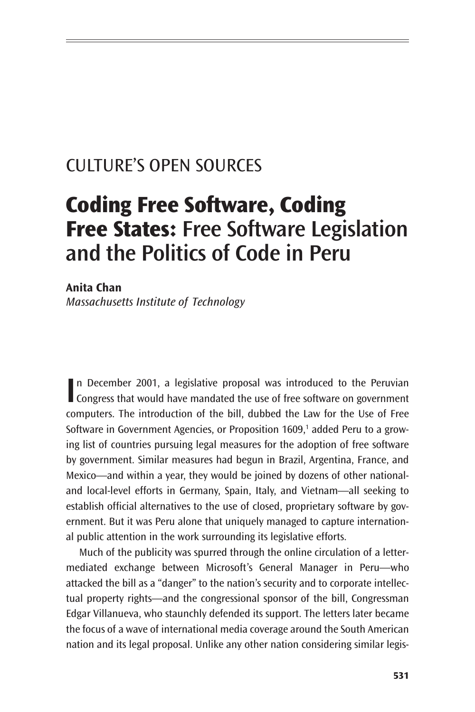### CULTURE'S OPEN SOURCES

# **Coding Free Software, Coding Free States: Free Software Legislation and the Politics of Code in Peru**

**Anita Chan** Massachusetts Institute of Technology

In December 2001, a legislative proposal was introduced to the Peruvian Congress that would have mandated the use of free software on government n December 2001, a legislative proposal was introduced to the Peruvian computers. The introduction of the bill, dubbed the Law for the Use of Free Software in Government Agencies, or Proposition 1609,<sup>1</sup> added Peru to a growing list of countries pursuing legal measures for the adoption of free software by government. Similar measures had begun in Brazil, Argentina, France, and Mexico—and within a year, they would be joined by dozens of other nationaland local-level efforts in Germany, Spain, Italy, and Vietnam—all seeking to establish official alternatives to the use of closed, proprietary software by government. But it was Peru alone that uniquely managed to capture international public attention in the work surrounding its legislative efforts.

Much of the publicity was spurred through the online circulation of a lettermediated exchange between Microsoft's General Manager in Peru—who attacked the bill as a "danger" to the nation's security and to corporate intellectual property rights—and the congressional sponsor of the bill, Congressman Edgar Villanueva, who staunchly defended its support. The letters later became the focus of a wave of international media coverage around the South American nation and its legal proposal. Unlike any other nation considering similar legis-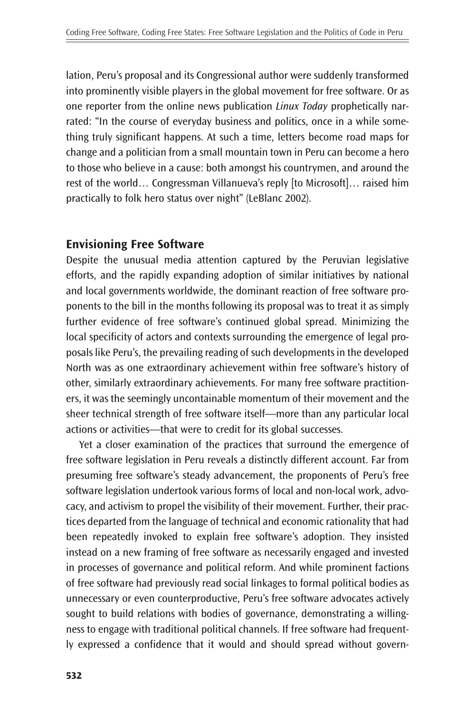lation, Peru's proposal and its Congressional author were suddenly transformed into prominently visible players in the global movement for free software. Or as one reporter from the online news publication Linux Today prophetically narrated: "In the course of everyday business and politics, once in a while something truly significant happens. At such a time, letters become road maps for change and a politician from a small mountain town in Peru can become a hero to those who believe in a cause: both amongst his countrymen, and around the rest of the world… Congressman Villanueva's reply [to Microsoft]… raised him practically to folk hero status over night" (LeBlanc 2002).

### **Envisioning Free Software**

Despite the unusual media attention captured by the Peruvian legislative efforts, and the rapidly expanding adoption of similar initiatives by national and local governments worldwide, the dominant reaction of free software proponents to the bill in the months following its proposal was to treat it as simply further evidence of free software's continued global spread. Minimizing the local specificity of actors and contexts surrounding the emergence of legal proposals like Peru's, the prevailing reading of such developments in the developed North was as one extraordinary achievement within free software's history of other, similarly extraordinary achievements. For many free software practitioners, it was the seemingly uncontainable momentum of their movement and the sheer technical strength of free software itself—more than any particular local actions or activities—that were to credit for its global successes.

Yet a closer examination of the practices that surround the emergence of free software legislation in Peru reveals a distinctly different account. Far from presuming free software's steady advancement, the proponents of Peru's free software legislation undertook various forms of local and non-local work, advocacy, and activism to propel the visibility of their movement. Further, their practices departed from the language of technical and economic rationality that had been repeatedly invoked to explain free software's adoption. They insisted instead on a new framing of free software as necessarily engaged and invested in processes of governance and political reform. And while prominent factions of free software had previously read social linkages to formal political bodies as unnecessary or even counterproductive, Peru's free software advocates actively sought to build relations with bodies of governance, demonstrating a willingness to engage with traditional political channels. If free software had frequently expressed a confidence that it would and should spread without govern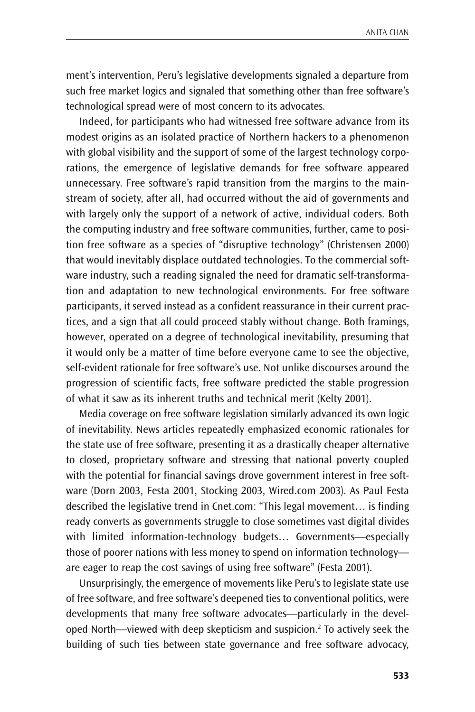ment's intervention, Peru's legislative developments signaled a departure from such free market logics and signaled that something other than free software's technological spread were of most concern to its advocates.

Indeed, for participants who had witnessed free software advance from its modest origins as an isolated practice of Northern hackers to a phenomenon with global visibility and the support of some of the largest technology corporations, the emergence of legislative demands for free software appeared unnecessary. Free software's rapid transition from the margins to the mainstream of society, after all, had occurred without the aid of governments and with largely only the support of a network of active, individual coders. Both the computing industry and free software communities, further, came to position free software as a species of "disruptive technology" (Christensen 2000) that would inevitably displace outdated technologies. To the commercial software industry, such a reading signaled the need for dramatic self-transformation and adaptation to new technological environments. For free software participants, it served instead as a confident reassurance in their current practices, and a sign that all could proceed stably without change. Both framings, however, operated on a degree of technological inevitability, presuming that it would only be a matter of time before everyone came to see the objective, self-evident rationale for free software's use. Not unlike discourses around the progression of scientific facts, free software predicted the stable progression of what it saw as its inherent truths and technical merit (Kelty 2001).

Media coverage on free software legislation similarly advanced its own logic of inevitability. News articles repeatedly emphasized economic rationales for the state use of free software, presenting it as a drastically cheaper alternative to closed, proprietary software and stressing that national poverty coupled with the potential for financial savings drove government interest in free software (Dorn 2003, Festa 2001, Stocking 2003, Wired.com 2003). As Paul Festa described the legislative trend in Cnet.com: "This legal movement… is finding ready converts as governments struggle to close sometimes vast digital divides with limited information-technology budgets… Governments—especially those of poorer nations with less money to spend on information technology are eager to reap the cost savings of using free software" (Festa 2001).

Unsurprisingly, the emergence of movements like Peru's to legislate state use of free software, and free software's deepened ties to conventional politics, were developments that many free software advocates—particularly in the developed North—viewed with deep skepticism and suspicion.2 To actively seek the building of such ties between state governance and free software advocacy,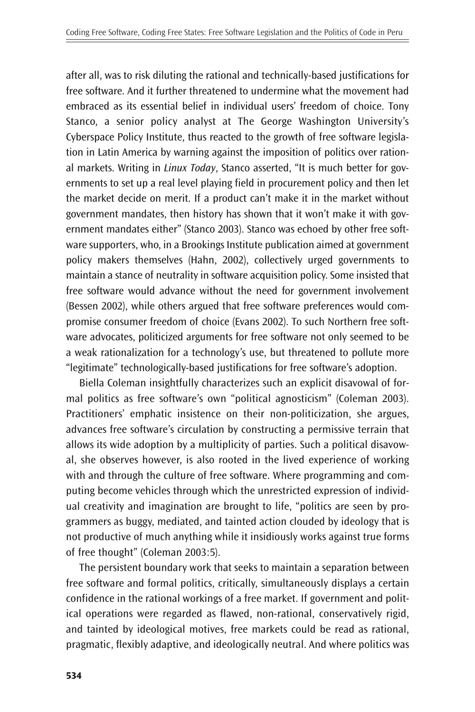after all, was to risk diluting the rational and technically-based justifications for free software. And it further threatened to undermine what the movement had embraced as its essential belief in individual users' freedom of choice. Tony Stanco, a senior policy analyst at The George Washington University's Cyberspace Policy Institute, thus reacted to the growth of free software legislation in Latin America by warning against the imposition of politics over rational markets. Writing in *Linux Today*, Stanco asserted, "It is much better for governments to set up a real level playing field in procurement policy and then let the market decide on merit. If a product can't make it in the market without government mandates, then history has shown that it won't make it with government mandates either" (Stanco 2003). Stanco was echoed by other free software supporters, who, in a Brookings Institute publication aimed at government policy makers themselves (Hahn, 2002), collectively urged governments to maintain a stance of neutrality in software acquisition policy. Some insisted that free software would advance without the need for government involvement (Bessen 2002), while others argued that free software preferences would compromise consumer freedom of choice (Evans 2002). To such Northern free software advocates, politicized arguments for free software not only seemed to be a weak rationalization for a technology's use, but threatened to pollute more "legitimate" technologically-based justifications for free software's adoption.

Biella Coleman insightfully characterizes such an explicit disavowal of formal politics as free software's own "political agnosticism" (Coleman 2003). Practitioners' emphatic insistence on their non-politicization, she argues, advances free software's circulation by constructing a permissive terrain that allows its wide adoption by a multiplicity of parties. Such a political disavowal, she observes however, is also rooted in the lived experience of working with and through the culture of free software. Where programming and computing become vehicles through which the unrestricted expression of individual creativity and imagination are brought to life, "politics are seen by programmers as buggy, mediated, and tainted action clouded by ideology that is not productive of much anything while it insidiously works against true forms of free thought" (Coleman 2003:5).

The persistent boundary work that seeks to maintain a separation between free software and formal politics, critically, simultaneously displays a certain confidence in the rational workings of a free market. If government and political operations were regarded as flawed, non-rational, conservatively rigid, and tainted by ideological motives, free markets could be read as rational, pragmatic, flexibly adaptive, and ideologically neutral. And where politics was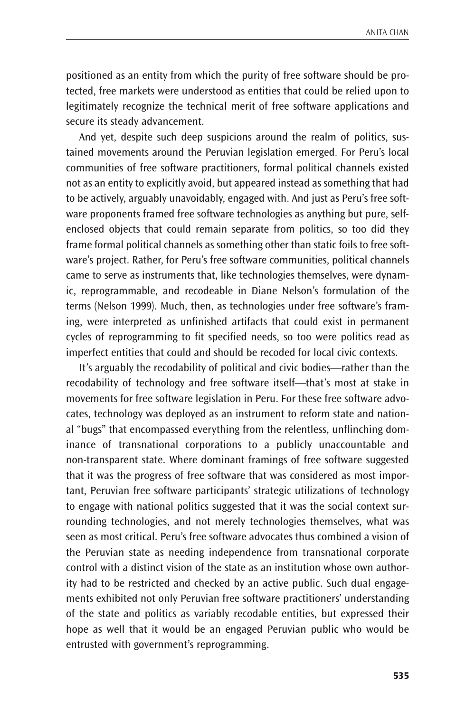positioned as an entity from which the purity of free software should be protected, free markets were understood as entities that could be relied upon to legitimately recognize the technical merit of free software applications and secure its steady advancement.

And yet, despite such deep suspicions around the realm of politics, sustained movements around the Peruvian legislation emerged. For Peru's local communities of free software practitioners, formal political channels existed not as an entity to explicitly avoid, but appeared instead as something that had to be actively, arguably unavoidably, engaged with. And just as Peru's free software proponents framed free software technologies as anything but pure, selfenclosed objects that could remain separate from politics, so too did they frame formal political channels as something other than static foils to free software's project. Rather, for Peru's free software communities, political channels came to serve as instruments that, like technologies themselves, were dynamic, reprogrammable, and recodeable in Diane Nelson's formulation of the terms (Nelson 1999). Much, then, as technologies under free software's framing, were interpreted as unfinished artifacts that could exist in permanent cycles of reprogramming to fit specified needs, so too were politics read as imperfect entities that could and should be recoded for local civic contexts.

It's arguably the recodability of political and civic bodies—rather than the recodability of technology and free software itself—that's most at stake in movements for free software legislation in Peru. For these free software advocates, technology was deployed as an instrument to reform state and national "bugs" that encompassed everything from the relentless, unflinching dominance of transnational corporations to a publicly unaccountable and non-transparent state. Where dominant framings of free software suggested that it was the progress of free software that was considered as most important, Peruvian free software participants' strategic utilizations of technology to engage with national politics suggested that it was the social context surrounding technologies, and not merely technologies themselves, what was seen as most critical. Peru's free software advocates thus combined a vision of the Peruvian state as needing independence from transnational corporate control with a distinct vision of the state as an institution whose own authority had to be restricted and checked by an active public. Such dual engagements exhibited not only Peruvian free software practitioners' understanding of the state and politics as variably recodable entities, but expressed their hope as well that it would be an engaged Peruvian public who would be entrusted with government's reprogramming.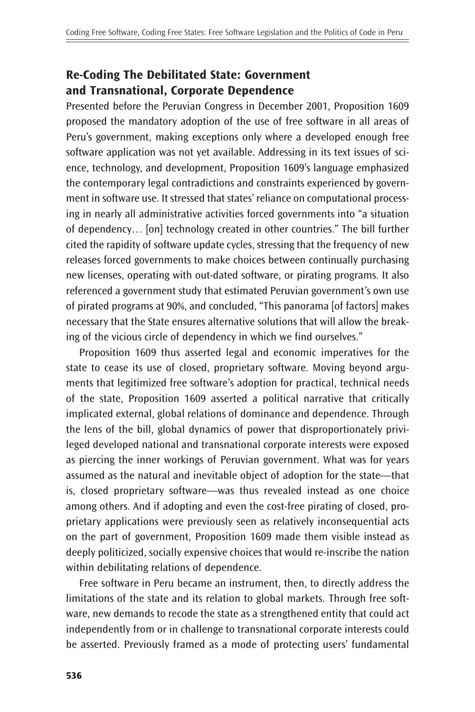# **Re-Coding The Debilitated State: Government and Transnational, Corporate Dependence**

Presented before the Peruvian Congress in December 2001, Proposition 1609 proposed the mandatory adoption of the use of free software in all areas of Peru's government, making exceptions only where a developed enough free software application was not yet available. Addressing in its text issues of science, technology, and development, Proposition 1609's language emphasized the contemporary legal contradictions and constraints experienced by government in software use. It stressed that states' reliance on computational processing in nearly all administrative activities forced governments into "a situation of dependency… [on] technology created in other countries." The bill further cited the rapidity of software update cycles, stressing that the frequency of new releases forced governments to make choices between continually purchasing new licenses, operating with out-dated software, or pirating programs. It also referenced a government study that estimated Peruvian government's own use of pirated programs at 90%, and concluded, "This panorama [of factors] makes necessary that the State ensures alternative solutions that will allow the breaking of the vicious circle of dependency in which we find ourselves."

Proposition 1609 thus asserted legal and economic imperatives for the state to cease its use of closed, proprietary software. Moving beyond arguments that legitimized free software's adoption for practical, technical needs of the state, Proposition 1609 asserted a political narrative that critically implicated external, global relations of dominance and dependence. Through the lens of the bill, global dynamics of power that disproportionately privileged developed national and transnational corporate interests were exposed as piercing the inner workings of Peruvian government. What was for years assumed as the natural and inevitable object of adoption for the state—that is, closed proprietary software—was thus revealed instead as one choice among others. And if adopting and even the cost-free pirating of closed, proprietary applications were previously seen as relatively inconsequential acts on the part of government, Proposition 1609 made them visible instead as deeply politicized, socially expensive choices that would re-inscribe the nation within debilitating relations of dependence.

Free software in Peru became an instrument, then, to directly address the limitations of the state and its relation to global markets. Through free software, new demands to recode the state as a strengthened entity that could act independently from or in challenge to transnational corporate interests could be asserted. Previously framed as a mode of protecting users' fundamental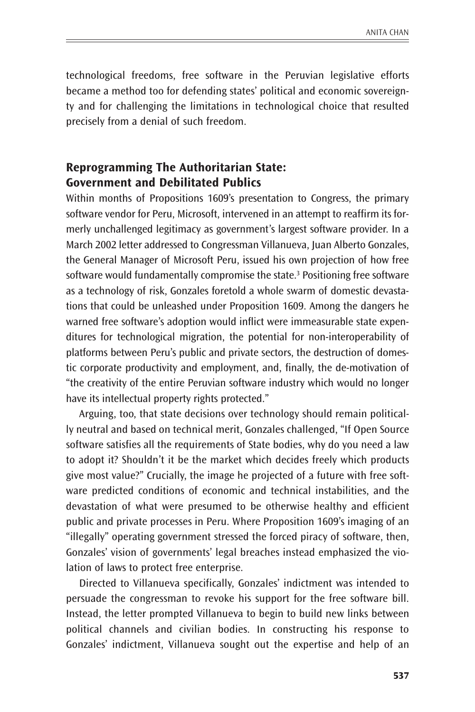technological freedoms, free software in the Peruvian legislative efforts became a method too for defending states' political and economic sovereignty and for challenging the limitations in technological choice that resulted precisely from a denial of such freedom.

# **Reprogramming The Authoritarian State: Government and Debilitated Publics**

Within months of Propositions 1609's presentation to Congress, the primary software vendor for Peru, Microsoft, intervened in an attempt to reaffirm its formerly unchallenged legitimacy as government's largest software provider. In a March 2002 letter addressed to Congressman Villanueva, Juan Alberto Gonzales, the General Manager of Microsoft Peru, issued his own projection of how free software would fundamentally compromise the state.<sup>3</sup> Positioning free software as a technology of risk, Gonzales foretold a whole swarm of domestic devastations that could be unleashed under Proposition 1609. Among the dangers he warned free software's adoption would inflict were immeasurable state expenditures for technological migration, the potential for non-interoperability of platforms between Peru's public and private sectors, the destruction of domestic corporate productivity and employment, and, finally, the de-motivation of "the creativity of the entire Peruvian software industry which would no longer have its intellectual property rights protected."

Arguing, too, that state decisions over technology should remain politically neutral and based on technical merit, Gonzales challenged, "If Open Source software satisfies all the requirements of State bodies, why do you need a law to adopt it? Shouldn't it be the market which decides freely which products give most value?" Crucially, the image he projected of a future with free software predicted conditions of economic and technical instabilities, and the devastation of what were presumed to be otherwise healthy and efficient public and private processes in Peru. Where Proposition 1609's imaging of an "illegally" operating government stressed the forced piracy of software, then, Gonzales' vision of governments' legal breaches instead emphasized the violation of laws to protect free enterprise.

Directed to Villanueva specifically, Gonzales' indictment was intended to persuade the congressman to revoke his support for the free software bill. Instead, the letter prompted Villanueva to begin to build new links between political channels and civilian bodies. In constructing his response to Gonzales' indictment, Villanueva sought out the expertise and help of an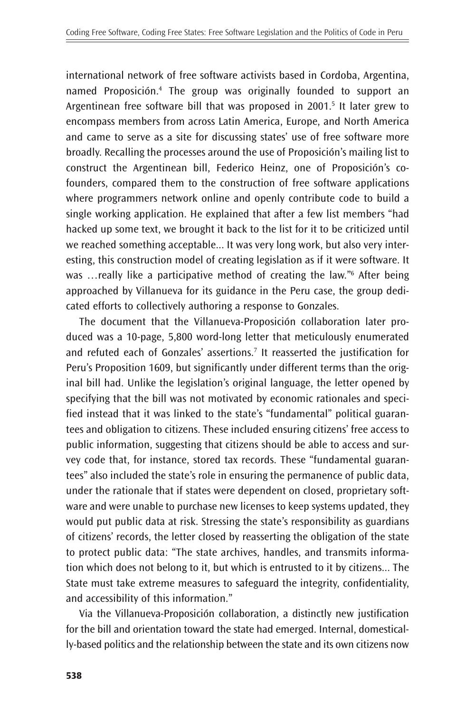international network of free software activists based in Cordoba, Argentina, named Proposición.4 The group was originally founded to support an Argentinean free software bill that was proposed in 2001.<sup>5</sup> It later grew to encompass members from across Latin America, Europe, and North America and came to serve as a site for discussing states' use of free software more broadly. Recalling the processes around the use of Proposición's mailing list to construct the Argentinean bill, Federico Heinz, one of Proposición's cofounders, compared them to the construction of free software applications where programmers network online and openly contribute code to build a single working application. He explained that after a few list members "had hacked up some text, we brought it back to the list for it to be criticized until we reached something acceptable... It was very long work, but also very interesting, this construction model of creating legislation as if it were software. It was ... really like a participative method of creating the law."<sup>6</sup> After being approached by Villanueva for its guidance in the Peru case, the group dedicated efforts to collectively authoring a response to Gonzales.

The document that the Villanueva-Proposición collaboration later produced was a 10-page, 5,800 word-long letter that meticulously enumerated and refuted each of Gonzales' assertions.<sup>7</sup> It reasserted the justification for Peru's Proposition 1609, but significantly under different terms than the original bill had. Unlike the legislation's original language, the letter opened by specifying that the bill was not motivated by economic rationales and specified instead that it was linked to the state's "fundamental" political guarantees and obligation to citizens. These included ensuring citizens' free access to public information, suggesting that citizens should be able to access and survey code that, for instance, stored tax records. These "fundamental guarantees" also included the state's role in ensuring the permanence of public data, under the rationale that if states were dependent on closed, proprietary software and were unable to purchase new licenses to keep systems updated, they would put public data at risk. Stressing the state's responsibility as guardians of citizens' records, the letter closed by reasserting the obligation of the state to protect public data: "The state archives, handles, and transmits information which does not belong to it, but which is entrusted to it by citizens... The State must take extreme measures to safeguard the integrity, confidentiality, and accessibility of this information."

Via the Villanueva-Proposición collaboration, a distinctly new justification for the bill and orientation toward the state had emerged. Internal, domestically-based politics and the relationship between the state and its own citizens now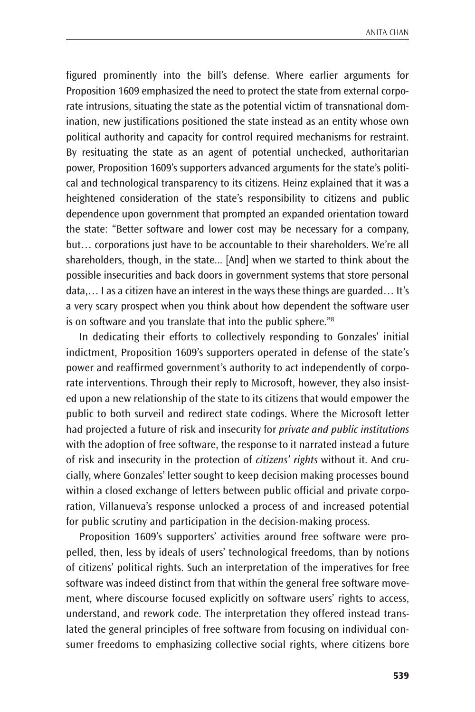figured prominently into the bill's defense. Where earlier arguments for Proposition 1609 emphasized the need to protect the state from external corporate intrusions, situating the state as the potential victim of transnational domination, new justifications positioned the state instead as an entity whose own political authority and capacity for control required mechanisms for restraint. By resituating the state as an agent of potential unchecked, authoritarian power, Proposition 1609's supporters advanced arguments for the state's political and technological transparency to its citizens. Heinz explained that it was a heightened consideration of the state's responsibility to citizens and public dependence upon government that prompted an expanded orientation toward the state: "Better software and lower cost may be necessary for a company, but… corporations just have to be accountable to their shareholders. We're all shareholders, though, in the state... [And] when we started to think about the possible insecurities and back doors in government systems that store personal data,… I as a citizen have an interest in the ways these things are guarded… It's a very scary prospect when you think about how dependent the software user is on software and you translate that into the public sphere."8

In dedicating their efforts to collectively responding to Gonzales' initial indictment, Proposition 1609's supporters operated in defense of the state's power and reaffirmed government's authority to act independently of corporate interventions. Through their reply to Microsoft, however, they also insisted upon a new relationship of the state to its citizens that would empower the public to both surveil and redirect state codings. Where the Microsoft letter had projected a future of risk and insecurity for *private and public institutions* with the adoption of free software, the response to it narrated instead a future of risk and insecurity in the protection of *citizens' rights* without it. And crucially, where Gonzales' letter sought to keep decision making processes bound within a closed exchange of letters between public official and private corporation, Villanueva's response unlocked a process of and increased potential for public scrutiny and participation in the decision-making process.

Proposition 1609's supporters' activities around free software were propelled, then, less by ideals of users' technological freedoms, than by notions of citizens' political rights. Such an interpretation of the imperatives for free software was indeed distinct from that within the general free software movement, where discourse focused explicitly on software users' rights to access, understand, and rework code. The interpretation they offered instead translated the general principles of free software from focusing on individual consumer freedoms to emphasizing collective social rights, where citizens bore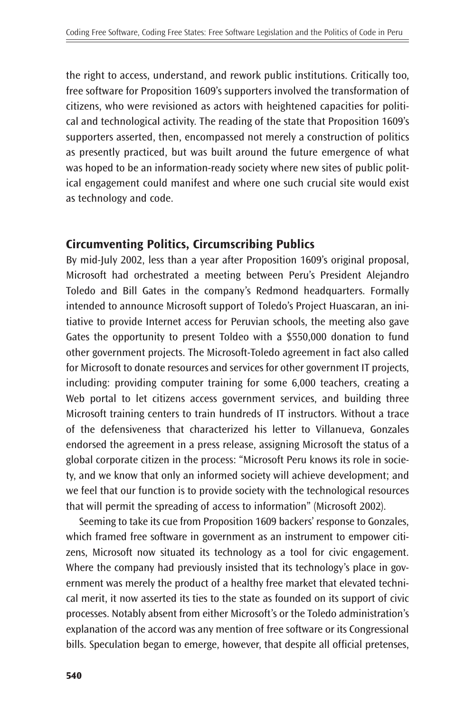the right to access, understand, and rework public institutions. Critically too, free software for Proposition 1609's supporters involved the transformation of citizens, who were revisioned as actors with heightened capacities for political and technological activity. The reading of the state that Proposition 1609's supporters asserted, then, encompassed not merely a construction of politics as presently practiced, but was built around the future emergence of what was hoped to be an information-ready society where new sites of public political engagement could manifest and where one such crucial site would exist as technology and code.

# **Circumventing Politics, Circumscribing Publics**

By mid-July 2002, less than a year after Proposition 1609's original proposal, Microsoft had orchestrated a meeting between Peru's President Alejandro Toledo and Bill Gates in the company's Redmond headquarters. Formally intended to announce Microsoft support of Toledo's Project Huascaran, an initiative to provide Internet access for Peruvian schools, the meeting also gave Gates the opportunity to present Toldeo with a \$550,000 donation to fund other government projects. The Microsoft-Toledo agreement in fact also called for Microsoft to donate resources and services for other government IT projects, including: providing computer training for some 6,000 teachers, creating a Web portal to let citizens access government services, and building three Microsoft training centers to train hundreds of IT instructors. Without a trace of the defensiveness that characterized his letter to Villanueva, Gonzales endorsed the agreement in a press release, assigning Microsoft the status of a global corporate citizen in the process: "Microsoft Peru knows its role in society, and we know that only an informed society will achieve development; and we feel that our function is to provide society with the technological resources that will permit the spreading of access to information" (Microsoft 2002).

Seeming to take its cue from Proposition 1609 backers' response to Gonzales, which framed free software in government as an instrument to empower citizens, Microsoft now situated its technology as a tool for civic engagement. Where the company had previously insisted that its technology's place in government was merely the product of a healthy free market that elevated technical merit, it now asserted its ties to the state as founded on its support of civic processes. Notably absent from either Microsoft's or the Toledo administration's explanation of the accord was any mention of free software or its Congressional bills. Speculation began to emerge, however, that despite all official pretenses,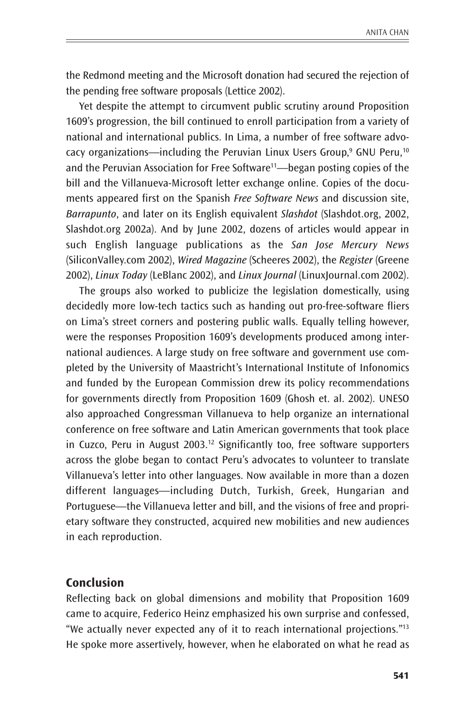the Redmond meeting and the Microsoft donation had secured the rejection of the pending free software proposals (Lettice 2002).

Yet despite the attempt to circumvent public scrutiny around Proposition 1609's progression, the bill continued to enroll participation from a variety of national and international publics. In Lima, a number of free software advocacy organizations—including the Peruvian Linux Users Group,<sup>9</sup> GNU Peru,<sup>10</sup> and the Peruvian Association for Free Software<sup>11</sup>—began posting copies of the bill and the Villanueva-Microsoft letter exchange online. Copies of the documents appeared first on the Spanish *Free Software News* and discussion site, Barrapunto, and later on its English equivalent Slashdot (Slashdot.org, 2002, Slashdot.org 2002a). And by June 2002, dozens of articles would appear in such English language publications as the San Jose Mercury News (SiliconValley.com 2002), Wired Magazine (Scheeres 2002), the Register (Greene 2002), Linux Today (LeBlanc 2002), and Linux Journal (LinuxJournal.com 2002).

The groups also worked to publicize the legislation domestically, using decidedly more low-tech tactics such as handing out pro-free-software fliers on Lima's street corners and postering public walls. Equally telling however, were the responses Proposition 1609's developments produced among international audiences. A large study on free software and government use completed by the University of Maastricht's International Institute of Infonomics and funded by the European Commission drew its policy recommendations for governments directly from Proposition 1609 (Ghosh et. al. 2002). UNESO also approached Congressman Villanueva to help organize an international conference on free software and Latin American governments that took place in Cuzco, Peru in August 2003.12 Significantly too, free software supporters across the globe began to contact Peru's advocates to volunteer to translate Villanueva's letter into other languages. Now available in more than a dozen different languages—including Dutch, Turkish, Greek, Hungarian and Portuguese—the Villanueva letter and bill, and the visions of free and proprietary software they constructed, acquired new mobilities and new audiences in each reproduction.

### **Conclusion**

Reflecting back on global dimensions and mobility that Proposition 1609 came to acquire, Federico Heinz emphasized his own surprise and confessed, "We actually never expected any of it to reach international projections."13 He spoke more assertively, however, when he elaborated on what he read as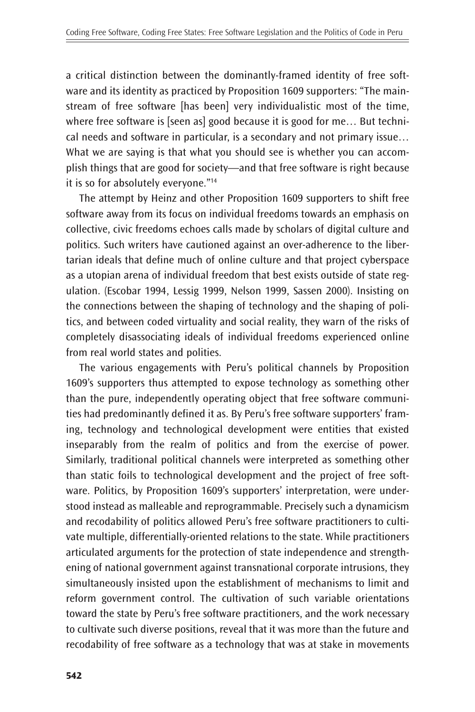a critical distinction between the dominantly-framed identity of free software and its identity as practiced by Proposition 1609 supporters: "The mainstream of free software [has been] very individualistic most of the time, where free software is [seen as] good because it is good for me... But technical needs and software in particular, is a secondary and not primary issue… What we are saying is that what you should see is whether you can accomplish things that are good for society—and that free software is right because it is so for absolutely everyone."14

The attempt by Heinz and other Proposition 1609 supporters to shift free software away from its focus on individual freedoms towards an emphasis on collective, civic freedoms echoes calls made by scholars of digital culture and politics. Such writers have cautioned against an over-adherence to the libertarian ideals that define much of online culture and that project cyberspace as a utopian arena of individual freedom that best exists outside of state regulation. (Escobar 1994, Lessig 1999, Nelson 1999, Sassen 2000). Insisting on the connections between the shaping of technology and the shaping of politics, and between coded virtuality and social reality, they warn of the risks of completely disassociating ideals of individual freedoms experienced online from real world states and polities.

The various engagements with Peru's political channels by Proposition 1609's supporters thus attempted to expose technology as something other than the pure, independently operating object that free software communities had predominantly defined it as. By Peru's free software supporters' framing, technology and technological development were entities that existed inseparably from the realm of politics and from the exercise of power. Similarly, traditional political channels were interpreted as something other than static foils to technological development and the project of free software. Politics, by Proposition 1609's supporters' interpretation, were understood instead as malleable and reprogrammable. Precisely such a dynamicism and recodability of politics allowed Peru's free software practitioners to cultivate multiple, differentially-oriented relations to the state. While practitioners articulated arguments for the protection of state independence and strengthening of national government against transnational corporate intrusions, they simultaneously insisted upon the establishment of mechanisms to limit and reform government control. The cultivation of such variable orientations toward the state by Peru's free software practitioners, and the work necessary to cultivate such diverse positions, reveal that it was more than the future and recodability of free software as a technology that was at stake in movements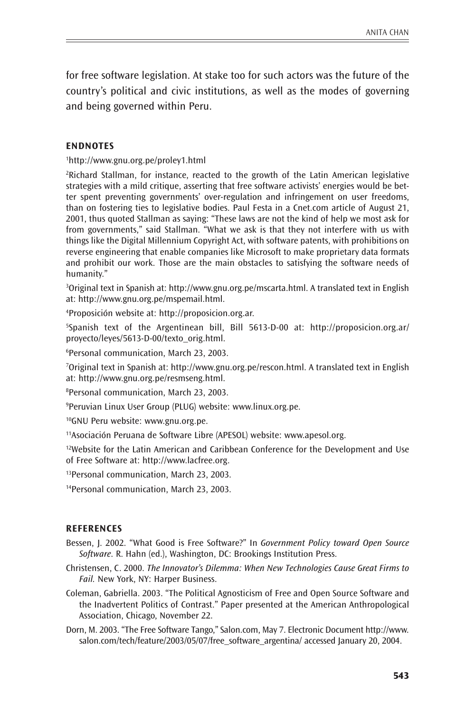for free software legislation. At stake too for such actors was the future of the country's political and civic institutions, as well as the modes of governing and being governed within Peru.

#### **ENDNOTES**

1 http://www.gnu.org.pe/proley1.html

2 Richard Stallman, for instance, reacted to the growth of the Latin American legislative strategies with a mild critique, asserting that free software activists' energies would be better spent preventing governments' over-regulation and infringement on user freedoms, than on fostering ties to legislative bodies. Paul Festa in a Cnet.com article of August 21, 2001, thus quoted Stallman as saying: "These laws are not the kind of help we most ask for from governments," said Stallman. "What we ask is that they not interfere with us with things like the Digital Millennium Copyright Act, with software patents, with prohibitions on reverse engineering that enable companies like Microsoft to make proprietary data formats and prohibit our work. Those are the main obstacles to satisfying the software needs of humanity."

3 Original text in Spanish at: http://www.gnu.org.pe/mscarta.html. A translated text in English at: http://www.gnu.org.pe/mspemail.html.

4 Proposición website at: http://proposicion.org.ar.

5 Spanish text of the Argentinean bill, Bill 5613-D-00 at: http://proposicion.org.ar/ proyecto/leyes/5613-D-00/texto\_orig.html.

6 Personal communication, March 23, 2003.

7 Original text in Spanish at: http://www.gnu.org.pe/rescon.html. A translated text in English at: http://www.gnu.org.pe/resmseng.html.

8 Personal communication, March 23, 2003.

9 Peruvian Linux User Group (PLUG) website: www.linux.org.pe.

10GNU Peru website: www.gnu.org.pe.

11Asociación Peruana de Software Libre (APESOL) website: www.apesol.org.

 $12$ Website for the Latin American and Caribbean Conference for the Development and Use of Free Software at: http://www.lacfree.org.

13Personal communication, March 23, 2003.

14Personal communication, March 23, 2003.

#### **REFERENCES**

- Bessen, J. 2002. "What Good is Free Software?" In Government Policy toward Open Source Software. R. Hahn (ed.), Washington, DC: Brookings Institution Press.
- Christensen, C. 2000. The Innovator's Dilemma: When New Technologies Cause Great Firms to Fail. New York, NY: Harper Business.
- Coleman, Gabriella. 2003. "The Political Agnosticism of Free and Open Source Software and the Inadvertent Politics of Contrast." Paper presented at the American Anthropological Association, Chicago, November 22.
- Dorn, M. 2003. "The Free Software Tango," Salon.com, May 7. Electronic Document http://www. salon.com/tech/feature/2003/05/07/free\_software\_argentina/ accessed January 20, 2004.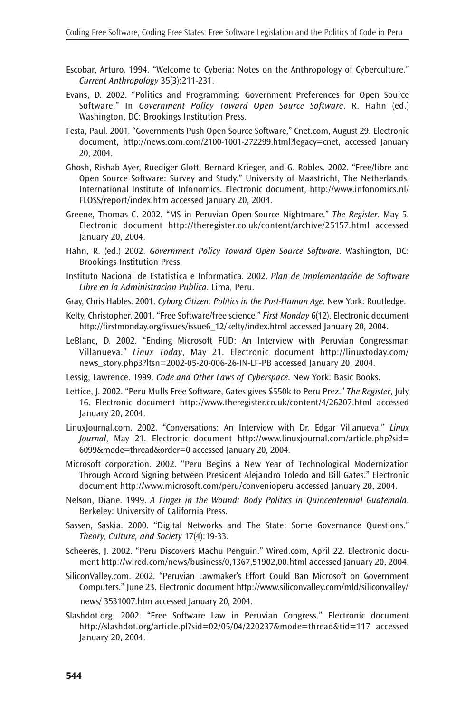- Escobar, Arturo. 1994. "Welcome to Cyberia: Notes on the Anthropology of Cyberculture." Current Anthropology 35(3):211-231.
- Evans, D. 2002. "Politics and Programming: Government Preferences for Open Source Software." In Government Policy Toward Open Source Software. R. Hahn (ed.) Washington, DC: Brookings Institution Press.
- Festa, Paul. 2001. "Governments Push Open Source Software," Cnet.com, August 29. Electronic document, http://news.com.com/2100-1001-272299.html?legacy=cnet, accessed January 20, 2004.
- Ghosh, Rishab Ayer, Ruediger Glott, Bernard Krieger, and G. Robles. 2002. "Free/libre and Open Source Software: Survey and Study." University of Maastricht, The Netherlands, International Institute of Infonomics. Electronic document, http://www.infonomics.nl/ FLOSS/report/index.htm accessed January 20, 2004.
- Greene, Thomas C. 2002. "MS in Peruvian Open-Source Nightmare." The Register. May 5. Electronic document http://theregister.co.uk/content/archive/25157.html accessed January 20, 2004.
- Hahn, R. (ed.) 2002. Government Policy Toward Open Source Software. Washington, DC: Brookings Institution Press.
- Instituto Nacional de Estatistica e Informatica. 2002. Plan de Implementación de Software Libre en la Administracion Publica. Lima, Peru.
- Gray, Chris Hables. 2001. Cyborg Citizen: Politics in the Post-Human Age. New York: Routledge.
- Kelty, Christopher. 2001. "Free Software/free science." First Monday 6(12). Electronic document http://firstmonday.org/issues/issue6\_12/kelty/index.html accessed January 20, 2004.
- LeBlanc, D. 2002. "Ending Microsoft FUD: An Interview with Peruvian Congressman Villanueva." Linux Today, May 21. Electronic document http://linuxtoday.com/ news\_story.php3?ltsn=2002-05-20-006-26-IN-LF-PB accessed January 20, 2004.
- Lessig, Lawrence. 1999. Code and Other Laws of Cyberspace. New York: Basic Books.
- Lettice, J. 2002. "Peru Mulls Free Software, Gates gives \$550k to Peru Prez." The Register, July 16. Electronic document http://www.theregister.co.uk/content/4/26207.html accessed January 20, 2004.
- LinuxJournal.com. 2002. "Conversations: An Interview with Dr. Edgar Villanueva." Linux Journal, May 21. Electronic document http://www.linuxjournal.com/article.php?sid= 6099&mode=thread&order=0 accessed January 20, 2004.
- Microsoft corporation. 2002. "Peru Begins a New Year of Technological Modernization Through Accord Signing between President Alejandro Toledo and Bill Gates." Electronic document http://www.microsoft.com/peru/convenioperu accessed January 20, 2004.
- Nelson, Diane. 1999. A Finger in the Wound: Body Politics in Quincentennial Guatemala. Berkeley: University of California Press.
- Sassen, Saskia. 2000. "Digital Networks and The State: Some Governance Questions." Theory, Culture, and Society 17(4):19-33.
- Scheeres, J. 2002. "Peru Discovers Machu Penguin." Wired.com, April 22. Electronic document http://wired.com/news/business/0,1367,51902,00.html accessed January 20, 2004.
- SiliconValley.com. 2002. "Peruvian Lawmaker's Effort Could Ban Microsoft on Government Computers." June 23. Electronic document http://www.siliconvalley.com/mld/siliconvalley/ news/ 3531007.htm accessed January 20, 2004.
- Slashdot.org. 2002. "Free Software Law in Peruvian Congress." Electronic document http://slashdot.org/article.pl?sid=02/05/04/220237&mode=thread&tid=117 accessed January 20, 2004.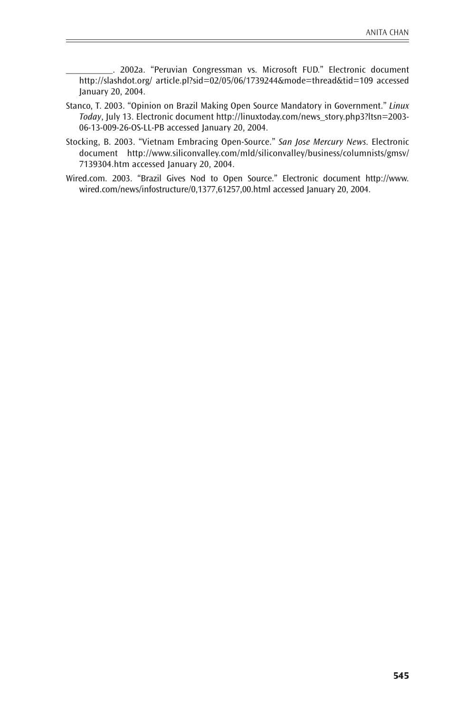\_\_\_\_\_\_\_\_\_\_. 2002a. "Peruvian Congressman vs. Microsoft FUD." Electronic document http://slashdot.org/ article.pl?sid=02/05/06/1739244&mode=thread&tid=109 accessed January 20, 2004.

- Stanco, T. 2003. "Opinion on Brazil Making Open Source Mandatory in Government." Linux Today, July 13. Electronic document http://linuxtoday.com/news\_story.php3?ltsn=2003- 06-13-009-26-OS-LL-PB accessed January 20, 2004.
- Stocking, B. 2003. "Vietnam Embracing Open-Source." San Jose Mercury News. Electronic document http://www.siliconvalley.com/mld/siliconvalley/business/columnists/gmsv/ 7139304.htm accessed January 20, 2004.
- Wired.com. 2003. "Brazil Gives Nod to Open Source." Electronic document http://www. wired.com/news/infostructure/0,1377,61257,00.html accessed January 20, 2004.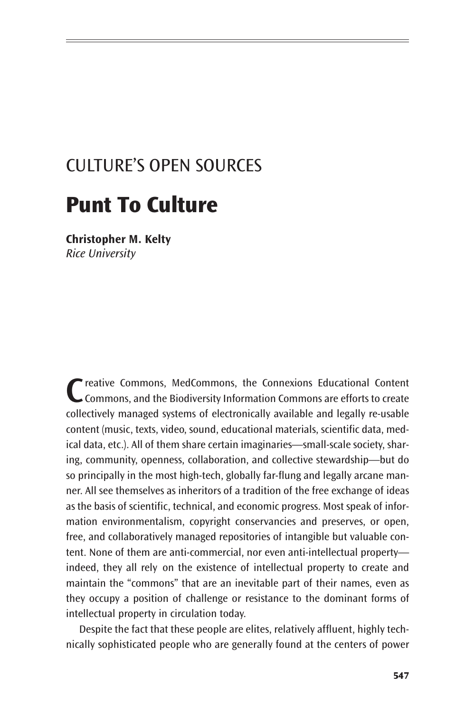# CULTURE'S OPEN SOURCES

# **Punt To Culture**

**Christopher M. Kelty** Rice University

C**C** reative Commons, MedCommons, the Connexions Educational Content<br>
Commons, and the Biodiversity Information Commons are efforts to create collectively managed systems of electronically available and legally re-usable content (music, texts, video, sound, educational materials, scientific data, medical data, etc.). All of them share certain imaginaries—small-scale society, sharing, community, openness, collaboration, and collective stewardship—but do so principally in the most high-tech, globally far-flung and legally arcane manner. All see themselves as inheritors of a tradition of the free exchange of ideas as the basis of scientific, technical, and economic progress. Most speak of information environmentalism, copyright conservancies and preserves, or open, free, and collaboratively managed repositories of intangible but valuable content. None of them are anti-commercial, nor even anti-intellectual property indeed, they all rely on the existence of intellectual property to create and maintain the "commons" that are an inevitable part of their names, even as they occupy a position of challenge or resistance to the dominant forms of intellectual property in circulation today.

Despite the fact that these people are elites, relatively affluent, highly technically sophisticated people who are generally found at the centers of power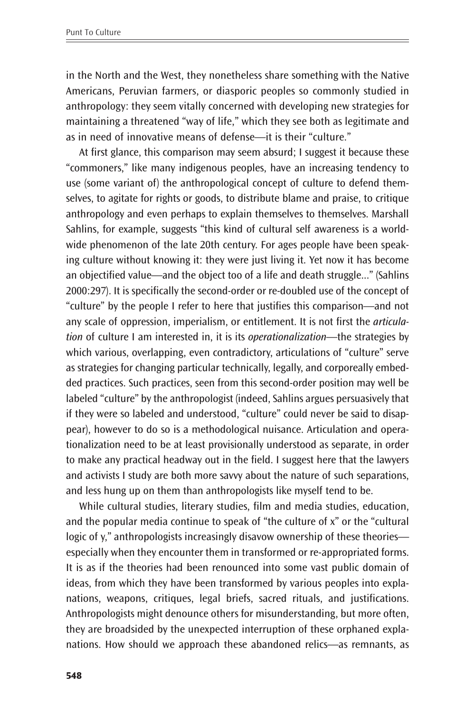in the North and the West, they nonetheless share something with the Native Americans, Peruvian farmers, or diasporic peoples so commonly studied in anthropology: they seem vitally concerned with developing new strategies for maintaining a threatened "way of life," which they see both as legitimate and as in need of innovative means of defense—it is their "culture."

At first glance, this comparison may seem absurd; I suggest it because these "commoners," like many indigenous peoples, have an increasing tendency to use (some variant of) the anthropological concept of culture to defend themselves, to agitate for rights or goods, to distribute blame and praise, to critique anthropology and even perhaps to explain themselves to themselves. Marshall Sahlins, for example, suggests "this kind of cultural self awareness is a worldwide phenomenon of the late 20th century. For ages people have been speaking culture without knowing it: they were just living it. Yet now it has become an objectified value—and the object too of a life and death struggle..." (Sahlins 2000:297). It is specifically the second-order or re-doubled use of the concept of "culture" by the people I refer to here that justifies this comparison—and not any scale of oppression, imperialism, or entitlement. It is not first the *articula*tion of culture I am interested in, it is its operationalization—the strategies by which various, overlapping, even contradictory, articulations of "culture" serve as strategies for changing particular technically, legally, and corporeally embedded practices. Such practices, seen from this second-order position may well be labeled "culture" by the anthropologist (indeed, Sahlins argues persuasively that if they were so labeled and understood, "culture" could never be said to disappear), however to do so is a methodological nuisance. Articulation and operationalization need to be at least provisionally understood as separate, in order to make any practical headway out in the field. I suggest here that the lawyers and activists I study are both more savvy about the nature of such separations, and less hung up on them than anthropologists like myself tend to be.

While cultural studies, literary studies, film and media studies, education, and the popular media continue to speak of "the culture of x" or the "cultural logic of y," anthropologists increasingly disavow ownership of these theories especially when they encounter them in transformed or re-appropriated forms. It is as if the theories had been renounced into some vast public domain of ideas, from which they have been transformed by various peoples into explanations, weapons, critiques, legal briefs, sacred rituals, and justifications. Anthropologists might denounce others for misunderstanding, but more often, they are broadsided by the unexpected interruption of these orphaned explanations. How should we approach these abandoned relics—as remnants, as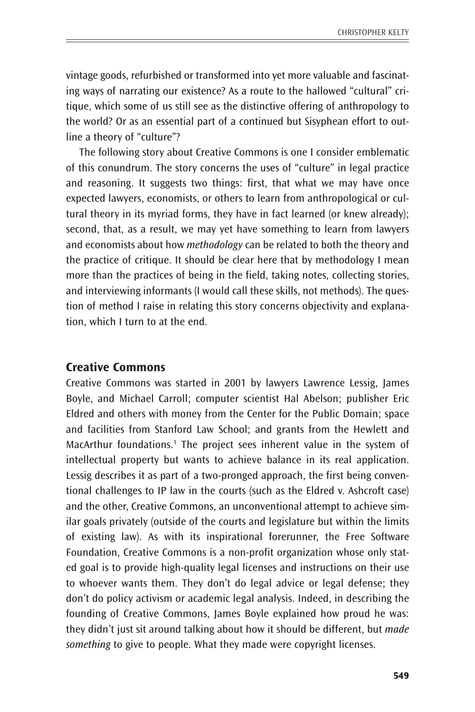vintage goods, refurbished or transformed into yet more valuable and fascinating ways of narrating our existence? As a route to the hallowed "cultural" critique, which some of us still see as the distinctive offering of anthropology to the world? Or as an essential part of a continued but Sisyphean effort to outline a theory of "culture"?

The following story about Creative Commons is one I consider emblematic of this conundrum. The story concerns the uses of "culture" in legal practice and reasoning. It suggests two things: first, that what we may have once expected lawyers, economists, or others to learn from anthropological or cultural theory in its myriad forms, they have in fact learned (or knew already); second, that, as a result, we may yet have something to learn from lawyers and economists about how *methodology* can be related to both the theory and the practice of critique. It should be clear here that by methodology I mean more than the practices of being in the field, taking notes, collecting stories, and interviewing informants (I would call these skills, not methods). The question of method I raise in relating this story concerns objectivity and explanation, which I turn to at the end.

# **Creative Commons**

Creative Commons was started in 2001 by lawyers Lawrence Lessig, James Boyle, and Michael Carroll; computer scientist Hal Abelson; publisher Eric Eldred and others with money from the Center for the Public Domain; space and facilities from Stanford Law School; and grants from the Hewlett and MacArthur foundations.<sup>1</sup> The project sees inherent value in the system of intellectual property but wants to achieve balance in its real application. Lessig describes it as part of a two-pronged approach, the first being conventional challenges to IP law in the courts (such as the Eldred v. Ashcroft case) and the other, Creative Commons, an unconventional attempt to achieve similar goals privately (outside of the courts and legislature but within the limits of existing law). As with its inspirational forerunner, the Free Software Foundation, Creative Commons is a non-profit organization whose only stated goal is to provide high-quality legal licenses and instructions on their use to whoever wants them. They don't do legal advice or legal defense; they don't do policy activism or academic legal analysis. Indeed, in describing the founding of Creative Commons, James Boyle explained how proud he was: they didn't just sit around talking about how it should be different, but *made* something to give to people. What they made were copyright licenses.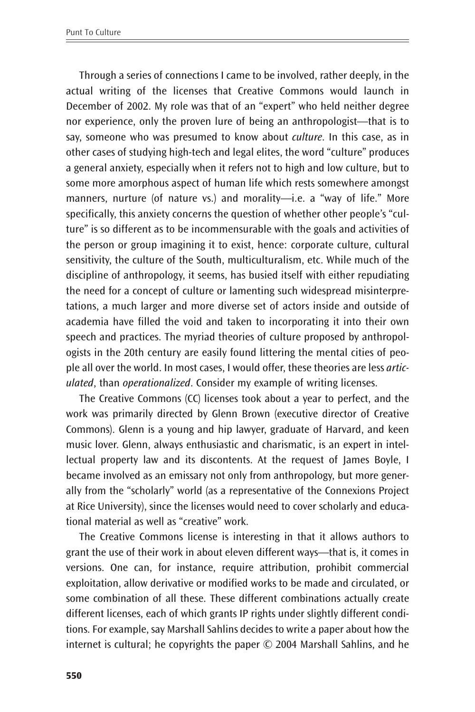Through a series of connections I came to be involved, rather deeply, in the actual writing of the licenses that Creative Commons would launch in December of 2002. My role was that of an "expert" who held neither degree nor experience, only the proven lure of being an anthropologist—that is to say, someone who was presumed to know about *culture*. In this case, as in other cases of studying high-tech and legal elites, the word "culture" produces a general anxiety, especially when it refers not to high and low culture, but to some more amorphous aspect of human life which rests somewhere amongst manners, nurture (of nature vs.) and morality—i.e. a "way of life." More specifically, this anxiety concerns the question of whether other people's "culture" is so different as to be incommensurable with the goals and activities of the person or group imagining it to exist, hence: corporate culture, cultural sensitivity, the culture of the South, multiculturalism, etc. While much of the discipline of anthropology, it seems, has busied itself with either repudiating the need for a concept of culture or lamenting such widespread misinterpretations, a much larger and more diverse set of actors inside and outside of academia have filled the void and taken to incorporating it into their own speech and practices. The myriad theories of culture proposed by anthropologists in the 20th century are easily found littering the mental cities of people all over the world. In most cases, I would offer, these theories are less *artic*ulated, than *operationalized*. Consider my example of writing licenses.

The Creative Commons (CC) licenses took about a year to perfect, and the work was primarily directed by Glenn Brown (executive director of Creative Commons). Glenn is a young and hip lawyer, graduate of Harvard, and keen music lover. Glenn, always enthusiastic and charismatic, is an expert in intellectual property law and its discontents. At the request of James Boyle, I became involved as an emissary not only from anthropology, but more generally from the "scholarly" world (as a representative of the Connexions Project at Rice University), since the licenses would need to cover scholarly and educational material as well as "creative" work.

The Creative Commons license is interesting in that it allows authors to grant the use of their work in about eleven different ways—that is, it comes in versions. One can, for instance, require attribution, prohibit commercial exploitation, allow derivative or modified works to be made and circulated, or some combination of all these. These different combinations actually create different licenses, each of which grants IP rights under slightly different conditions. For example, say Marshall Sahlins decides to write a paper about how the internet is cultural; he copyrights the paper © 2004 Marshall Sahlins, and he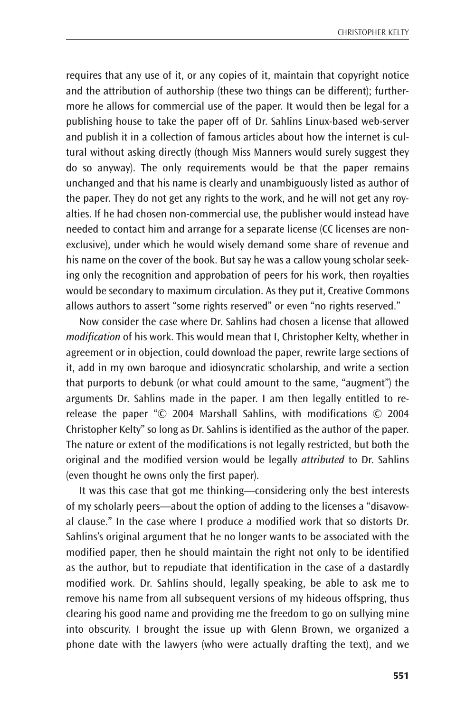requires that any use of it, or any copies of it, maintain that copyright notice and the attribution of authorship (these two things can be different); furthermore he allows for commercial use of the paper. It would then be legal for a publishing house to take the paper off of Dr. Sahlins Linux-based web-server and publish it in a collection of famous articles about how the internet is cultural without asking directly (though Miss Manners would surely suggest they do so anyway). The only requirements would be that the paper remains unchanged and that his name is clearly and unambiguously listed as author of the paper. They do not get any rights to the work, and he will not get any royalties. If he had chosen non-commercial use, the publisher would instead have needed to contact him and arrange for a separate license (CC licenses are nonexclusive), under which he would wisely demand some share of revenue and his name on the cover of the book. But say he was a callow young scholar seeking only the recognition and approbation of peers for his work, then royalties would be secondary to maximum circulation. As they put it, Creative Commons allows authors to assert "some rights reserved" or even "no rights reserved."

Now consider the case where Dr. Sahlins had chosen a license that allowed modification of his work. This would mean that I, Christopher Kelty, whether in agreement or in objection, could download the paper, rewrite large sections of it, add in my own baroque and idiosyncratic scholarship, and write a section that purports to debunk (or what could amount to the same, "augment") the arguments Dr. Sahlins made in the paper. I am then legally entitled to rerelease the paper "© 2004 Marshall Sahlins, with modifications © 2004 Christopher Kelty" so long as Dr. Sahlins is identified as the author of the paper. The nature or extent of the modifications is not legally restricted, but both the original and the modified version would be legally *attributed* to Dr. Sahlins (even thought he owns only the first paper).

It was this case that got me thinking—considering only the best interests of my scholarly peers—about the option of adding to the licenses a "disavowal clause." In the case where I produce a modified work that so distorts Dr. Sahlins's original argument that he no longer wants to be associated with the modified paper, then he should maintain the right not only to be identified as the author, but to repudiate that identification in the case of a dastardly modified work. Dr. Sahlins should, legally speaking, be able to ask me to remove his name from all subsequent versions of my hideous offspring, thus clearing his good name and providing me the freedom to go on sullying mine into obscurity. I brought the issue up with Glenn Brown, we organized a phone date with the lawyers (who were actually drafting the text), and we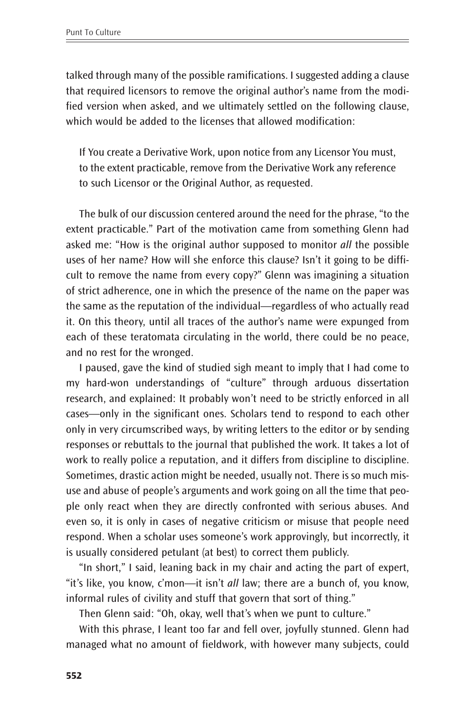talked through many of the possible ramifications. I suggested adding a clause that required licensors to remove the original author's name from the modified version when asked, and we ultimately settled on the following clause, which would be added to the licenses that allowed modification:

If You create a Derivative Work, upon notice from any Licensor You must, to the extent practicable, remove from the Derivative Work any reference to such Licensor or the Original Author, as requested.

The bulk of our discussion centered around the need for the phrase, "to the extent practicable." Part of the motivation came from something Glenn had asked me: "How is the original author supposed to monitor all the possible uses of her name? How will she enforce this clause? Isn't it going to be difficult to remove the name from every copy?" Glenn was imagining a situation of strict adherence, one in which the presence of the name on the paper was the same as the reputation of the individual—regardless of who actually read it. On this theory, until all traces of the author's name were expunged from each of these teratomata circulating in the world, there could be no peace, and no rest for the wronged.

I paused, gave the kind of studied sigh meant to imply that I had come to my hard-won understandings of "culture" through arduous dissertation research, and explained: It probably won't need to be strictly enforced in all cases—only in the significant ones. Scholars tend to respond to each other only in very circumscribed ways, by writing letters to the editor or by sending responses or rebuttals to the journal that published the work. It takes a lot of work to really police a reputation, and it differs from discipline to discipline. Sometimes, drastic action might be needed, usually not. There is so much misuse and abuse of people's arguments and work going on all the time that people only react when they are directly confronted with serious abuses. And even so, it is only in cases of negative criticism or misuse that people need respond. When a scholar uses someone's work approvingly, but incorrectly, it is usually considered petulant (at best) to correct them publicly.

"In short," I said, leaning back in my chair and acting the part of expert, "it's like, you know, c'mon—it isn't all law; there are a bunch of, you know, informal rules of civility and stuff that govern that sort of thing."

Then Glenn said: "Oh, okay, well that's when we punt to culture."

With this phrase, I leant too far and fell over, joyfully stunned. Glenn had managed what no amount of fieldwork, with however many subjects, could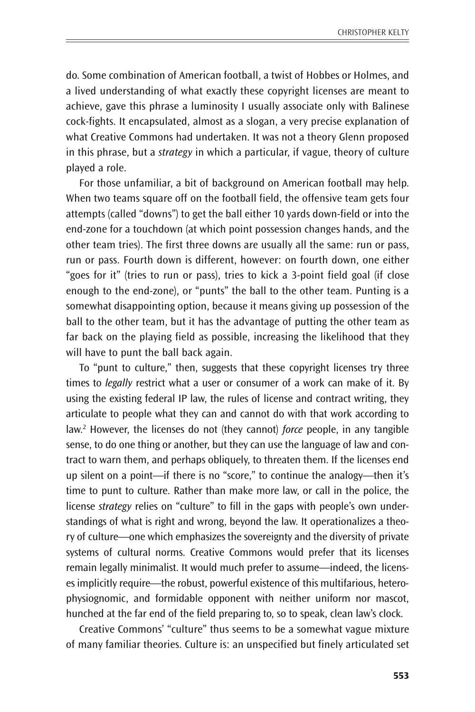do. Some combination of American football, a twist of Hobbes or Holmes, and a lived understanding of what exactly these copyright licenses are meant to achieve, gave this phrase a luminosity I usually associate only with Balinese cock-fights. It encapsulated, almost as a slogan, a very precise explanation of what Creative Commons had undertaken. It was not a theory Glenn proposed in this phrase, but a strategy in which a particular, if vague, theory of culture played a role.

For those unfamiliar, a bit of background on American football may help. When two teams square off on the football field, the offensive team gets four attempts (called "downs") to get the ball either 10 yards down-field or into the end-zone for a touchdown (at which point possession changes hands, and the other team tries). The first three downs are usually all the same: run or pass, run or pass. Fourth down is different, however: on fourth down, one either "goes for it" (tries to run or pass), tries to kick a 3-point field goal (if close enough to the end-zone), or "punts" the ball to the other team. Punting is a somewhat disappointing option, because it means giving up possession of the ball to the other team, but it has the advantage of putting the other team as far back on the playing field as possible, increasing the likelihood that they will have to punt the ball back again.

To "punt to culture," then, suggests that these copyright licenses try three times to legally restrict what a user or consumer of a work can make of it. By using the existing federal IP law, the rules of license and contract writing, they articulate to people what they can and cannot do with that work according to law.<sup>2</sup> However, the licenses do not (they cannot) force people, in any tangible sense, to do one thing or another, but they can use the language of law and contract to warn them, and perhaps obliquely, to threaten them. If the licenses end up silent on a point—if there is no "score," to continue the analogy—then it's time to punt to culture. Rather than make more law, or call in the police, the license *strategy* relies on "culture" to fill in the gaps with people's own understandings of what is right and wrong, beyond the law. It operationalizes a theory of culture—one which emphasizes the sovereignty and the diversity of private systems of cultural norms. Creative Commons would prefer that its licenses remain legally minimalist. It would much prefer to assume—indeed, the licenses implicitly require—the robust, powerful existence of this multifarious, heterophysiognomic, and formidable opponent with neither uniform nor mascot, hunched at the far end of the field preparing to, so to speak, clean law's clock.

Creative Commons' "culture" thus seems to be a somewhat vague mixture of many familiar theories. Culture is: an unspecified but finely articulated set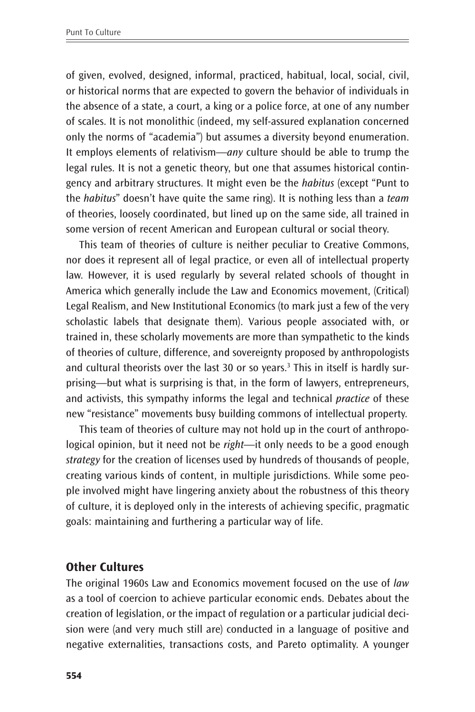of given, evolved, designed, informal, practiced, habitual, local, social, civil, or historical norms that are expected to govern the behavior of individuals in the absence of a state, a court, a king or a police force, at one of any number of scales. It is not monolithic (indeed, my self-assured explanation concerned only the norms of "academia") but assumes a diversity beyond enumeration. It employs elements of relativism—any culture should be able to trump the legal rules. It is not a genetic theory, but one that assumes historical contingency and arbitrary structures. It might even be the habitus (except "Punt to the *habitus*" doesn't have quite the same ring). It is nothing less than a *team* of theories, loosely coordinated, but lined up on the same side, all trained in some version of recent American and European cultural or social theory.

This team of theories of culture is neither peculiar to Creative Commons, nor does it represent all of legal practice, or even all of intellectual property law. However, it is used regularly by several related schools of thought in America which generally include the Law and Economics movement, (Critical) Legal Realism, and New Institutional Economics (to mark just a few of the very scholastic labels that designate them). Various people associated with, or trained in, these scholarly movements are more than sympathetic to the kinds of theories of culture, difference, and sovereignty proposed by anthropologists and cultural theorists over the last 30 or so years.<sup>3</sup> This in itself is hardly surprising—but what is surprising is that, in the form of lawyers, entrepreneurs, and activists, this sympathy informs the legal and technical practice of these new "resistance" movements busy building commons of intellectual property.

This team of theories of culture may not hold up in the court of anthropological opinion, but it need not be right—it only needs to be a good enough strategy for the creation of licenses used by hundreds of thousands of people, creating various kinds of content, in multiple jurisdictions. While some people involved might have lingering anxiety about the robustness of this theory of culture, it is deployed only in the interests of achieving specific, pragmatic goals: maintaining and furthering a particular way of life.

# **Other Cultures**

The original 1960s Law and Economics movement focused on the use of law as a tool of coercion to achieve particular economic ends. Debates about the creation of legislation, or the impact of regulation or a particular judicial decision were (and very much still are) conducted in a language of positive and negative externalities, transactions costs, and Pareto optimality. A younger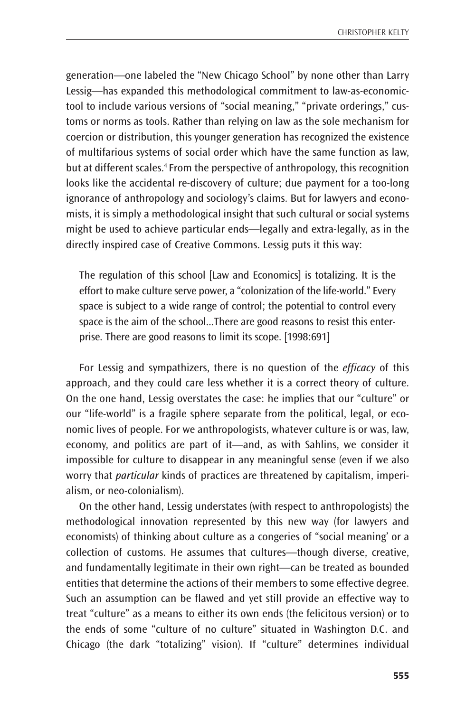generation—one labeled the "New Chicago School" by none other than Larry Lessig—has expanded this methodological commitment to law-as-economictool to include various versions of "social meaning," "private orderings," customs or norms as tools. Rather than relying on law as the sole mechanism for coercion or distribution, this younger generation has recognized the existence of multifarious systems of social order which have the same function as law, but at different scales.<sup>4</sup> From the perspective of anthropology, this recognition looks like the accidental re-discovery of culture; due payment for a too-long ignorance of anthropology and sociology's claims. But for lawyers and economists, it is simply a methodological insight that such cultural or social systems might be used to achieve particular ends—legally and extra-legally, as in the directly inspired case of Creative Commons. Lessig puts it this way:

The regulation of this school [Law and Economics] is totalizing. It is the effort to make culture serve power, a "colonization of the life-world." Every space is subject to a wide range of control; the potential to control every space is the aim of the school...There are good reasons to resist this enterprise. There are good reasons to limit its scope. [1998:691]

For Lessig and sympathizers, there is no question of the *efficacy* of this approach, and they could care less whether it is a correct theory of culture. On the one hand, Lessig overstates the case: he implies that our "culture" or our "life-world" is a fragile sphere separate from the political, legal, or economic lives of people. For we anthropologists, whatever culture is or was, law, economy, and politics are part of it—and, as with Sahlins, we consider it impossible for culture to disappear in any meaningful sense (even if we also worry that particular kinds of practices are threatened by capitalism, imperialism, or neo-colonialism).

On the other hand, Lessig understates (with respect to anthropologists) the methodological innovation represented by this new way (for lawyers and economists) of thinking about culture as a congeries of "social meaning' or a collection of customs. He assumes that cultures—though diverse, creative, and fundamentally legitimate in their own right—can be treated as bounded entities that determine the actions of their members to some effective degree. Such an assumption can be flawed and yet still provide an effective way to treat "culture" as a means to either its own ends (the felicitous version) or to the ends of some "culture of no culture" situated in Washington D.C. and Chicago (the dark "totalizing" vision). If "culture" determines individual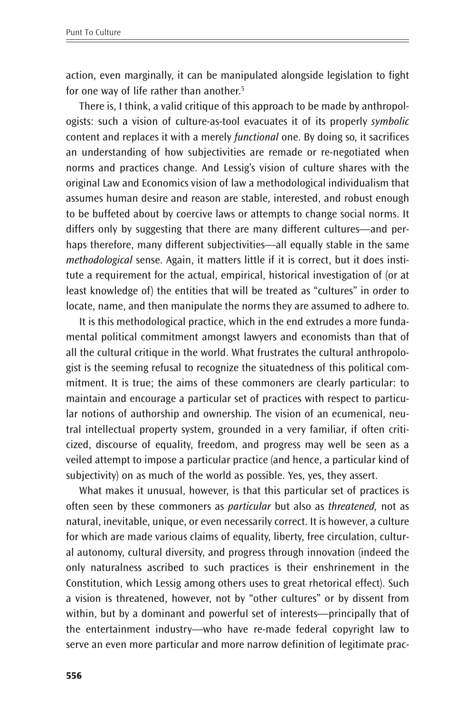action, even marginally, it can be manipulated alongside legislation to fight for one way of life rather than another.<sup>5</sup>

There is, I think, a valid critique of this approach to be made by anthropologists: such a vision of culture-as-tool evacuates it of its properly symbolic content and replaces it with a merely functional one. By doing so, it sacrifices an understanding of how subjectivities are remade or re-negotiated when norms and practices change. And Lessig's vision of culture shares with the original Law and Economics vision of law a methodological individualism that assumes human desire and reason are stable, interested, and robust enough to be buffeted about by coercive laws or attempts to change social norms. It differs only by suggesting that there are many different cultures—and perhaps therefore, many different subjectivities—all equally stable in the same methodological sense. Again, it matters little if it is correct, but it does institute a requirement for the actual, empirical, historical investigation of (or at least knowledge of) the entities that will be treated as "cultures" in order to locate, name, and then manipulate the norms they are assumed to adhere to.

It is this methodological practice, which in the end extrudes a more fundamental political commitment amongst lawyers and economists than that of all the cultural critique in the world. What frustrates the cultural anthropologist is the seeming refusal to recognize the situatedness of this political commitment. It is true; the aims of these commoners are clearly particular: to maintain and encourage a particular set of practices with respect to particular notions of authorship and ownership. The vision of an ecumenical, neutral intellectual property system, grounded in a very familiar, if often criticized, discourse of equality, freedom, and progress may well be seen as a veiled attempt to impose a particular practice (and hence, a particular kind of subjectivity) on as much of the world as possible. Yes, yes, they assert.

What makes it unusual, however, is that this particular set of practices is often seen by these commoners as particular but also as threatened, not as natural, inevitable, unique, or even necessarily correct. It is however, a culture for which are made various claims of equality, liberty, free circulation, cultural autonomy, cultural diversity, and progress through innovation (indeed the only naturalness ascribed to such practices is their enshrinement in the Constitution, which Lessig among others uses to great rhetorical effect). Such a vision is threatened, however, not by "other cultures" or by dissent from within, but by a dominant and powerful set of interests—principally that of the entertainment industry—who have re-made federal copyright law to serve an even more particular and more narrow definition of legitimate prac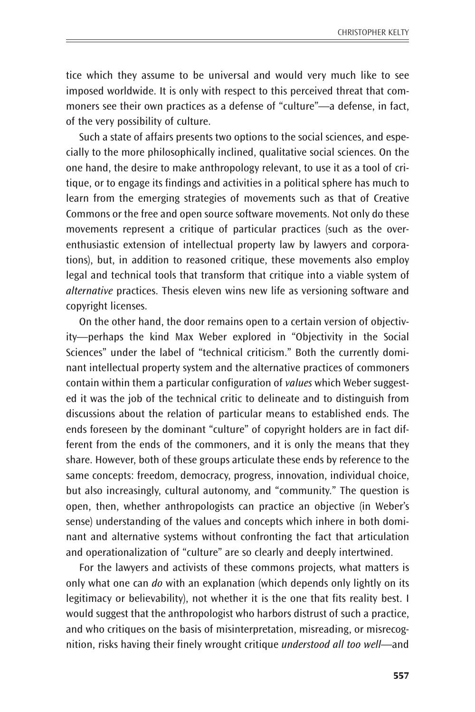tice which they assume to be universal and would very much like to see imposed worldwide. It is only with respect to this perceived threat that commoners see their own practices as a defense of "culture"—a defense, in fact, of the very possibility of culture.

Such a state of affairs presents two options to the social sciences, and especially to the more philosophically inclined, qualitative social sciences. On the one hand, the desire to make anthropology relevant, to use it as a tool of critique, or to engage its findings and activities in a political sphere has much to learn from the emerging strategies of movements such as that of Creative Commons or the free and open source software movements. Not only do these movements represent a critique of particular practices (such as the overenthusiastic extension of intellectual property law by lawyers and corporations), but, in addition to reasoned critique, these movements also employ legal and technical tools that transform that critique into a viable system of alternative practices. Thesis eleven wins new life as versioning software and copyright licenses.

On the other hand, the door remains open to a certain version of objectivity—perhaps the kind Max Weber explored in "Objectivity in the Social Sciences" under the label of "technical criticism." Both the currently dominant intellectual property system and the alternative practices of commoners contain within them a particular configuration of values which Weber suggested it was the job of the technical critic to delineate and to distinguish from discussions about the relation of particular means to established ends. The ends foreseen by the dominant "culture" of copyright holders are in fact different from the ends of the commoners, and it is only the means that they share. However, both of these groups articulate these ends by reference to the same concepts: freedom, democracy, progress, innovation, individual choice, but also increasingly, cultural autonomy, and "community." The question is open, then, whether anthropologists can practice an objective (in Weber's sense) understanding of the values and concepts which inhere in both dominant and alternative systems without confronting the fact that articulation and operationalization of "culture" are so clearly and deeply intertwined.

For the lawyers and activists of these commons projects, what matters is only what one can do with an explanation (which depends only lightly on its legitimacy or believability), not whether it is the one that fits reality best. I would suggest that the anthropologist who harbors distrust of such a practice, and who critiques on the basis of misinterpretation, misreading, or misrecognition, risks having their finely wrought critique *understood all too well*—and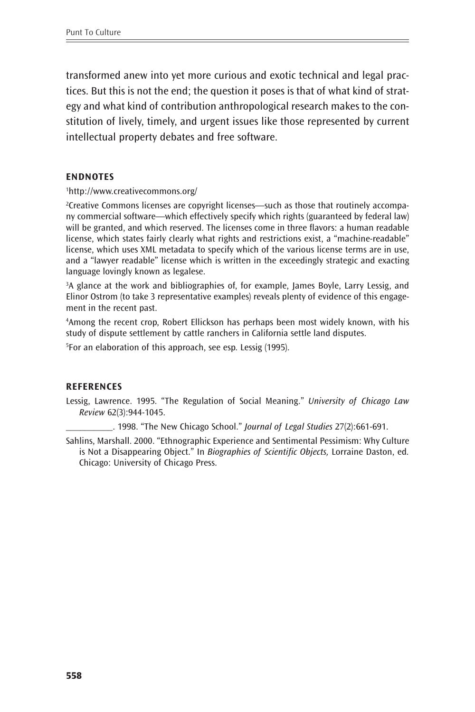transformed anew into yet more curious and exotic technical and legal practices. But this is not the end; the question it poses is that of what kind of strategy and what kind of contribution anthropological research makes to the constitution of lively, timely, and urgent issues like those represented by current intellectual property debates and free software.

#### **ENDNOTES**

#### 1 http://www.creativecommons.org/

2 Creative Commons licenses are copyright licenses—such as those that routinely accompany commercial software—which effectively specify which rights (guaranteed by federal law) will be granted, and which reserved. The licenses come in three flavors: a human readable license, which states fairly clearly what rights and restrictions exist, a "machine-readable" license, which uses XML metadata to specify which of the various license terms are in use, and a "lawyer readable" license which is written in the exceedingly strategic and exacting language lovingly known as legalese.

3 A glance at the work and bibliographies of, for example, James Boyle, Larry Lessig, and Elinor Ostrom (to take 3 representative examples) reveals plenty of evidence of this engagement in the recent past.

4 Among the recent crop, Robert Ellickson has perhaps been most widely known, with his study of dispute settlement by cattle ranchers in California settle land disputes.

5 For an elaboration of this approach, see esp. Lessig (1995).

#### **REFERENCES**

Lessig, Lawrence. 1995. "The Regulation of Social Meaning." University of Chicago Law Review 62(3):944-1045.

\_\_\_\_\_\_\_\_\_\_. 1998. "The New Chicago School." Journal of Legal Studies 27(2):661-691.

Sahlins, Marshall. 2000. "Ethnographic Experience and Sentimental Pessimism: Why Culture is Not a Disappearing Object." In Biographies of Scientific Objects, Lorraine Daston, ed. Chicago: University of Chicago Press.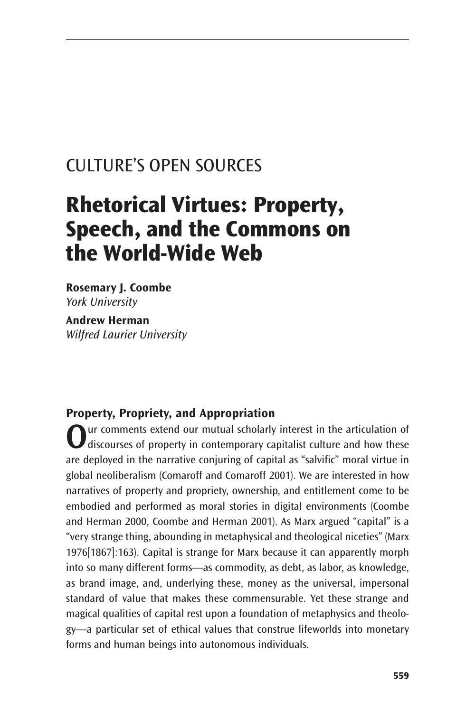# CULTURE'S OPEN SOURCES

# **Rhetorical Virtues: Property, Speech, and the Commons on the World-Wide Web**

**Rosemary J. Coombe** York University

**Andrew Herman** Wilfred Laurier University

# **Property, Propriety, and Appropriation**

**O**ur comments extend our mutual scholarly interest in the articulation of discourses of property in contemporary capitalist culture and how these are deployed in the narrative conjuring of capital as "salvific" moral virtue in global neoliberalism (Comaroff and Comaroff 2001). We are interested in how narratives of property and propriety, ownership, and entitlement come to be embodied and performed as moral stories in digital environments (Coombe and Herman 2000, Coombe and Herman 2001). As Marx argued "capital" is a "very strange thing, abounding in metaphysical and theological niceties" (Marx 1976[1867]:163). Capital is strange for Marx because it can apparently morph into so many different forms—as commodity, as debt, as labor, as knowledge, as brand image, and, underlying these, money as the universal, impersonal standard of value that makes these commensurable. Yet these strange and magical qualities of capital rest upon a foundation of metaphysics and theology—a particular set of ethical values that construe lifeworlds into monetary forms and human beings into autonomous individuals.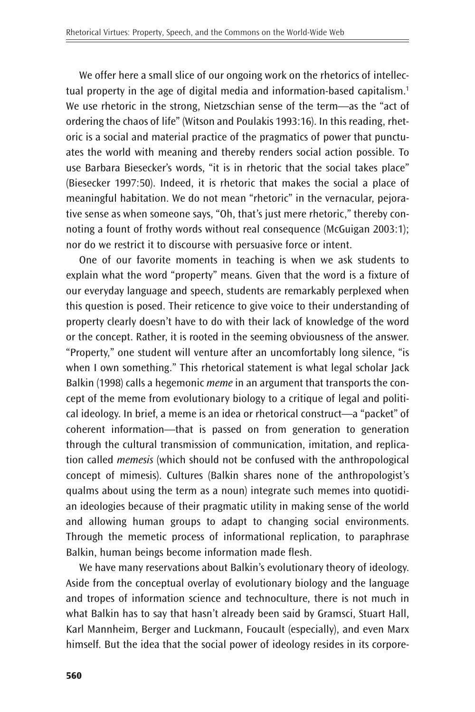We offer here a small slice of our ongoing work on the rhetorics of intellectual property in the age of digital media and information-based capitalism.1 We use rhetoric in the strong, Nietzschian sense of the term—as the "act of ordering the chaos of life" (Witson and Poulakis 1993:16). In this reading, rhetoric is a social and material practice of the pragmatics of power that punctuates the world with meaning and thereby renders social action possible. To use Barbara Biesecker's words, "it is in rhetoric that the social takes place" (Biesecker 1997:50). Indeed, it is rhetoric that makes the social a place of meaningful habitation. We do not mean "rhetoric" in the vernacular, pejorative sense as when someone says, "Oh, that's just mere rhetoric," thereby connoting a fount of frothy words without real consequence (McGuigan 2003:1); nor do we restrict it to discourse with persuasive force or intent.

One of our favorite moments in teaching is when we ask students to explain what the word "property" means. Given that the word is a fixture of our everyday language and speech, students are remarkably perplexed when this question is posed. Their reticence to give voice to their understanding of property clearly doesn't have to do with their lack of knowledge of the word or the concept. Rather, it is rooted in the seeming obviousness of the answer. "Property," one student will venture after an uncomfortably long silence, "is when I own something." This rhetorical statement is what legal scholar Jack Balkin (1998) calls a hegemonic *meme* in an argument that transports the concept of the meme from evolutionary biology to a critique of legal and political ideology. In brief, a meme is an idea or rhetorical construct—a "packet" of coherent information—that is passed on from generation to generation through the cultural transmission of communication, imitation, and replication called memesis (which should not be confused with the anthropological concept of mimesis). Cultures (Balkin shares none of the anthropologist's qualms about using the term as a noun) integrate such memes into quotidian ideologies because of their pragmatic utility in making sense of the world and allowing human groups to adapt to changing social environments. Through the memetic process of informational replication, to paraphrase Balkin, human beings become information made flesh.

We have many reservations about Balkin's evolutionary theory of ideology. Aside from the conceptual overlay of evolutionary biology and the language and tropes of information science and technoculture, there is not much in what Balkin has to say that hasn't already been said by Gramsci, Stuart Hall, Karl Mannheim, Berger and Luckmann, Foucault (especially), and even Marx himself. But the idea that the social power of ideology resides in its corpore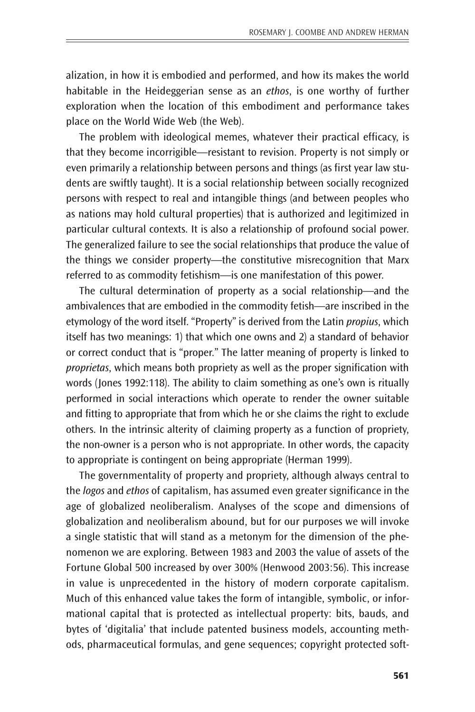alization, in how it is embodied and performed, and how its makes the world habitable in the Heideggerian sense as an *ethos*, is one worthy of further exploration when the location of this embodiment and performance takes place on the World Wide Web (the Web).

The problem with ideological memes, whatever their practical efficacy, is that they become incorrigible—resistant to revision. Property is not simply or even primarily a relationship between persons and things (as first year law students are swiftly taught). It is a social relationship between socially recognized persons with respect to real and intangible things (and between peoples who as nations may hold cultural properties) that is authorized and legitimized in particular cultural contexts. It is also a relationship of profound social power. The generalized failure to see the social relationships that produce the value of the things we consider property—the constitutive misrecognition that Marx referred to as commodity fetishism—is one manifestation of this power.

The cultural determination of property as a social relationship—and the ambivalences that are embodied in the commodity fetish—are inscribed in the etymology of the word itself. "Property" is derived from the Latin *propius*, which itself has two meanings: 1) that which one owns and 2) a standard of behavior or correct conduct that is "proper." The latter meaning of property is linked to proprietas, which means both propriety as well as the proper signification with words (Jones 1992:118). The ability to claim something as one's own is ritually performed in social interactions which operate to render the owner suitable and fitting to appropriate that from which he or she claims the right to exclude others. In the intrinsic alterity of claiming property as a function of propriety, the non-owner is a person who is not appropriate. In other words, the capacity to appropriate is contingent on being appropriate (Herman 1999).

The governmentality of property and propriety, although always central to the logos and ethos of capitalism, has assumed even greater significance in the age of globalized neoliberalism. Analyses of the scope and dimensions of globalization and neoliberalism abound, but for our purposes we will invoke a single statistic that will stand as a metonym for the dimension of the phenomenon we are exploring. Between 1983 and 2003 the value of assets of the Fortune Global 500 increased by over 300% (Henwood 2003:56). This increase in value is unprecedented in the history of modern corporate capitalism. Much of this enhanced value takes the form of intangible, symbolic, or informational capital that is protected as intellectual property: bits, bauds, and bytes of 'digitalia' that include patented business models, accounting methods, pharmaceutical formulas, and gene sequences; copyright protected soft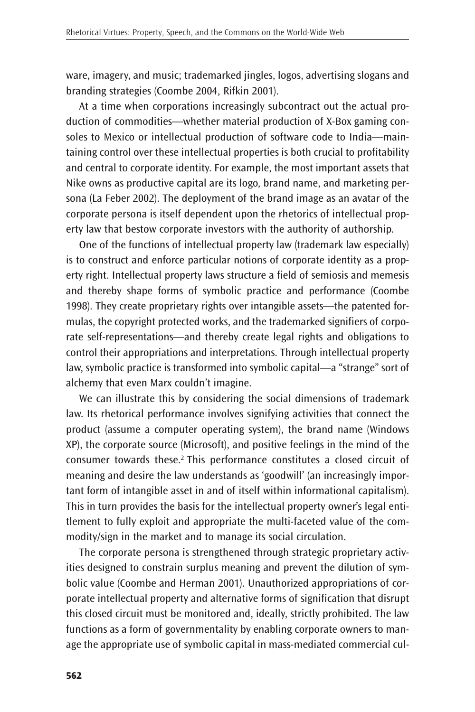ware, imagery, and music; trademarked jingles, logos, advertising slogans and branding strategies (Coombe 2004, Rifkin 2001).

At a time when corporations increasingly subcontract out the actual production of commodities—whether material production of X-Box gaming consoles to Mexico or intellectual production of software code to India—maintaining control over these intellectual properties is both crucial to profitability and central to corporate identity. For example, the most important assets that Nike owns as productive capital are its logo, brand name, and marketing persona (La Feber 2002). The deployment of the brand image as an avatar of the corporate persona is itself dependent upon the rhetorics of intellectual property law that bestow corporate investors with the authority of authorship.

One of the functions of intellectual property law (trademark law especially) is to construct and enforce particular notions of corporate identity as a property right. Intellectual property laws structure a field of semiosis and memesis and thereby shape forms of symbolic practice and performance (Coombe 1998). They create proprietary rights over intangible assets—the patented formulas, the copyright protected works, and the trademarked signifiers of corporate self-representations—and thereby create legal rights and obligations to control their appropriations and interpretations. Through intellectual property law, symbolic practice is transformed into symbolic capital—a "strange" sort of alchemy that even Marx couldn't imagine.

We can illustrate this by considering the social dimensions of trademark law. Its rhetorical performance involves signifying activities that connect the product (assume a computer operating system), the brand name (Windows XP), the corporate source (Microsoft), and positive feelings in the mind of the consumer towards these.2 This performance constitutes a closed circuit of meaning and desire the law understands as 'goodwill' (an increasingly important form of intangible asset in and of itself within informational capitalism). This in turn provides the basis for the intellectual property owner's legal entitlement to fully exploit and appropriate the multi-faceted value of the commodity/sign in the market and to manage its social circulation.

The corporate persona is strengthened through strategic proprietary activities designed to constrain surplus meaning and prevent the dilution of symbolic value (Coombe and Herman 2001). Unauthorized appropriations of corporate intellectual property and alternative forms of signification that disrupt this closed circuit must be monitored and, ideally, strictly prohibited. The law functions as a form of governmentality by enabling corporate owners to manage the appropriate use of symbolic capital in mass-mediated commercial cul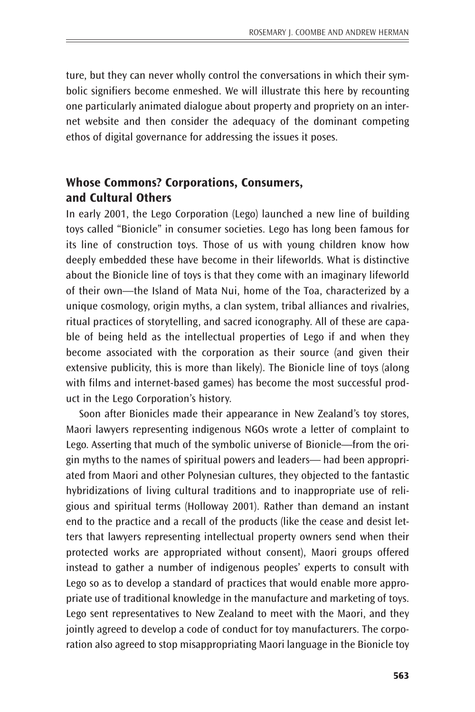ture, but they can never wholly control the conversations in which their symbolic signifiers become enmeshed. We will illustrate this here by recounting one particularly animated dialogue about property and propriety on an internet website and then consider the adequacy of the dominant competing ethos of digital governance for addressing the issues it poses.

# **Whose Commons? Corporations, Consumers, and Cultural Others**

In early 2001, the Lego Corporation (Lego) launched a new line of building toys called "Bionicle" in consumer societies. Lego has long been famous for its line of construction toys. Those of us with young children know how deeply embedded these have become in their lifeworlds. What is distinctive about the Bionicle line of toys is that they come with an imaginary lifeworld of their own—the Island of Mata Nui, home of the Toa, characterized by a unique cosmology, origin myths, a clan system, tribal alliances and rivalries, ritual practices of storytelling, and sacred iconography. All of these are capable of being held as the intellectual properties of Lego if and when they become associated with the corporation as their source (and given their extensive publicity, this is more than likely). The Bionicle line of toys (along with films and internet-based games) has become the most successful product in the Lego Corporation's history.

Soon after Bionicles made their appearance in New Zealand's toy stores, Maori lawyers representing indigenous NGOs wrote a letter of complaint to Lego. Asserting that much of the symbolic universe of Bionicle—from the origin myths to the names of spiritual powers and leaders— had been appropriated from Maori and other Polynesian cultures, they objected to the fantastic hybridizations of living cultural traditions and to inappropriate use of religious and spiritual terms (Holloway 2001). Rather than demand an instant end to the practice and a recall of the products (like the cease and desist letters that lawyers representing intellectual property owners send when their protected works are appropriated without consent), Maori groups offered instead to gather a number of indigenous peoples' experts to consult with Lego so as to develop a standard of practices that would enable more appropriate use of traditional knowledge in the manufacture and marketing of toys. Lego sent representatives to New Zealand to meet with the Maori, and they jointly agreed to develop a code of conduct for toy manufacturers. The corporation also agreed to stop misappropriating Maori language in the Bionicle toy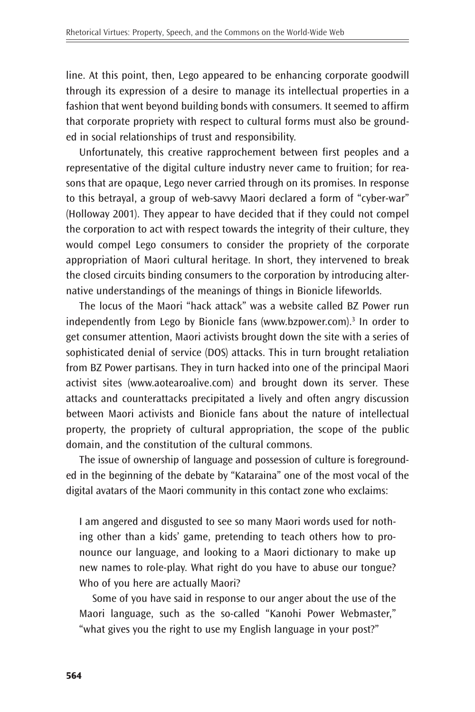line. At this point, then, Lego appeared to be enhancing corporate goodwill through its expression of a desire to manage its intellectual properties in a fashion that went beyond building bonds with consumers. It seemed to affirm that corporate propriety with respect to cultural forms must also be grounded in social relationships of trust and responsibility.

Unfortunately, this creative rapprochement between first peoples and a representative of the digital culture industry never came to fruition; for reasons that are opaque, Lego never carried through on its promises. In response to this betrayal, a group of web-savvy Maori declared a form of "cyber-war" (Holloway 2001). They appear to have decided that if they could not compel the corporation to act with respect towards the integrity of their culture, they would compel Lego consumers to consider the propriety of the corporate appropriation of Maori cultural heritage. In short, they intervened to break the closed circuits binding consumers to the corporation by introducing alternative understandings of the meanings of things in Bionicle lifeworlds.

The locus of the Maori "hack attack" was a website called BZ Power run independently from Lego by Bionicle fans (www.bzpower.com).<sup>3</sup> In order to get consumer attention, Maori activists brought down the site with a series of sophisticated denial of service (DOS) attacks. This in turn brought retaliation from BZ Power partisans. They in turn hacked into one of the principal Maori activist sites (www.aotearoalive.com) and brought down its server. These attacks and counterattacks precipitated a lively and often angry discussion between Maori activists and Bionicle fans about the nature of intellectual property, the propriety of cultural appropriation, the scope of the public domain, and the constitution of the cultural commons.

The issue of ownership of language and possession of culture is foregrounded in the beginning of the debate by "Kataraina" one of the most vocal of the digital avatars of the Maori community in this contact zone who exclaims:

I am angered and disgusted to see so many Maori words used for nothing other than a kids' game, pretending to teach others how to pronounce our language, and looking to a Maori dictionary to make up new names to role-play. What right do you have to abuse our tongue? Who of you here are actually Maori?

Some of you have said in response to our anger about the use of the Maori language, such as the so-called "Kanohi Power Webmaster," "what gives you the right to use my English language in your post?"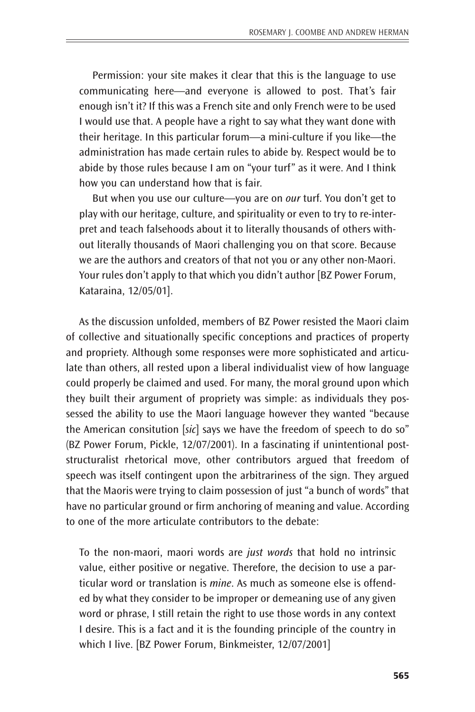Permission: your site makes it clear that this is the language to use communicating here—and everyone is allowed to post. That's fair enough isn't it? If this was a French site and only French were to be used I would use that. A people have a right to say what they want done with their heritage. In this particular forum—a mini-culture if you like—the administration has made certain rules to abide by. Respect would be to abide by those rules because I am on "your turf" as it were. And I think how you can understand how that is fair.

But when you use our culture—you are on our turf. You don't get to play with our heritage, culture, and spirituality or even to try to re-interpret and teach falsehoods about it to literally thousands of others without literally thousands of Maori challenging you on that score. Because we are the authors and creators of that not you or any other non-Maori. Your rules don't apply to that which you didn't author [BZ Power Forum, Kataraina, 12/05/01].

As the discussion unfolded, members of BZ Power resisted the Maori claim of collective and situationally specific conceptions and practices of property and propriety. Although some responses were more sophisticated and articulate than others, all rested upon a liberal individualist view of how language could properly be claimed and used. For many, the moral ground upon which they built their argument of propriety was simple: as individuals they possessed the ability to use the Maori language however they wanted "because the American consitution [sic] says we have the freedom of speech to do so" (BZ Power Forum, Pickle, 12/07/2001). In a fascinating if unintentional poststructuralist rhetorical move, other contributors argued that freedom of speech was itself contingent upon the arbitrariness of the sign. They argued that the Maoris were trying to claim possession of just "a bunch of words" that have no particular ground or firm anchoring of meaning and value. According to one of the more articulate contributors to the debate:

To the non-maori, maori words are *just words* that hold no intrinsic value, either positive or negative. Therefore, the decision to use a particular word or translation is mine. As much as someone else is offended by what they consider to be improper or demeaning use of any given word or phrase, I still retain the right to use those words in any context I desire. This is a fact and it is the founding principle of the country in which I live. [BZ Power Forum, Binkmeister, 12/07/2001]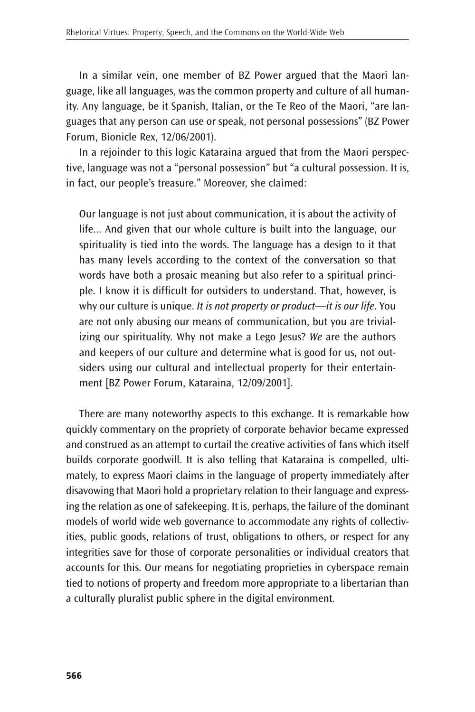In a similar vein, one member of BZ Power argued that the Maori language, like all languages, was the common property and culture of all humanity. Any language, be it Spanish, Italian, or the Te Reo of the Maori, "are languages that any person can use or speak, not personal possessions" (BZ Power Forum, Bionicle Rex, 12/06/2001).

In a rejoinder to this logic Kataraina argued that from the Maori perspective, language was not a "personal possession" but "a cultural possession. It is, in fact, our people's treasure." Moreover, she claimed:

Our language is not just about communication, it is about the activity of life... And given that our whole culture is built into the language, our spirituality is tied into the words. The language has a design to it that has many levels according to the context of the conversation so that words have both a prosaic meaning but also refer to a spiritual principle. I know it is difficult for outsiders to understand. That, however, is why our culture is unique. It is not property or product—it is our life. You are not only abusing our means of communication, but you are trivializing our spirituality. Why not make a Lego Jesus? We are the authors and keepers of our culture and determine what is good for us, not outsiders using our cultural and intellectual property for their entertainment [BZ Power Forum, Kataraina, 12/09/2001].

There are many noteworthy aspects to this exchange. It is remarkable how quickly commentary on the propriety of corporate behavior became expressed and construed as an attempt to curtail the creative activities of fans which itself builds corporate goodwill. It is also telling that Kataraina is compelled, ultimately, to express Maori claims in the language of property immediately after disavowing that Maori hold a proprietary relation to their language and expressing the relation as one of safekeeping. It is, perhaps, the failure of the dominant models of world wide web governance to accommodate any rights of collectivities, public goods, relations of trust, obligations to others, or respect for any integrities save for those of corporate personalities or individual creators that accounts for this. Our means for negotiating proprieties in cyberspace remain tied to notions of property and freedom more appropriate to a libertarian than a culturally pluralist public sphere in the digital environment.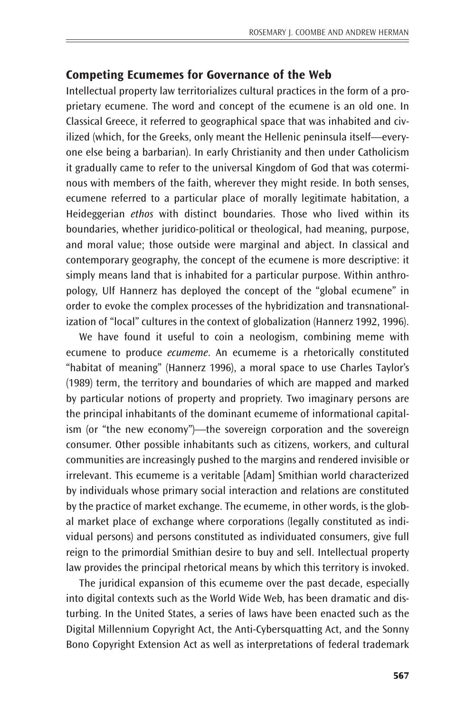# **Competing Ecumemes for Governance of the Web**

Intellectual property law territorializes cultural practices in the form of a proprietary ecumene. The word and concept of the ecumene is an old one. In Classical Greece, it referred to geographical space that was inhabited and civilized (which, for the Greeks, only meant the Hellenic peninsula itself—everyone else being a barbarian). In early Christianity and then under Catholicism it gradually came to refer to the universal Kingdom of God that was coterminous with members of the faith, wherever they might reside. In both senses, ecumene referred to a particular place of morally legitimate habitation, a Heideggerian *ethos* with distinct boundaries. Those who lived within its boundaries, whether juridico-political or theological, had meaning, purpose, and moral value; those outside were marginal and abject. In classical and contemporary geography, the concept of the ecumene is more descriptive: it simply means land that is inhabited for a particular purpose. Within anthropology, Ulf Hannerz has deployed the concept of the "global ecumene" in order to evoke the complex processes of the hybridization and transnationalization of "local" cultures in the context of globalization (Hannerz 1992, 1996).

We have found it useful to coin a neologism, combining meme with ecumene to produce ecumeme. An ecumeme is a rhetorically constituted "habitat of meaning" (Hannerz 1996), a moral space to use Charles Taylor's (1989) term, the territory and boundaries of which are mapped and marked by particular notions of property and propriety. Two imaginary persons are the principal inhabitants of the dominant ecumeme of informational capitalism (or "the new economy")—the sovereign corporation and the sovereign consumer. Other possible inhabitants such as citizens, workers, and cultural communities are increasingly pushed to the margins and rendered invisible or irrelevant. This ecumeme is a veritable [Adam] Smithian world characterized by individuals whose primary social interaction and relations are constituted by the practice of market exchange. The ecumeme, in other words, is the global market place of exchange where corporations (legally constituted as individual persons) and persons constituted as individuated consumers, give full reign to the primordial Smithian desire to buy and sell. Intellectual property law provides the principal rhetorical means by which this territory is invoked.

The juridical expansion of this ecumeme over the past decade, especially into digital contexts such as the World Wide Web, has been dramatic and disturbing. In the United States, a series of laws have been enacted such as the Digital Millennium Copyright Act, the Anti-Cybersquatting Act, and the Sonny Bono Copyright Extension Act as well as interpretations of federal trademark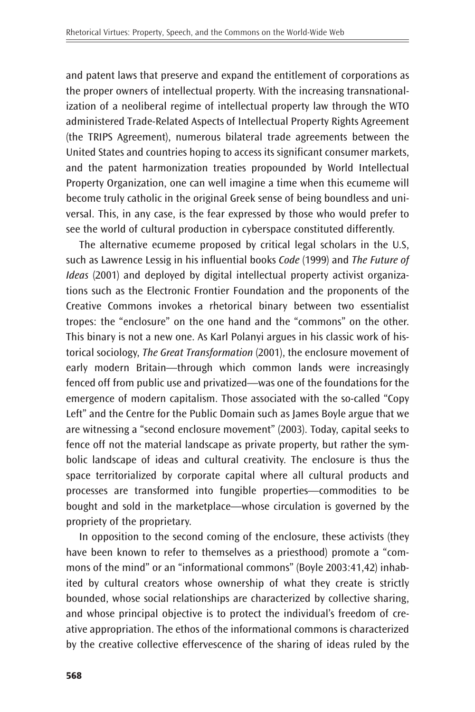and patent laws that preserve and expand the entitlement of corporations as the proper owners of intellectual property. With the increasing transnationalization of a neoliberal regime of intellectual property law through the WTO administered Trade-Related Aspects of Intellectual Property Rights Agreement (the TRIPS Agreement), numerous bilateral trade agreements between the United States and countries hoping to access its significant consumer markets, and the patent harmonization treaties propounded by World Intellectual Property Organization, one can well imagine a time when this ecumeme will become truly catholic in the original Greek sense of being boundless and universal. This, in any case, is the fear expressed by those who would prefer to see the world of cultural production in cyberspace constituted differently.

The alternative ecumeme proposed by critical legal scholars in the U.S, such as Lawrence Lessig in his influential books Code (1999) and The Future of Ideas (2001) and deployed by digital intellectual property activist organizations such as the Electronic Frontier Foundation and the proponents of the Creative Commons invokes a rhetorical binary between two essentialist tropes: the "enclosure" on the one hand and the "commons" on the other. This binary is not a new one. As Karl Polanyi argues in his classic work of historical sociology, The Great Transformation (2001), the enclosure movement of early modern Britain—through which common lands were increasingly fenced off from public use and privatized—was one of the foundations for the emergence of modern capitalism. Those associated with the so-called "Copy Left" and the Centre for the Public Domain such as James Boyle argue that we are witnessing a "second enclosure movement" (2003). Today, capital seeks to fence off not the material landscape as private property, but rather the symbolic landscape of ideas and cultural creativity. The enclosure is thus the space territorialized by corporate capital where all cultural products and processes are transformed into fungible properties—commodities to be bought and sold in the marketplace—whose circulation is governed by the propriety of the proprietary.

In opposition to the second coming of the enclosure, these activists (they have been known to refer to themselves as a priesthood) promote a "commons of the mind" or an "informational commons" (Boyle 2003:41,42) inhabited by cultural creators whose ownership of what they create is strictly bounded, whose social relationships are characterized by collective sharing, and whose principal objective is to protect the individual's freedom of creative appropriation. The ethos of the informational commons is characterized by the creative collective effervescence of the sharing of ideas ruled by the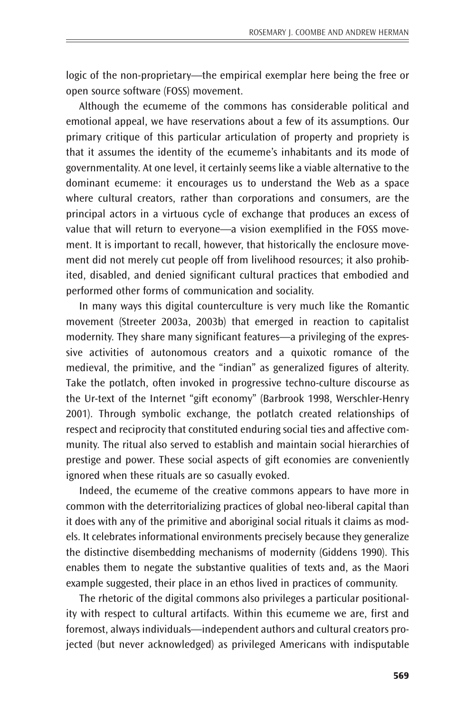logic of the non-proprietary—the empirical exemplar here being the free or open source software (FOSS) movement.

Although the ecumeme of the commons has considerable political and emotional appeal, we have reservations about a few of its assumptions. Our primary critique of this particular articulation of property and propriety is that it assumes the identity of the ecumeme's inhabitants and its mode of governmentality. At one level, it certainly seems like a viable alternative to the dominant ecumeme: it encourages us to understand the Web as a space where cultural creators, rather than corporations and consumers, are the principal actors in a virtuous cycle of exchange that produces an excess of value that will return to everyone—a vision exemplified in the FOSS movement. It is important to recall, however, that historically the enclosure movement did not merely cut people off from livelihood resources; it also prohibited, disabled, and denied significant cultural practices that embodied and performed other forms of communication and sociality.

In many ways this digital counterculture is very much like the Romantic movement (Streeter 2003a, 2003b) that emerged in reaction to capitalist modernity. They share many significant features—a privileging of the expressive activities of autonomous creators and a quixotic romance of the medieval, the primitive, and the "indian" as generalized figures of alterity. Take the potlatch, often invoked in progressive techno-culture discourse as the Ur-text of the Internet "gift economy" (Barbrook 1998, Werschler-Henry 2001). Through symbolic exchange, the potlatch created relationships of respect and reciprocity that constituted enduring social ties and affective community. The ritual also served to establish and maintain social hierarchies of prestige and power. These social aspects of gift economies are conveniently ignored when these rituals are so casually evoked.

Indeed, the ecumeme of the creative commons appears to have more in common with the deterritorializing practices of global neo-liberal capital than it does with any of the primitive and aboriginal social rituals it claims as models. It celebrates informational environments precisely because they generalize the distinctive disembedding mechanisms of modernity (Giddens 1990). This enables them to negate the substantive qualities of texts and, as the Maori example suggested, their place in an ethos lived in practices of community.

The rhetoric of the digital commons also privileges a particular positionality with respect to cultural artifacts. Within this ecumeme we are, first and foremost, always individuals—independent authors and cultural creators projected (but never acknowledged) as privileged Americans with indisputable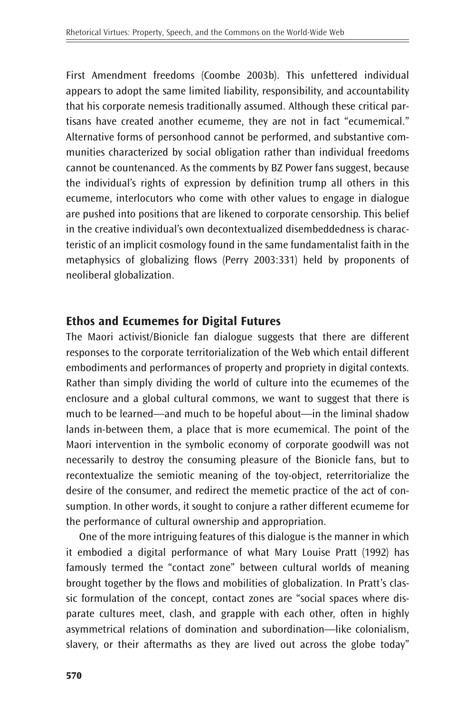First Amendment freedoms (Coombe 2003b). This unfettered individual appears to adopt the same limited liability, responsibility, and accountability that his corporate nemesis traditionally assumed. Although these critical partisans have created another ecumeme, they are not in fact "ecumemical." Alternative forms of personhood cannot be performed, and substantive communities characterized by social obligation rather than individual freedoms cannot be countenanced. As the comments by BZ Power fans suggest, because the individual's rights of expression by definition trump all others in this ecumeme, interlocutors who come with other values to engage in dialogue are pushed into positions that are likened to corporate censorship. This belief in the creative individual's own decontextualized disembeddedness is characteristic of an implicit cosmology found in the same fundamentalist faith in the metaphysics of globalizing flows (Perry 2003:331) held by proponents of neoliberal globalization.

# **Ethos and Ecumemes for Digital Futures**

The Maori activist/Bionicle fan dialogue suggests that there are different responses to the corporate territorialization of the Web which entail different embodiments and performances of property and propriety in digital contexts. Rather than simply dividing the world of culture into the ecumemes of the enclosure and a global cultural commons, we want to suggest that there is much to be learned—and much to be hopeful about—in the liminal shadow lands in-between them, a place that is more ecumemical. The point of the Maori intervention in the symbolic economy of corporate goodwill was not necessarily to destroy the consuming pleasure of the Bionicle fans, but to recontextualize the semiotic meaning of the toy-object, reterritorialize the desire of the consumer, and redirect the memetic practice of the act of consumption. In other words, it sought to conjure a rather different ecumeme for the performance of cultural ownership and appropriation.

One of the more intriguing features of this dialogue is the manner in which it embodied a digital performance of what Mary Louise Pratt (1992) has famously termed the "contact zone" between cultural worlds of meaning brought together by the flows and mobilities of globalization. In Pratt's classic formulation of the concept, contact zones are "social spaces where disparate cultures meet, clash, and grapple with each other, often in highly asymmetrical relations of domination and subordination—like colonialism, slavery, or their aftermaths as they are lived out across the globe today"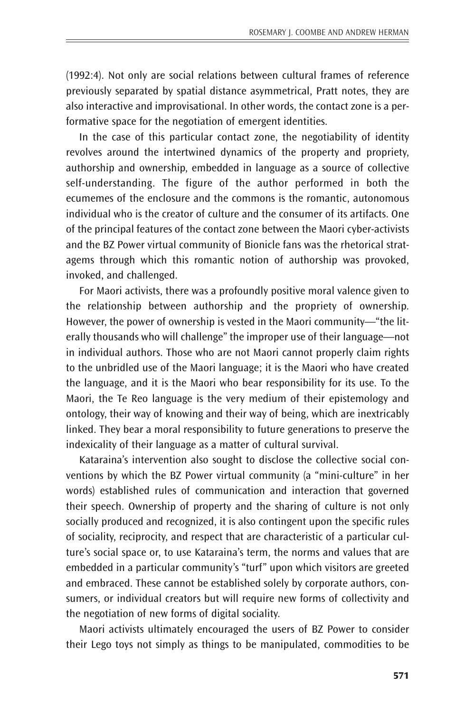(1992:4). Not only are social relations between cultural frames of reference previously separated by spatial distance asymmetrical, Pratt notes, they are also interactive and improvisational. In other words, the contact zone is a performative space for the negotiation of emergent identities.

In the case of this particular contact zone, the negotiability of identity revolves around the intertwined dynamics of the property and propriety, authorship and ownership, embedded in language as a source of collective self-understanding. The figure of the author performed in both the ecumemes of the enclosure and the commons is the romantic, autonomous individual who is the creator of culture and the consumer of its artifacts. One of the principal features of the contact zone between the Maori cyber-activists and the BZ Power virtual community of Bionicle fans was the rhetorical stratagems through which this romantic notion of authorship was provoked, invoked, and challenged.

For Maori activists, there was a profoundly positive moral valence given to the relationship between authorship and the propriety of ownership. However, the power of ownership is vested in the Maori community—"the literally thousands who will challenge" the improper use of their language—not in individual authors. Those who are not Maori cannot properly claim rights to the unbridled use of the Maori language; it is the Maori who have created the language, and it is the Maori who bear responsibility for its use. To the Maori, the Te Reo language is the very medium of their epistemology and ontology, their way of knowing and their way of being, which are inextricably linked. They bear a moral responsibility to future generations to preserve the indexicality of their language as a matter of cultural survival.

Kataraina's intervention also sought to disclose the collective social conventions by which the BZ Power virtual community (a "mini-culture" in her words) established rules of communication and interaction that governed their speech. Ownership of property and the sharing of culture is not only socially produced and recognized, it is also contingent upon the specific rules of sociality, reciprocity, and respect that are characteristic of a particular culture's social space or, to use Kataraina's term, the norms and values that are embedded in a particular community's "turf" upon which visitors are greeted and embraced. These cannot be established solely by corporate authors, consumers, or individual creators but will require new forms of collectivity and the negotiation of new forms of digital sociality.

Maori activists ultimately encouraged the users of BZ Power to consider their Lego toys not simply as things to be manipulated, commodities to be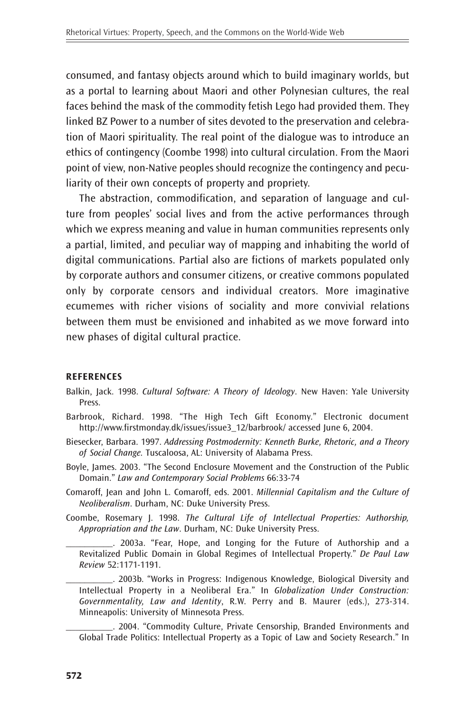consumed, and fantasy objects around which to build imaginary worlds, but as a portal to learning about Maori and other Polynesian cultures, the real faces behind the mask of the commodity fetish Lego had provided them. They linked BZ Power to a number of sites devoted to the preservation and celebration of Maori spirituality. The real point of the dialogue was to introduce an ethics of contingency (Coombe 1998) into cultural circulation. From the Maori point of view, non-Native peoples should recognize the contingency and peculiarity of their own concepts of property and propriety.

The abstraction, commodification, and separation of language and culture from peoples' social lives and from the active performances through which we express meaning and value in human communities represents only a partial, limited, and peculiar way of mapping and inhabiting the world of digital communications. Partial also are fictions of markets populated only by corporate authors and consumer citizens, or creative commons populated only by corporate censors and individual creators. More imaginative ecumemes with richer visions of sociality and more convivial relations between them must be envisioned and inhabited as we move forward into new phases of digital cultural practice.

#### **REFERENCES**

- Balkin, Jack. 1998. Cultural Software: A Theory of Ideology. New Haven: Yale University Press.
- Barbrook, Richard. 1998. "The High Tech Gift Economy." Electronic document http://www.firstmonday.dk/issues/issue3\_12/barbrook/ accessed June 6, 2004.
- Biesecker, Barbara. 1997. Addressing Postmodernity: Kenneth Burke, Rhetoric, and a Theory of Social Change. Tuscaloosa, AL: University of Alabama Press.
- Boyle, James. 2003. "The Second Enclosure Movement and the Construction of the Public Domain." Law and Contemporary Social Problems 66:33-74
- Comaroff, Jean and John L. Comaroff, eds. 2001. Millennial Capitalism and the Culture of Neoliberalism. Durham, NC: Duke University Press.
- Coombe, Rosemary J. 1998. The Cultural Life of Intellectual Properties: Authorship, Appropriation and the Law. Durham, NC: Duke University Press.

\_\_\_\_\_\_\_\_\_\_. 2003a. "Fear, Hope, and Longing for the Future of Authorship and a Revitalized Public Domain in Global Regimes of Intellectual Property." De Paul Law Review 52:1171-1191.

\_\_\_\_\_\_\_\_\_\_. 2003b. "Works in Progress: Indigenous Knowledge, Biological Diversity and Intellectual Property in a Neoliberal Era." In Globalization Under Construction: Governmentality, Law and Identity, R.W. Perry and B. Maurer (eds.), 273-314. Minneapolis: University of Minnesota Press.

\_\_\_\_\_\_\_\_\_\_. 2004. "Commodity Culture, Private Censorship, Branded Environments and Global Trade Politics: Intellectual Property as a Topic of Law and Society Research." In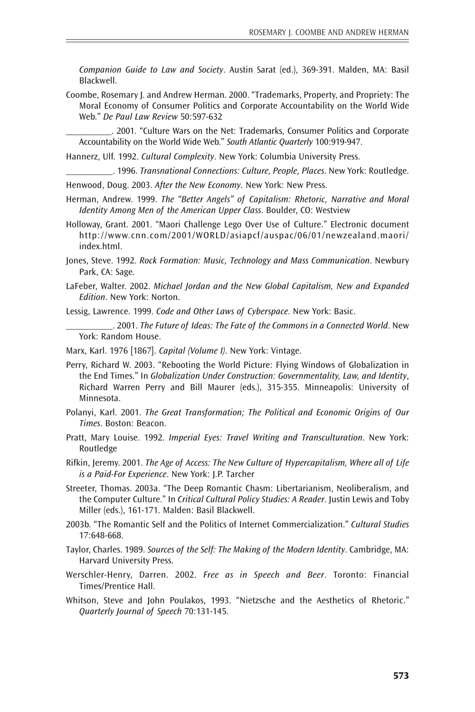Companion Guide to Law and Society. Austin Sarat (ed.), 369-391. Malden, MA: Basil Blackwell.

Coombe, Rosemary J. and Andrew Herman. 2000. "Trademarks, Property, and Propriety: The Moral Economy of Consumer Politics and Corporate Accountability on the World Wide Web." De Paul Law Review 50:597-632

. 2001. "Culture Wars on the Net: Trademarks, Consumer Politics and Corporate Accountability on the World Wide Web." South Atlantic Quarterly 100:919-947.

Hannerz, Ulf. 1992. Cultural Complexity. New York: Columbia University Press.

\_\_\_\_\_\_\_\_\_\_. 1996. Transnational Connections: Culture, People, Places. New York: Routledge.

Henwood, Doug. 2003. After the New Economy. New York: New Press.

- Herman, Andrew. 1999. The "Better Angels" of Capitalism: Rhetoric, Narrative and Moral Identity Among Men of the American Upper Class. Boulder, CO: Westview
- Holloway, Grant. 2001. "Maori Challenge Lego Over Use of Culture." Electronic document http://www.cnn.com/2001/WORLD/asiapcf/auspac/06/01/newzealand.maori/ index.html.
- Jones, Steve. 1992. Rock Formation: Music, Technology and Mass Communication. Newbury Park, CA: Sage.
- LaFeber, Walter. 2002. Michael Jordan and the New Global Capitalism, New and Expanded Edition. New York: Norton.

Lessig, Lawrence. 1999. Code and Other Laws of Cyberspace. New York: Basic.

2001. The Future of Ideas: The Fate of the Commons in a Connected World. New York: Random House.

Marx, Karl. 1976 [1867]. Capital (Volume I). New York: Vintage.

- Perry, Richard W. 2003. "Rebooting the World Picture: Flying Windows of Globalization in the End Times." In Globalization Under Construction: Governmentality, Law, and Identity, Richard Warren Perry and Bill Maurer (eds.), 315-355. Minneapolis: University of Minnesota.
- Polanyi, Karl. 2001. The Great Transformation; The Political and Economic Origins of Our Times. Boston: Beacon.
- Pratt, Mary Louise. 1992. Imperial Eyes: Travel Writing and Transculturation. New York: Routledge

Rifkin, Jeremy. 2001. The Age of Access: The New Culture of Hypercapitalism, Where all of Life is a Paid-For Experience. New York: J.P. Tarcher

- Streeter, Thomas. 2003a. "The Deep Romantic Chasm: Libertarianism, Neoliberalism, and the Computer Culture." In Critical Cultural Policy Studies: A Reader. Justin Lewis and Toby Miller (eds.), 161-171. Malden: Basil Blackwell.
- 2003b. "The Romantic Self and the Politics of Internet Commercialization." Cultural Studies 17:648-668.
- Taylor, Charles. 1989. Sources of the Self: The Making of the Modern Identity. Cambridge, MA: Harvard University Press.
- Werschler-Henry, Darren. 2002. Free as in Speech and Beer. Toronto: Financial Times/Prentice Hall.
- Whitson, Steve and John Poulakos, 1993. "Nietzsche and the Aesthetics of Rhetoric." Quarterly Journal of Speech 70:131-145.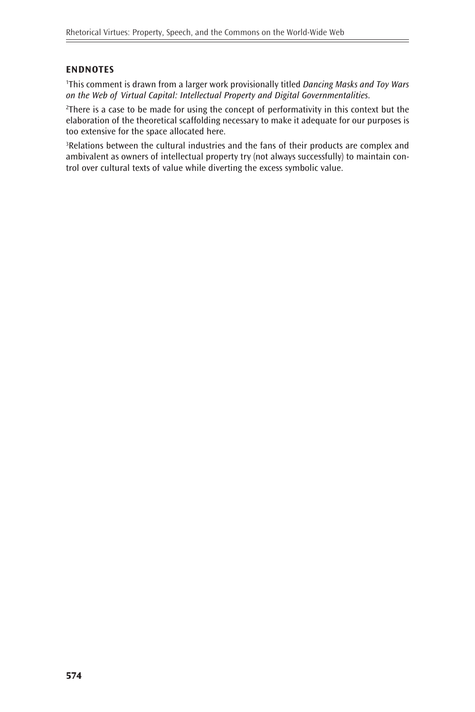## **ENDNOTES**

<sup>1</sup>This comment is drawn from a larger work provisionally titled Dancing Masks and Toy Wars on the Web of Virtual Capital: Intellectual Property and Digital Governmentalities.

2 There is a case to be made for using the concept of performativity in this context but the elaboration of the theoretical scaffolding necessary to make it adequate for our purposes is too extensive for the space allocated here.

3 Relations between the cultural industries and the fans of their products are complex and ambivalent as owners of intellectual property try (not always successfully) to maintain control over cultural texts of value while diverting the excess symbolic value.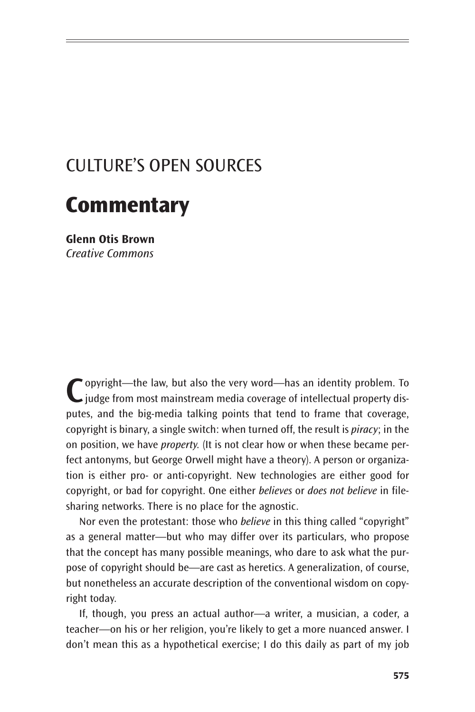## CULTURE'S OPEN SOURCES

## **Commentary**

**Glenn Otis Brown** Creative Commons

**C** opyright—the law, but also the very word—has an identity problem. To judge from most mainstream media coverage of intellectual property disputes, and the big-media talking points that tend to frame that coverage, copyright is binary, a single switch: when turned off, the result is *piracy*; in the on position, we have property. (It is not clear how or when these became perfect antonyms, but George Orwell might have a theory). A person or organization is either pro- or anti-copyright. New technologies are either good for copyright, or bad for copyright. One either believes or does not believe in filesharing networks. There is no place for the agnostic.

Nor even the protestant: those who *believe* in this thing called "copyright" as a general matter—but who may differ over its particulars, who propose that the concept has many possible meanings, who dare to ask what the purpose of copyright should be—are cast as heretics. A generalization, of course, but nonetheless an accurate description of the conventional wisdom on copyright today.

If, though, you press an actual author—a writer, a musician, a coder, a teacher—on his or her religion, you're likely to get a more nuanced answer. I don't mean this as a hypothetical exercise; I do this daily as part of my job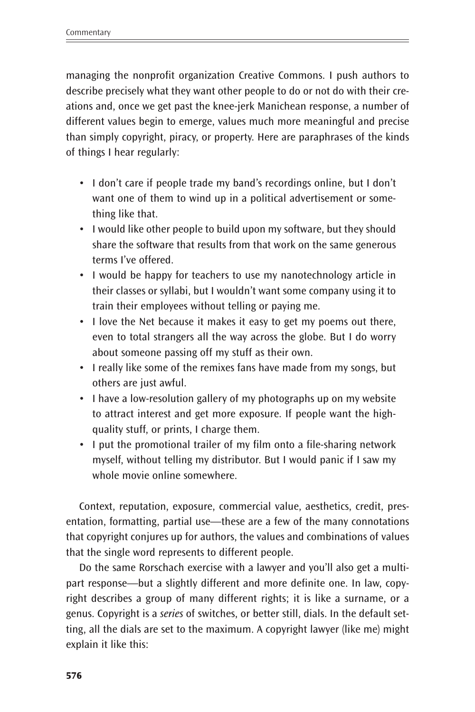managing the nonprofit organization Creative Commons. I push authors to describe precisely what they want other people to do or not do with their creations and, once we get past the knee-jerk Manichean response, a number of different values begin to emerge, values much more meaningful and precise than simply copyright, piracy, or property. Here are paraphrases of the kinds of things I hear regularly:

- I don't care if people trade my band's recordings online, but I don't want one of them to wind up in a political advertisement or something like that.
- I would like other people to build upon my software, but they should share the software that results from that work on the same generous terms I've offered.
- I would be happy for teachers to use my nanotechnology article in their classes or syllabi, but I wouldn't want some company using it to train their employees without telling or paying me.
- I love the Net because it makes it easy to get my poems out there, even to total strangers all the way across the globe. But I do worry about someone passing off my stuff as their own.
- I really like some of the remixes fans have made from my songs, but others are just awful.
- I have a low-resolution gallery of my photographs up on my website to attract interest and get more exposure. If people want the highquality stuff, or prints, I charge them.
- I put the promotional trailer of my film onto a file-sharing network myself, without telling my distributor. But I would panic if I saw my whole movie online somewhere.

Context, reputation, exposure, commercial value, aesthetics, credit, presentation, formatting, partial use—these are a few of the many connotations that copyright conjures up for authors, the values and combinations of values that the single word represents to different people.

Do the same Rorschach exercise with a lawyer and you'll also get a multipart response—but a slightly different and more definite one. In law, copyright describes a group of many different rights; it is like a surname, or a genus. Copyright is a series of switches, or better still, dials. In the default setting, all the dials are set to the maximum. A copyright lawyer (like me) might explain it like this: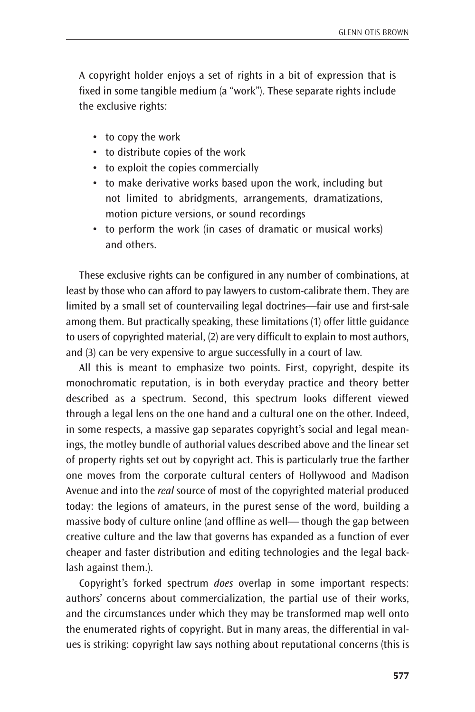A copyright holder enjoys a set of rights in a bit of expression that is fixed in some tangible medium (a "work"). These separate rights include the exclusive rights:

- to copy the work
- to distribute copies of the work
- to exploit the copies commercially
- to make derivative works based upon the work, including but not limited to abridgments, arrangements, dramatizations, motion picture versions, or sound recordings
- to perform the work (in cases of dramatic or musical works) and others.

These exclusive rights can be configured in any number of combinations, at least by those who can afford to pay lawyers to custom-calibrate them. They are limited by a small set of countervailing legal doctrines—fair use and first-sale among them. But practically speaking, these limitations (1) offer little guidance to users of copyrighted material, (2) are very difficult to explain to most authors, and (3) can be very expensive to argue successfully in a court of law.

All this is meant to emphasize two points. First, copyright, despite its monochromatic reputation, is in both everyday practice and theory better described as a spectrum. Second, this spectrum looks different viewed through a legal lens on the one hand and a cultural one on the other. Indeed, in some respects, a massive gap separates copyright's social and legal meanings, the motley bundle of authorial values described above and the linear set of property rights set out by copyright act. This is particularly true the farther one moves from the corporate cultural centers of Hollywood and Madison Avenue and into the real source of most of the copyrighted material produced today: the legions of amateurs, in the purest sense of the word, building a massive body of culture online (and offline as well— though the gap between creative culture and the law that governs has expanded as a function of ever cheaper and faster distribution and editing technologies and the legal backlash against them.).

Copyright's forked spectrum does overlap in some important respects: authors' concerns about commercialization, the partial use of their works, and the circumstances under which they may be transformed map well onto the enumerated rights of copyright. But in many areas, the differential in values is striking: copyright law says nothing about reputational concerns (this is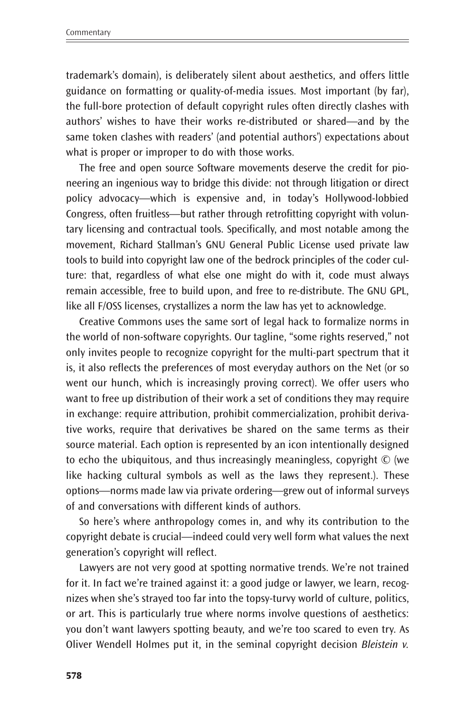trademark's domain), is deliberately silent about aesthetics, and offers little guidance on formatting or quality-of-media issues. Most important (by far), the full-bore protection of default copyright rules often directly clashes with authors' wishes to have their works re-distributed or shared—and by the same token clashes with readers' (and potential authors') expectations about what is proper or improper to do with those works.

The free and open source Software movements deserve the credit for pioneering an ingenious way to bridge this divide: not through litigation or direct policy advocacy—which is expensive and, in today's Hollywood-lobbied Congress, often fruitless—but rather through retrofitting copyright with voluntary licensing and contractual tools. Specifically, and most notable among the movement, Richard Stallman's GNU General Public License used private law tools to build into copyright law one of the bedrock principles of the coder culture: that, regardless of what else one might do with it, code must always remain accessible, free to build upon, and free to re-distribute. The GNU GPL, like all F/OSS licenses, crystallizes a norm the law has yet to acknowledge.

Creative Commons uses the same sort of legal hack to formalize norms in the world of non-software copyrights. Our tagline, "some rights reserved," not only invites people to recognize copyright for the multi-part spectrum that it is, it also reflects the preferences of most everyday authors on the Net (or so went our hunch, which is increasingly proving correct). We offer users who want to free up distribution of their work a set of conditions they may require in exchange: require attribution, prohibit commercialization, prohibit derivative works, require that derivatives be shared on the same terms as their source material. Each option is represented by an icon intentionally designed to echo the ubiquitous, and thus increasingly meaningless, copyright © (we like hacking cultural symbols as well as the laws they represent.). These options—norms made law via private ordering—grew out of informal surveys of and conversations with different kinds of authors.

So here's where anthropology comes in, and why its contribution to the copyright debate is crucial—indeed could very well form what values the next generation's copyright will reflect.

Lawyers are not very good at spotting normative trends. We're not trained for it. In fact we're trained against it: a good judge or lawyer, we learn, recognizes when she's strayed too far into the topsy-turvy world of culture, politics, or art. This is particularly true where norms involve questions of aesthetics: you don't want lawyers spotting beauty, and we're too scared to even try. As Oliver Wendell Holmes put it, in the seminal copyright decision Bleistein v.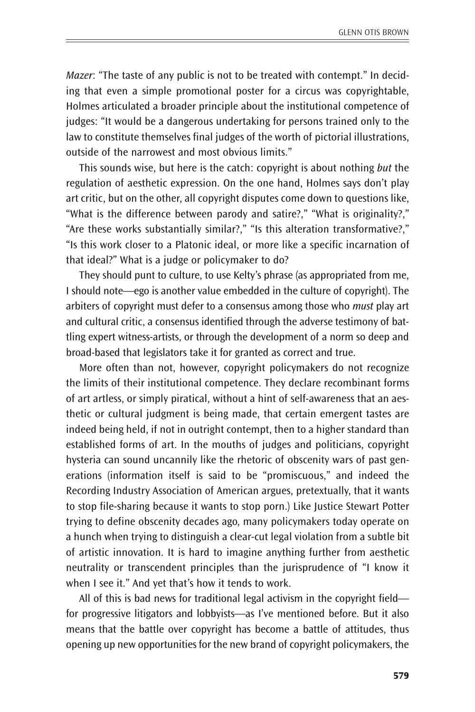Mazer: "The taste of any public is not to be treated with contempt." In deciding that even a simple promotional poster for a circus was copyrightable, Holmes articulated a broader principle about the institutional competence of judges: "It would be a dangerous undertaking for persons trained only to the law to constitute themselves final judges of the worth of pictorial illustrations, outside of the narrowest and most obvious limits."

This sounds wise, but here is the catch: copyright is about nothing but the regulation of aesthetic expression. On the one hand, Holmes says don't play art critic, but on the other, all copyright disputes come down to questions like, "What is the difference between parody and satire?," "What is originality?," "Are these works substantially similar?," "Is this alteration transformative?," "Is this work closer to a Platonic ideal, or more like a specific incarnation of that ideal?" What is a judge or policymaker to do?

They should punt to culture, to use Kelty's phrase (as appropriated from me, I should note—ego is another value embedded in the culture of copyright). The arbiters of copyright must defer to a consensus among those who *must* play art and cultural critic, a consensus identified through the adverse testimony of battling expert witness-artists, or through the development of a norm so deep and broad-based that legislators take it for granted as correct and true.

More often than not, however, copyright policymakers do not recognize the limits of their institutional competence. They declare recombinant forms of art artless, or simply piratical, without a hint of self-awareness that an aesthetic or cultural judgment is being made, that certain emergent tastes are indeed being held, if not in outright contempt, then to a higher standard than established forms of art. In the mouths of judges and politicians, copyright hysteria can sound uncannily like the rhetoric of obscenity wars of past generations (information itself is said to be "promiscuous," and indeed the Recording Industry Association of American argues, pretextually, that it wants to stop file-sharing because it wants to stop porn.) Like Justice Stewart Potter trying to define obscenity decades ago, many policymakers today operate on a hunch when trying to distinguish a clear-cut legal violation from a subtle bit of artistic innovation. It is hard to imagine anything further from aesthetic neutrality or transcendent principles than the jurisprudence of "I know it when I see it." And yet that's how it tends to work.

All of this is bad news for traditional legal activism in the copyright field for progressive litigators and lobbyists—as I've mentioned before. But it also means that the battle over copyright has become a battle of attitudes, thus opening up new opportunities for the new brand of copyright policymakers, the